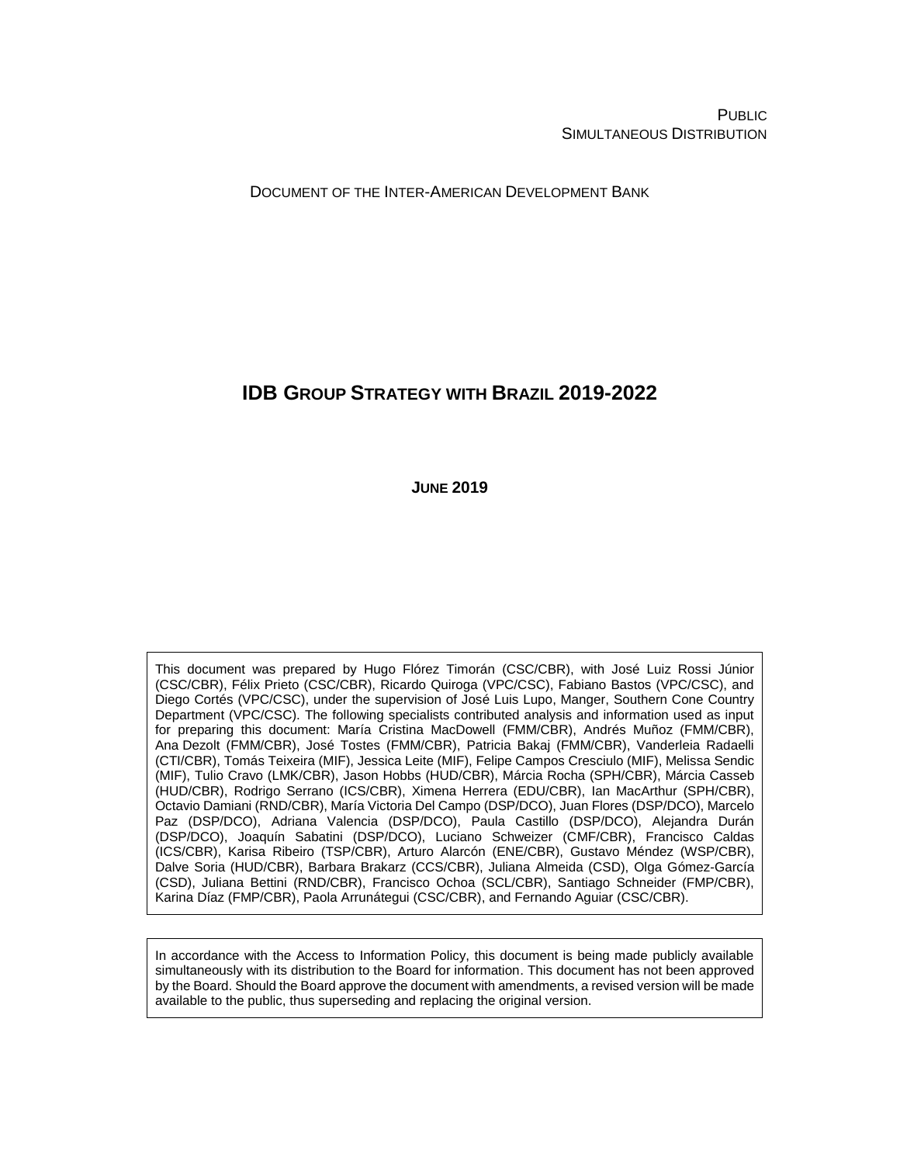PUBLIC SIMULTANEOUS DISTRIBUTION

DOCUMENT OF THE INTER-AMERICAN DEVELOPMENT BANK

# **IDB GROUP STRATEGY WITH BRAZIL 2019-2022**

**JUNE 2019**

This document was prepared by Hugo Flórez Timorán (CSC/CBR), with José Luiz Rossi Júnior (CSC/CBR), Félix Prieto (CSC/CBR), Ricardo Quiroga (VPC/CSC), Fabiano Bastos (VPC/CSC), and Diego Cortés (VPC/CSC), under the supervision of José Luis Lupo, Manger, Southern Cone Country Department (VPC/CSC). The following specialists contributed analysis and information used as input for preparing this document: María Cristina MacDowell (FMM/CBR), Andrés Muñoz (FMM/CBR), Ana Dezolt (FMM/CBR), José Tostes (FMM/CBR), Patricia Bakaj (FMM/CBR), Vanderleia Radaelli (CTI/CBR), Tomás Teixeira (MIF), Jessica Leite (MIF), Felipe Campos Cresciulo (MIF), Melissa Sendic (MIF), Tulio Cravo (LMK/CBR), Jason Hobbs (HUD/CBR), Márcia Rocha (SPH/CBR), Márcia Casseb (HUD/CBR), Rodrigo Serrano (ICS/CBR), Ximena Herrera (EDU/CBR), Ian MacArthur (SPH/CBR), Octavio Damiani (RND/CBR), María Victoria Del Campo (DSP/DCO), Juan Flores (DSP/DCO), Marcelo Paz (DSP/DCO), Adriana Valencia (DSP/DCO), Paula Castillo (DSP/DCO), Alejandra Durán (DSP/DCO), Joaquín Sabatini (DSP/DCO), Luciano Schweizer (CMF/CBR), Francisco Caldas (ICS/CBR), Karisa Ribeiro (TSP/CBR), Arturo Alarcón (ENE/CBR), Gustavo Méndez (WSP/CBR), Dalve Soria (HUD/CBR), Barbara Brakarz (CCS/CBR), Juliana Almeida (CSD), Olga Gómez-García (CSD), Juliana Bettini (RND/CBR), Francisco Ochoa (SCL/CBR), Santiago Schneider (FMP/CBR), Karina Díaz (FMP/CBR), Paola Arrunátegui (CSC/CBR), and Fernando Aguiar (CSC/CBR).

In accordance with the Access to Information Policy, this document is being made publicly available simultaneously with its distribution to the Board for information. This document has not been approved by the Board. Should the Board approve the document with amendments, a revised version will be made available to the public, thus superseding and replacing the original version.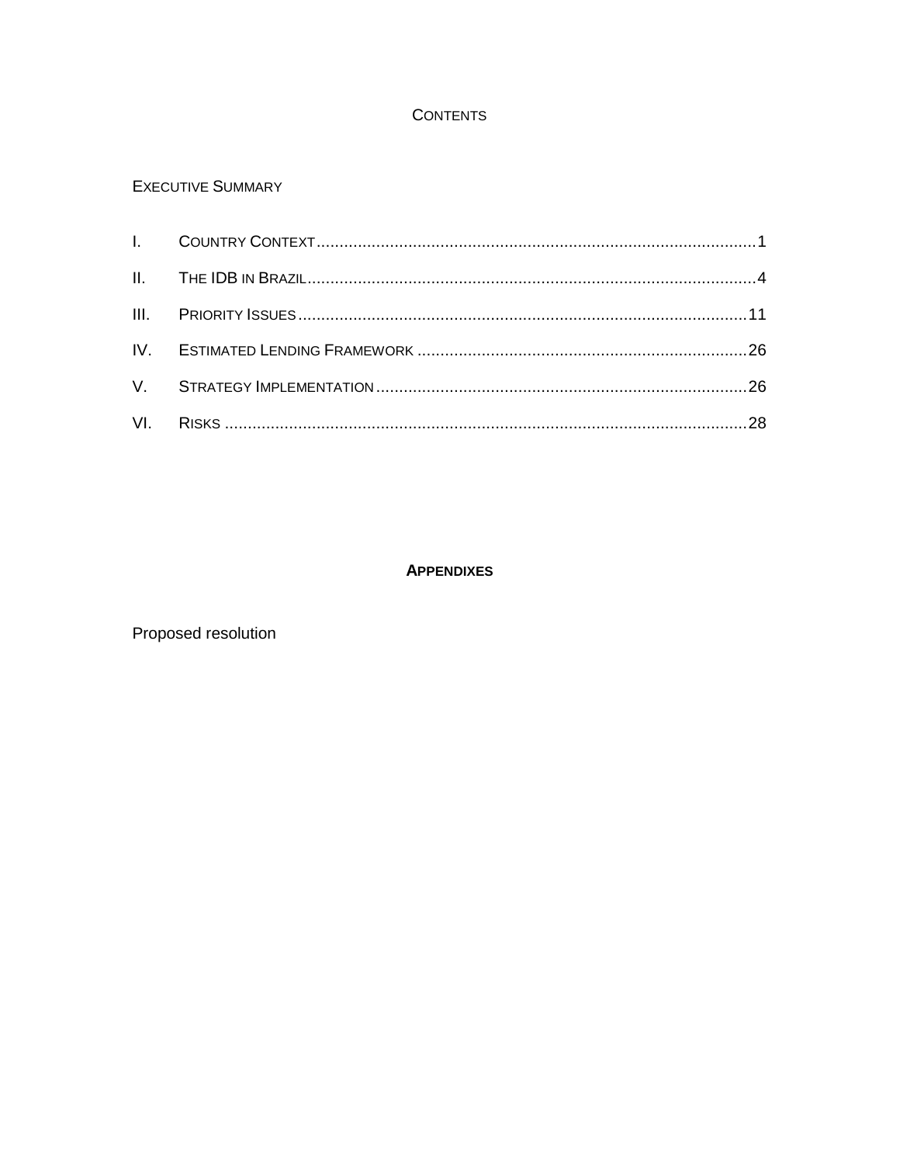## **CONTENTS**

## **EXECUTIVE SUMMARY**

## **APPENDIXES**

Proposed resolution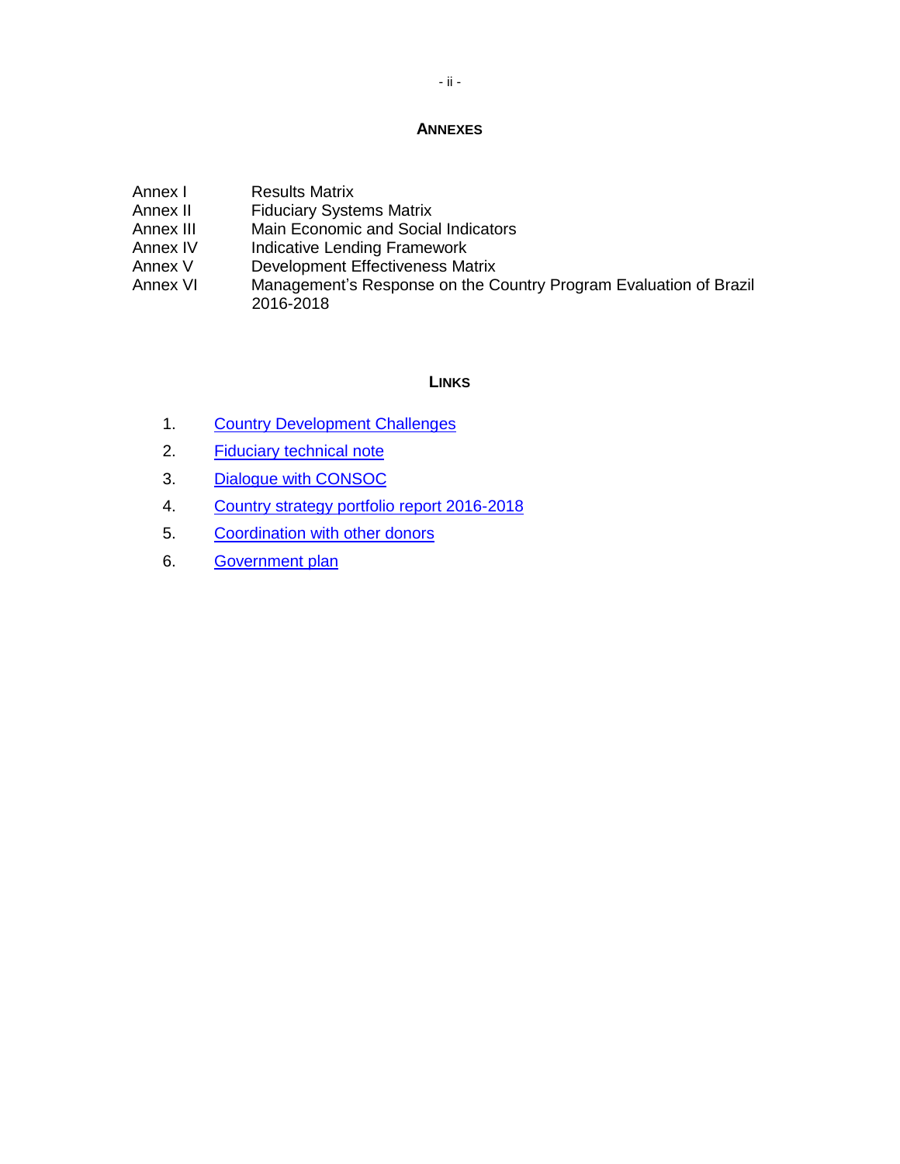#### **ANNEXES**

| Annex I   | <b>Results Matrix</b>                                                          |
|-----------|--------------------------------------------------------------------------------|
| Annex II  | <b>Fiduciary Systems Matrix</b>                                                |
| Annex III | Main Economic and Social Indicators                                            |
| Annex IV  | Indicative Lending Framework                                                   |
| Annex V   | <b>Development Effectiveness Matrix</b>                                        |
| Annex VI  | Management's Response on the Country Program Evaluation of Brazil<br>2016-2018 |

## **LINKS**

- 1. Country [Development](http://www.iadb.org/document.cfm?id=EZSHARE-750030607-2) Challenges
- 2. [Fiduciary](http://www.iadb.org/document.cfm?id=EZSHARE-750030607-7) technical note
- 3. [Dialogue with CONSOC](http://www.iadb.org/document.cfm?id=EZSHARE-750030607-3)
- 4. [Country strategy portfolio report 2016-2018](http://www.iadb.org/document.cfm?id=EZSHARE-750030607-6)
- 5. [Coordination](http://www.iadb.org/document.cfm?id=EZSHARE-750030607-9) with other donors
- 6. [Government](http://www.iadb.org/document.cfm?id=EZSHARE-750030607-8) plan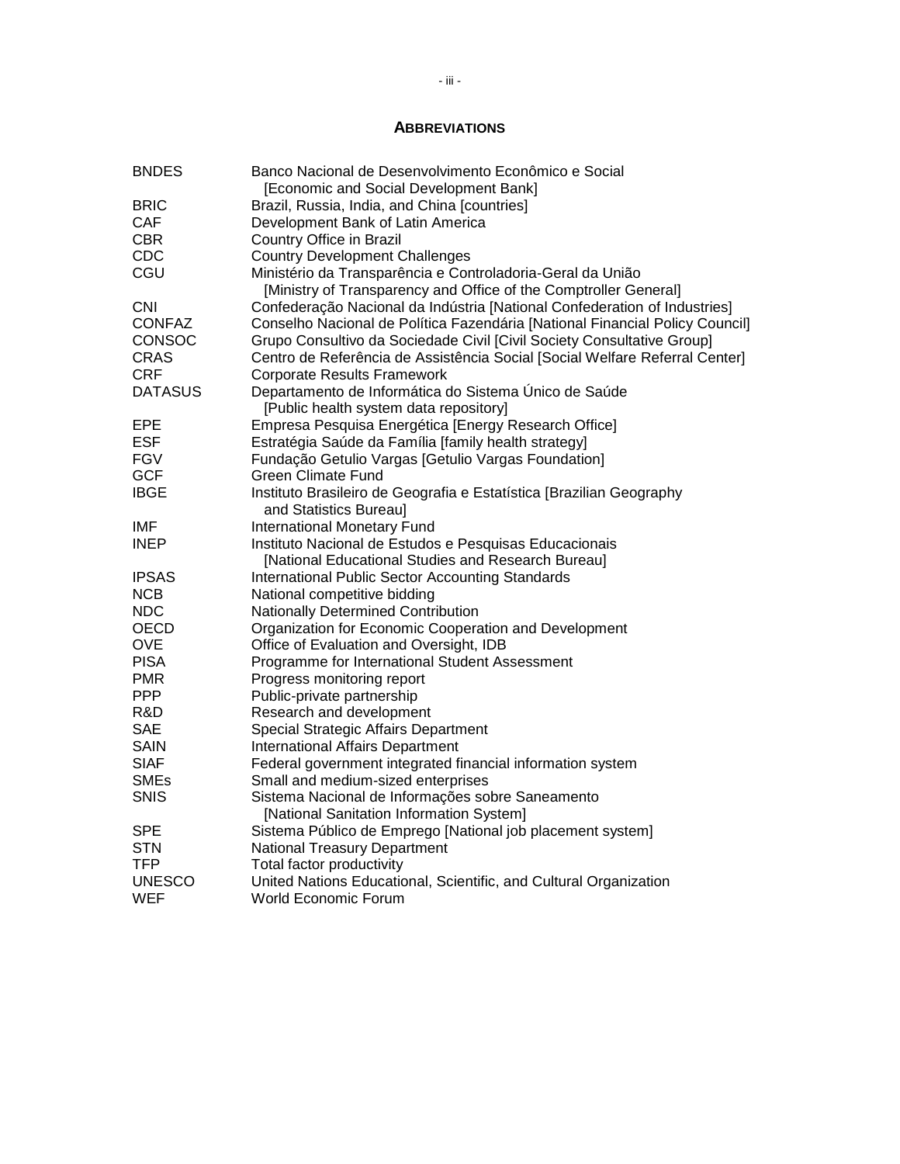## **ABBREVIATIONS**

| <b>BNDES</b>   | Banco Nacional de Desenvolvimento Econômico e Social                                         |
|----------------|----------------------------------------------------------------------------------------------|
| <b>BRIC</b>    | [Economic and Social Development Bank]<br>Brazil, Russia, India, and China [countries]       |
| CAF            | Development Bank of Latin America                                                            |
| <b>CBR</b>     | Country Office in Brazil                                                                     |
| <b>CDC</b>     | <b>Country Development Challenges</b>                                                        |
| CGU            | Ministério da Transparência e Controladoria-Geral da União                                   |
|                | [Ministry of Transparency and Office of the Comptroller General]                             |
| <b>CNI</b>     | Confederação Nacional da Indústria [National Confederation of Industries]                    |
| <b>CONFAZ</b>  | Conselho Nacional de Política Fazendária [National Financial Policy Council]                 |
| CONSOC         | Grupo Consultivo da Sociedade Civil [Civil Society Consultative Group]                       |
| <b>CRAS</b>    | Centro de Referência de Assistência Social [Social Welfare Referral Center]                  |
| <b>CRF</b>     | <b>Corporate Results Framework</b>                                                           |
| <b>DATASUS</b> | Departamento de Informática do Sistema Único de Saúde                                        |
|                | [Public health system data repository]                                                       |
| <b>EPE</b>     | Empresa Pesquisa Energética [Energy Research Office]                                         |
| <b>ESF</b>     | Estratégia Saúde da Família [family health strategy]                                         |
| <b>FGV</b>     | Fundação Getulio Vargas [Getulio Vargas Foundation]                                          |
| <b>GCF</b>     | <b>Green Climate Fund</b>                                                                    |
| <b>IBGE</b>    | Instituto Brasileiro de Geografia e Estatística [Brazilian Geography                         |
|                | and Statistics Bureau]                                                                       |
| IMF            | <b>International Monetary Fund</b>                                                           |
| <b>INEP</b>    | Instituto Nacional de Estudos e Pesquisas Educacionais                                       |
|                | [National Educational Studies and Research Bureau]                                           |
| <b>IPSAS</b>   | International Public Sector Accounting Standards                                             |
| <b>NCB</b>     | National competitive bidding                                                                 |
| <b>NDC</b>     | Nationally Determined Contribution                                                           |
| OECD           | Organization for Economic Cooperation and Development                                        |
| <b>OVE</b>     | Office of Evaluation and Oversight, IDB                                                      |
| <b>PISA</b>    | Programme for International Student Assessment                                               |
| <b>PMR</b>     | Progress monitoring report                                                                   |
| <b>PPP</b>     | Public-private partnership                                                                   |
| R&D            | Research and development                                                                     |
| <b>SAE</b>     | Special Strategic Affairs Department                                                         |
| <b>SAIN</b>    | <b>International Affairs Department</b>                                                      |
| <b>SIAF</b>    | Federal government integrated financial information system                                   |
| <b>SMEs</b>    | Small and medium-sized enterprises                                                           |
| <b>SNIS</b>    | Sistema Nacional de Informações sobre Saneamento<br>[National Sanitation Information System] |
| <b>SPE</b>     | Sistema Público de Emprego [National job placement system]                                   |
| <b>STN</b>     | <b>National Treasury Department</b>                                                          |
| <b>TFP</b>     | Total factor productivity                                                                    |
| <b>UNESCO</b>  | United Nations Educational, Scientific, and Cultural Organization                            |
| WEF            | <b>World Economic Forum</b>                                                                  |
|                |                                                                                              |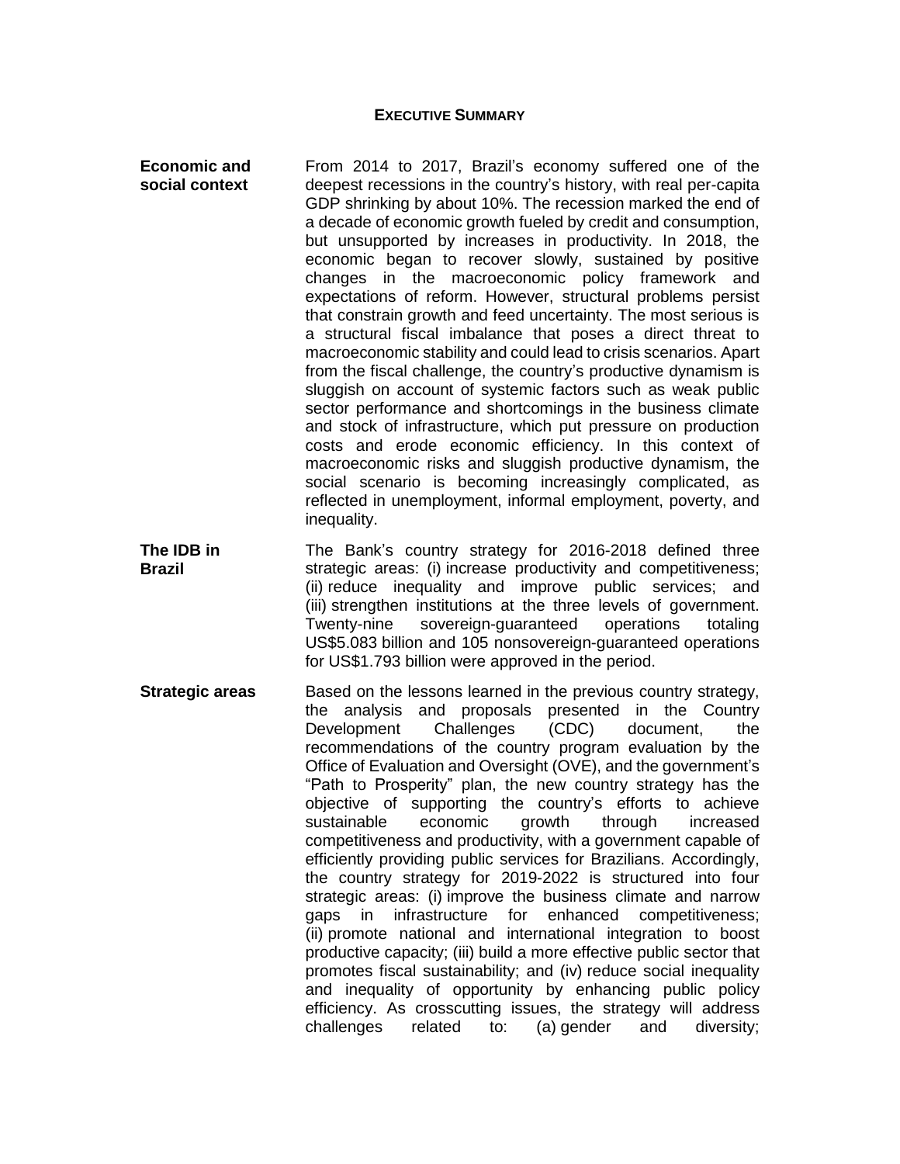#### **EXECUTIVE SUMMARY**

**Economic and social context** From 2014 to 2017, Brazil's economy suffered one of the deepest recessions in the country's history, with real per-capita GDP shrinking by about 10%. The recession marked the end of a decade of economic growth fueled by credit and consumption, but unsupported by increases in productivity. In 2018, the economic began to recover slowly, sustained by positive changes in the macroeconomic policy framework and expectations of reform. However, structural problems persist that constrain growth and feed uncertainty. The most serious is a structural fiscal imbalance that poses a direct threat to macroeconomic stability and could lead to crisis scenarios. Apart from the fiscal challenge, the country's productive dynamism is sluggish on account of systemic factors such as weak public sector performance and shortcomings in the business climate and stock of infrastructure, which put pressure on production costs and erode economic efficiency. In this context of macroeconomic risks and sluggish productive dynamism, the social scenario is becoming increasingly complicated, as reflected in unemployment, informal employment, poverty, and inequality.

**The IDB in Brazil** The Bank's country strategy for 2016-2018 defined three strategic areas: (i) increase productivity and competitiveness; (ii) reduce inequality and improve public services; and (iii) strengthen institutions at the three levels of government. Twenty-nine sovereign-guaranteed operations totaling US\$5.083 billion and 105 nonsovereign-guaranteed operations for US\$1.793 billion were approved in the period.

**Strategic areas** Based on the lessons learned in the previous country strategy, the analysis and proposals presented in the Country Development Challenges (CDC) document, the recommendations of the country program evaluation by the Office of Evaluation and Oversight (OVE), and the government's "Path to Prosperity" plan, the new country strategy has the objective of supporting the country's efforts to achieve sustainable economic growth through increased competitiveness and productivity, with a government capable of efficiently providing public services for Brazilians. Accordingly, the country strategy for 2019-2022 is structured into four strategic areas: (i) improve the business climate and narrow gaps in infrastructure for enhanced competitiveness; (ii) promote national and international integration to boost productive capacity; (iii) build a more effective public sector that promotes fiscal sustainability; and (iv) reduce social inequality and inequality of opportunity by enhancing public policy efficiency. As crosscutting issues, the strategy will address challenges related to: (a) gender and diversity;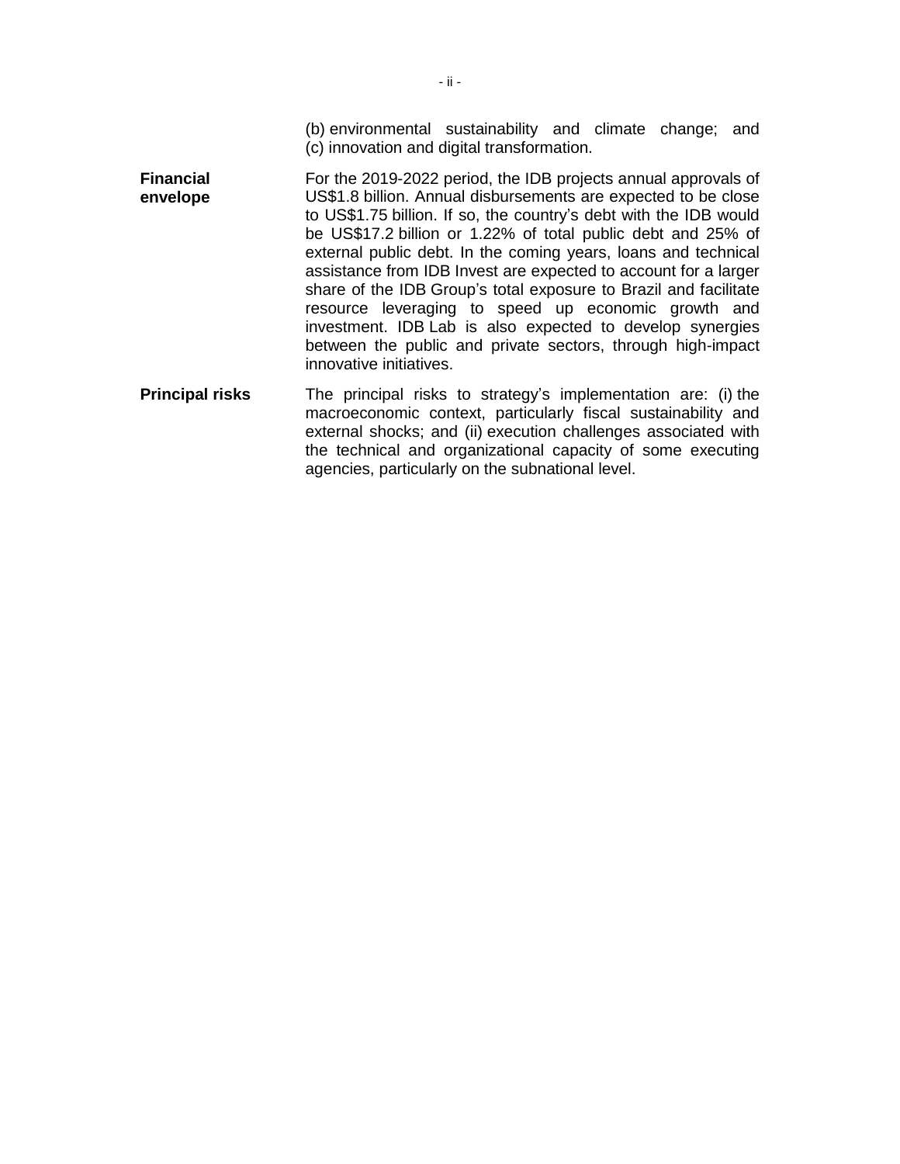(b) environmental sustainability and climate change; and (c) innovation and digital transformation.

- **Financial envelope** For the 2019-2022 period, the IDB projects annual approvals of US\$1.8 billion. Annual disbursements are expected to be close to US\$1.75 billion. If so, the country's debt with the IDB would be US\$17.2 billion or 1.22% of total public debt and 25% of external public debt. In the coming years, loans and technical assistance from IDB Invest are expected to account for a larger share of the IDB Group's total exposure to Brazil and facilitate resource leveraging to speed up economic growth and investment. IDB Lab is also expected to develop synergies between the public and private sectors, through high-impact innovative initiatives.
- **Principal risks** The principal risks to strategy's implementation are: (i) the macroeconomic context, particularly fiscal sustainability and external shocks; and (ii) execution challenges associated with the technical and organizational capacity of some executing agencies, particularly on the subnational level.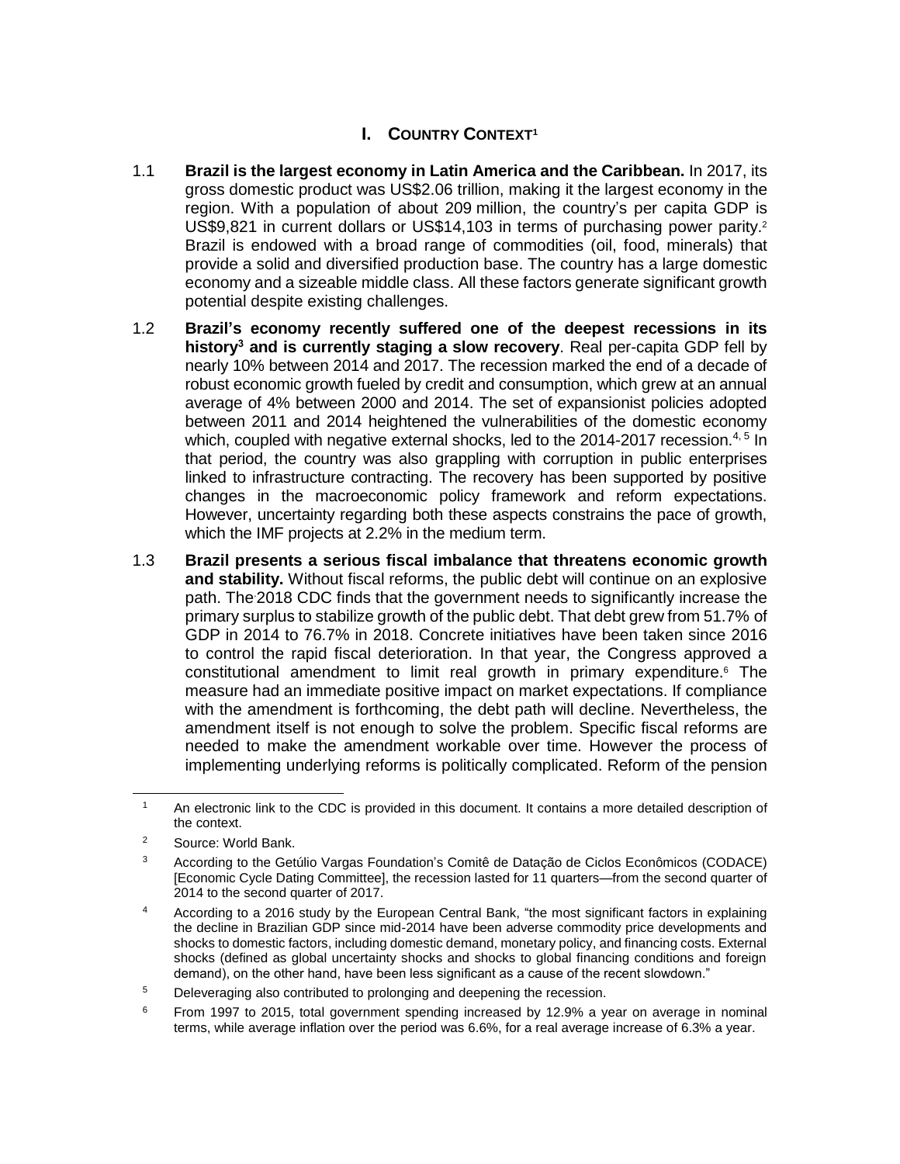# **I. COUNTRY CONTEXT<sup>1</sup>**

- 1.1 **Brazil is the largest economy in Latin America and the Caribbean.** In 2017, its gross domestic product was US\$2.06 trillion, making it the largest economy in the region. With a population of about 209 million, the country's per capita GDP is US\$9,821 in current dollars or US\$14,103 in terms of purchasing power parity.<sup>2</sup> Brazil is endowed with a broad range of commodities (oil, food, minerals) that provide a solid and diversified production base. The country has a large domestic economy and a sizeable middle class. All these factors generate significant growth potential despite existing challenges.
- 1.2 **Brazil's economy recently suffered one of the deepest recessions in its history<sup>3</sup> and is currently staging a slow recovery**. Real per-capita GDP fell by nearly 10% between 2014 and 2017. The recession marked the end of a decade of robust economic growth fueled by credit and consumption, which grew at an annual average of 4% between 2000 and 2014. The set of expansionist policies adopted between 2011 and 2014 heightened the vulnerabilities of the domestic economy which, coupled with negative external shocks, led to the 2014-2017 recession.<sup>4, 5</sup> In that period, the country was also grappling with corruption in public enterprises linked to infrastructure contracting. The recovery has been supported by positive changes in the macroeconomic policy framework and reform expectations. However, uncertainty regarding both these aspects constrains the pace of growth, which the IMF projects at 2.2% in the medium term.
- 1.3 **Brazil presents a serious fiscal imbalance that threatens economic growth and stability.** Without fiscal reforms, the public debt will continue on an explosive path. The.2018 CDC finds that the government needs to significantly increase the primary surplus to stabilize growth of the public debt. That debt grew from 51.7% of GDP in 2014 to 76.7% in 2018. Concrete initiatives have been taken since 2016 to control the rapid fiscal deterioration. In that year, the Congress approved a constitutional amendment to limit real growth in primary expenditure. $6$  The measure had an immediate positive impact on market expectations. If compliance with the amendment is forthcoming, the debt path will decline. Nevertheless, the amendment itself is not enough to solve the problem. Specific fiscal reforms are needed to make the amendment workable over time. However the process of implementing underlying reforms is politically complicated. Reform of the pension

<sup>&</sup>lt;sup>1</sup> An electronic link to the CDC is provided in this document. It contains a more detailed description of the context.

<sup>2</sup> Source: World Bank.

<sup>3</sup> According to the Getúlio Vargas Foundation's Comitê de Datação de Ciclos Econômicos (CODACE) [Economic Cycle Dating Committee], the recession lasted for 11 quarters—from the second quarter of 2014 to the second quarter of 2017.

<sup>4</sup> According to a 2016 study by the European Central Bank, "the most significant factors in explaining the decline in Brazilian GDP since mid-2014 have been adverse commodity price developments and shocks to domestic factors, including domestic demand, monetary policy, and financing costs. External shocks (defined as global uncertainty shocks and shocks to global financing conditions and foreign demand), on the other hand, have been less significant as a cause of the recent slowdown."

<sup>&</sup>lt;sup>5</sup> Deleveraging also contributed to prolonging and deepening the recession.

 $6$  From 1997 to 2015, total government spending increased by 12.9% a year on average in nominal terms, while average inflation over the period was 6.6%, for a real average increase of 6.3% a year.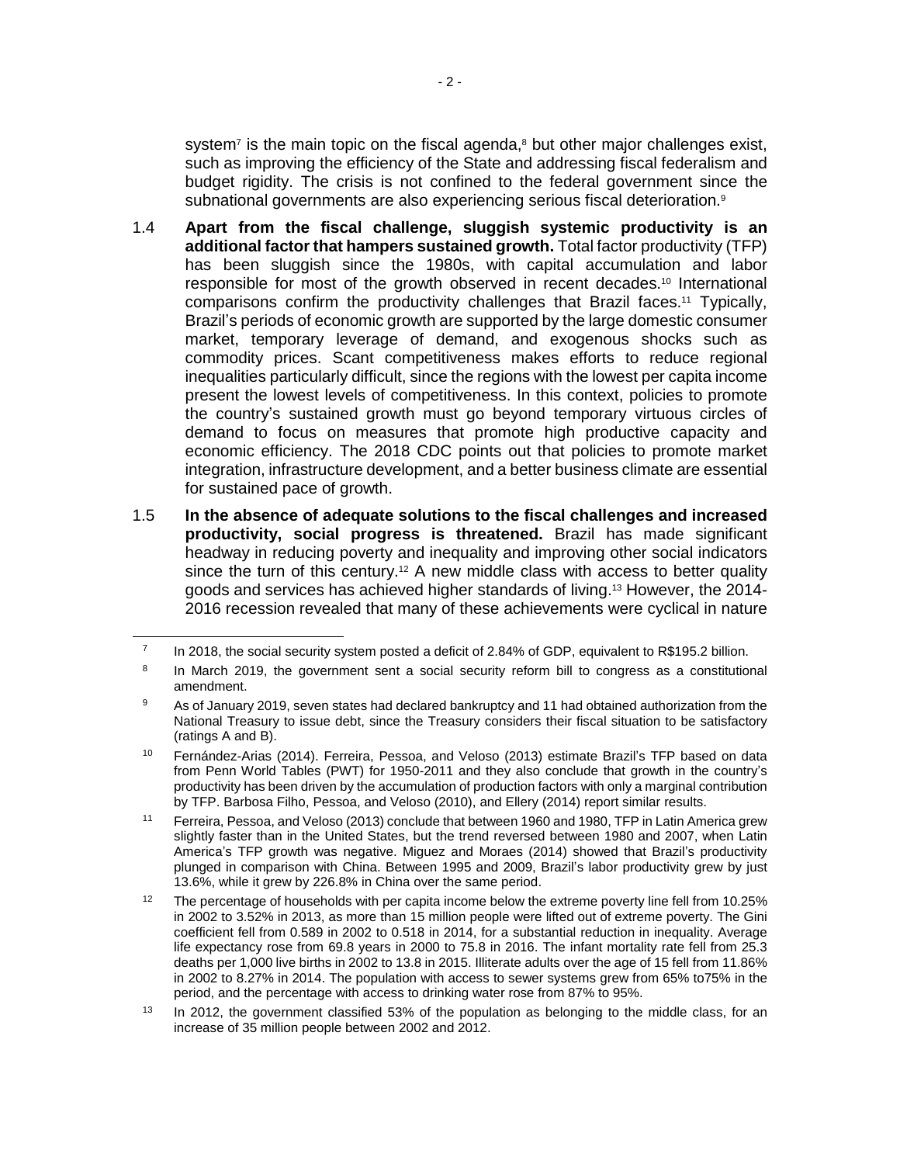system<sup>7</sup> is the main topic on the fiscal agenda,<sup>8</sup> but other major challenges exist, such as improving the efficiency of the State and addressing fiscal federalism and budget rigidity. The crisis is not confined to the federal government since the subnational governments are also experiencing serious fiscal deterioration.<sup>9</sup>

- 1.4 **Apart from the fiscal challenge, sluggish systemic productivity is an additional factor that hampers sustained growth.** Total factor productivity (TFP) has been sluggish since the 1980s, with capital accumulation and labor responsible for most of the growth observed in recent decades.<sup>10</sup> International comparisons confirm the productivity challenges that Brazil faces.<sup>11</sup> Typically, Brazil's periods of economic growth are supported by the large domestic consumer market, temporary leverage of demand, and exogenous shocks such as commodity prices. Scant competitiveness makes efforts to reduce regional inequalities particularly difficult, since the regions with the lowest per capita income present the lowest levels of competitiveness. In this context, policies to promote the country's sustained growth must go beyond temporary virtuous circles of demand to focus on measures that promote high productive capacity and economic efficiency. The 2018 CDC points out that policies to promote market integration, infrastructure development, and a better business climate are essential for sustained pace of growth.
- 1.5 **In the absence of adequate solutions to the fiscal challenges and increased productivity, social progress is threatened.** Brazil has made significant headway in reducing poverty and inequality and improving other social indicators since the turn of this century.<sup>12</sup> A new middle class with access to better quality goods and services has achieved higher standards of living.<sup>13</sup> However, the 2014- 2016 recession revealed that many of these achievements were cyclical in nature

 $\overline{a}$ 

<sup>7</sup> In 2018, the social security system posted a deficit of 2.84% of GDP, equivalent to R\$195.2 billion.

<sup>8</sup> In March 2019, the government sent a social security reform bill to congress as a constitutional amendment.

<sup>9</sup> As of January 2019, seven states had declared bankruptcy and 11 had obtained authorization from the National Treasury to issue debt, since the Treasury considers their fiscal situation to be satisfactory (ratings A and B).

<sup>10</sup> Fernández-Arias (2014). Ferreira, Pessoa, and Veloso (2013) estimate Brazil's TFP based on data from Penn World Tables (PWT) for 1950-2011 and they also conclude that growth in the country's productivity has been driven by the accumulation of production factors with only a marginal contribution by TFP. Barbosa Filho, Pessoa, and Veloso (2010), and Ellery (2014) report similar results.

<sup>11</sup> Ferreira, Pessoa, and Veloso (2013) conclude that between 1960 and 1980, TFP in Latin America grew slightly faster than in the United States, but the trend reversed between 1980 and 2007, when Latin America's TFP growth was negative. Miguez and Moraes (2014) showed that Brazil's productivity plunged in comparison with China. Between 1995 and 2009, Brazil's labor productivity grew by just 13.6%, while it grew by 226.8% in China over the same period.

<sup>&</sup>lt;sup>12</sup> The percentage of households with per capita income below the extreme poverty line fell from 10.25% in 2002 to 3.52% in 2013, as more than 15 million people were lifted out of extreme poverty. The Gini coefficient fell from 0.589 in 2002 to 0.518 in 2014, for a substantial reduction in inequality. Average life expectancy rose from 69.8 years in 2000 to 75.8 in 2016. The infant mortality rate fell from 25.3 deaths per 1,000 live births in 2002 to 13.8 in 2015. Illiterate adults over the age of 15 fell from 11.86% in 2002 to 8.27% in 2014. The population with access to sewer systems grew from 65% to75% in the period, and the percentage with access to drinking water rose from 87% to 95%.

<sup>&</sup>lt;sup>13</sup> In 2012, the government classified 53% of the population as belonging to the middle class, for an increase of 35 million people between 2002 and 2012.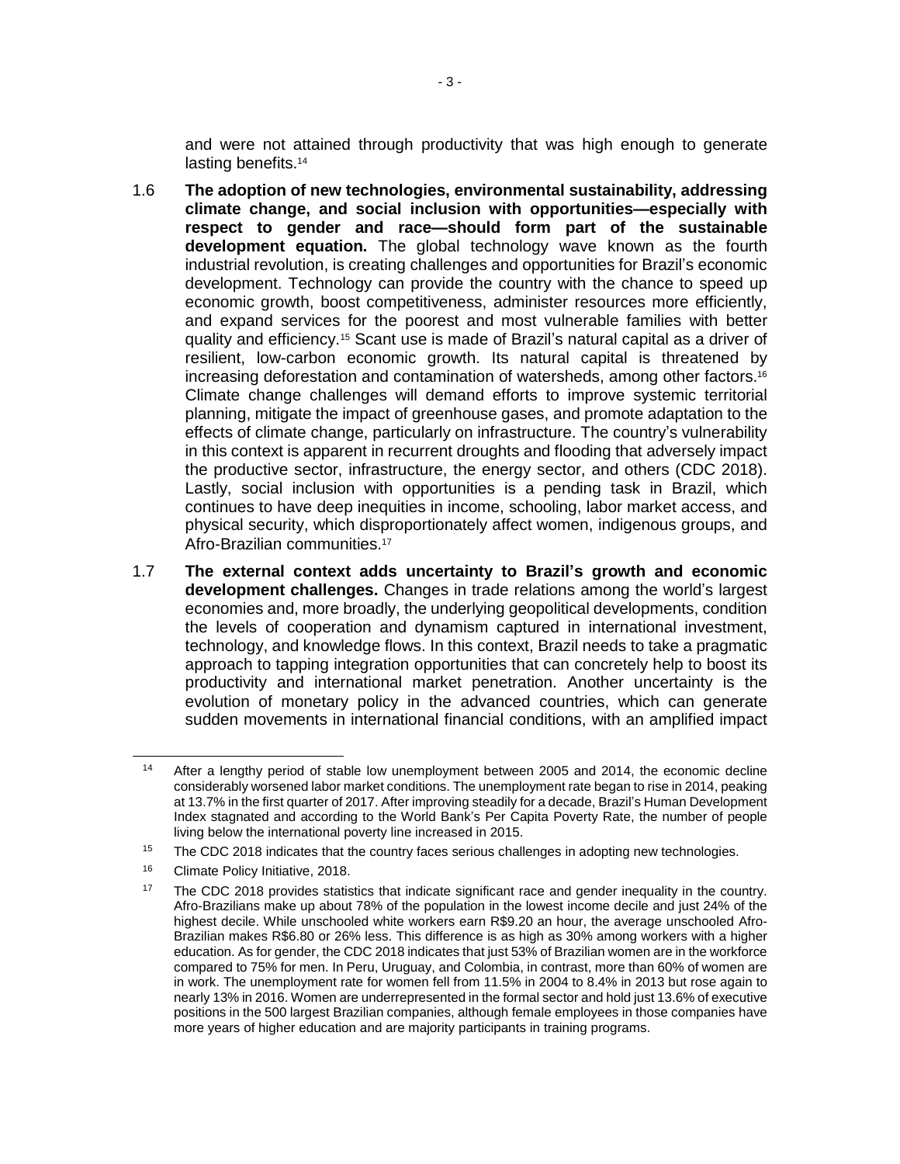and were not attained through productivity that was high enough to generate lasting benefits.<sup>14</sup>

- 1.6 **The adoption of new technologies, environmental sustainability, addressing climate change, and social inclusion with opportunities—especially with respect to gender and race—should form part of the sustainable development equation.** The global technology wave known as the fourth industrial revolution, is creating challenges and opportunities for Brazil's economic development. Technology can provide the country with the chance to speed up economic growth, boost competitiveness, administer resources more efficiently, and expand services for the poorest and most vulnerable families with better quality and efficiency.<sup>15</sup> Scant use is made of Brazil's natural capital as a driver of resilient, low-carbon economic growth. Its natural capital is threatened by increasing deforestation and contamination of watersheds, among other factors.<sup>16</sup> Climate change challenges will demand efforts to improve systemic territorial planning, mitigate the impact of greenhouse gases, and promote adaptation to the effects of climate change, particularly on infrastructure. The country's vulnerability in this context is apparent in recurrent droughts and flooding that adversely impact the productive sector, infrastructure, the energy sector, and others (CDC 2018). Lastly, social inclusion with opportunities is a pending task in Brazil, which continues to have deep inequities in income, schooling, labor market access, and physical security, which disproportionately affect women, indigenous groups, and Afro-Brazilian communities.<sup>17</sup>
- 1.7 **The external context adds uncertainty to Brazil's growth and economic development challenges.** Changes in trade relations among the world's largest economies and, more broadly, the underlying geopolitical developments, condition the levels of cooperation and dynamism captured in international investment, technology, and knowledge flows. In this context, Brazil needs to take a pragmatic approach to tapping integration opportunities that can concretely help to boost its productivity and international market penetration. Another uncertainty is the evolution of monetary policy in the advanced countries, which can generate sudden movements in international financial conditions, with an amplified impact

After a lengthy period of stable low unemployment between 2005 and 2014, the economic decline considerably worsened labor market conditions. The unemployment rate began to rise in 2014, peaking at 13.7% in the first quarter of 2017. After improving steadily for a decade, Brazil's Human Development Index stagnated and according to the World Bank's Per Capita Poverty Rate, the number of people living below the international poverty line increased in 2015.

<sup>&</sup>lt;sup>15</sup> The CDC 2018 indicates that the country faces serious challenges in adopting new technologies.

<sup>&</sup>lt;sup>16</sup> Climate Policy Initiative, 2018.

<sup>&</sup>lt;sup>17</sup> The CDC 2018 provides statistics that indicate significant race and gender inequality in the country. Afro-Brazilians make up about 78% of the population in the lowest income decile and just 24% of the highest decile. While unschooled white workers earn R\$9.20 an hour, the average unschooled Afro-Brazilian makes R\$6.80 or 26% less. This difference is as high as 30% among workers with a higher education. As for gender, the CDC 2018 indicates that just 53% of Brazilian women are in the workforce compared to 75% for men. In Peru, Uruguay, and Colombia, in contrast, more than 60% of women are in work. The unemployment rate for women fell from 11.5% in 2004 to 8.4% in 2013 but rose again to nearly 13% in 2016. Women are underrepresented in the formal sector and hold just 13.6% of executive positions in the 500 largest Brazilian companies, although female employees in those companies have more years of higher education and are majority participants in training programs.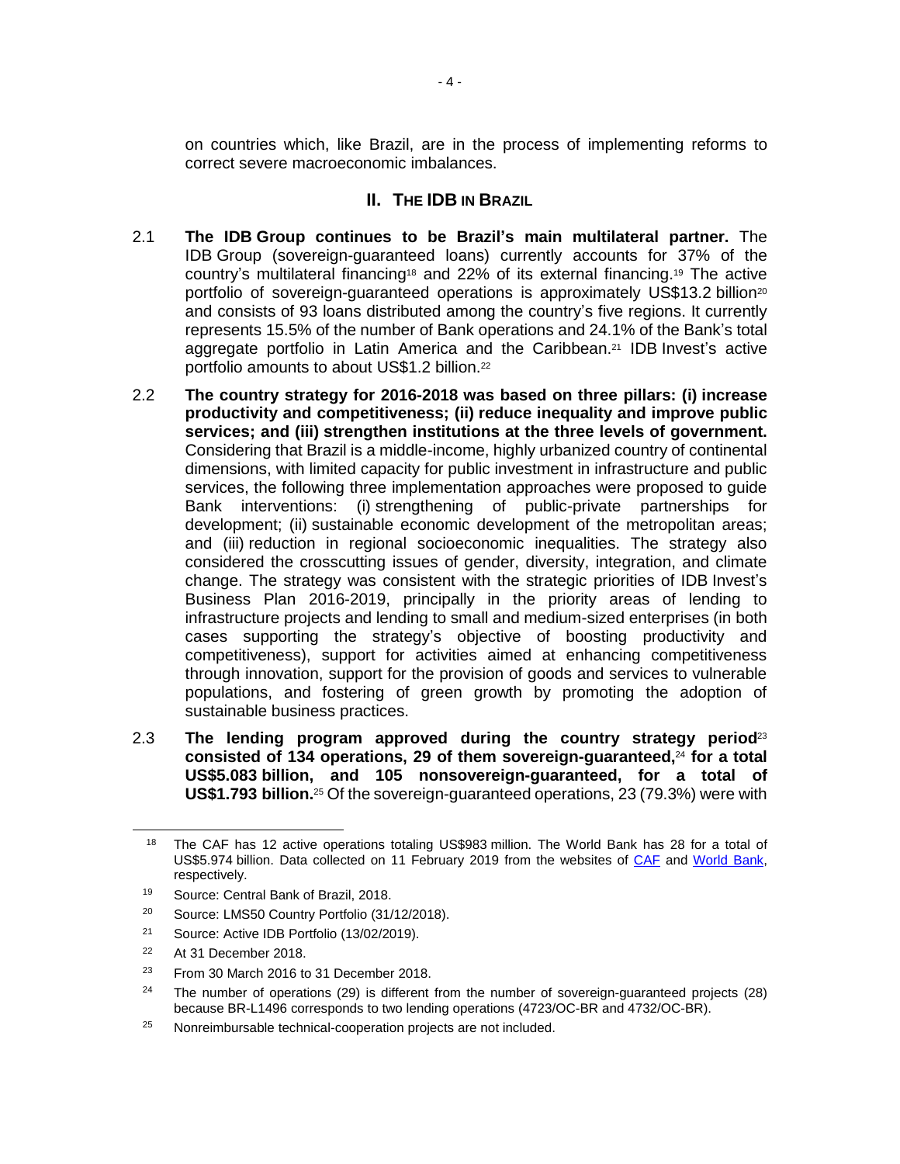on countries which, like Brazil, are in the process of implementing reforms to correct severe macroeconomic imbalances.

## **II. THE IDB IN BRAZIL**

- 2.1 **The IDB Group continues to be Brazil's main multilateral partner.** The IDB Group (sovereign-guaranteed loans) currently accounts for 37% of the country's multilateral financing<sup>18</sup> and 22% of its external financing.<sup>19</sup> The active portfolio of sovereign-guaranteed operations is approximately US\$13.2 billion<sup>20</sup> and consists of 93 loans distributed among the country's five regions. It currently represents 15.5% of the number of Bank operations and 24.1% of the Bank's total aggregate portfolio in Latin America and the Caribbean.<sup>21</sup> IDB Invest's active portfolio amounts to about US\$1.2 billion.<sup>22</sup>
- 2.2 **The country strategy for 2016-2018 was based on three pillars: (i) increase productivity and competitiveness; (ii) reduce inequality and improve public services; and (iii) strengthen institutions at the three levels of government.** Considering that Brazil is a middle-income, highly urbanized country of continental dimensions, with limited capacity for public investment in infrastructure and public services, the following three implementation approaches were proposed to guide Bank interventions: (i) strengthening of public-private partnerships for development; (ii) sustainable economic development of the metropolitan areas; and (iii) reduction in regional socioeconomic inequalities. The strategy also considered the crosscutting issues of gender, diversity, integration, and climate change. The strategy was consistent with the strategic priorities of IDB Invest's Business Plan 2016-2019, principally in the priority areas of lending to infrastructure projects and lending to small and medium-sized enterprises (in both cases supporting the strategy's objective of boosting productivity and competitiveness), support for activities aimed at enhancing competitiveness through innovation, support for the provision of goods and services to vulnerable populations, and fostering of green growth by promoting the adoption of sustainable business practices.
- 2.3 **The lending program approved during the country strategy period**<sup>23</sup> **consisted of 134 operations, 29 of them sovereign-guaranteed,**<sup>24</sup> **for a total US\$5.083 billion, and 105 nonsovereign-guaranteed, for a total of US\$1.793 billion.**<sup>25</sup> Of the sovereign-guaranteed operations, 23 (79.3%) were with

<sup>&</sup>lt;sup>18</sup> The CAF has 12 active operations totaling US\$983 million. The World Bank has 28 for a total of US\$5.974 billion. Data collected on 11 February 2019 from the websites of [CAF](https://www.caf.com/es/proyectos/?page=2&country=Brazil&status=APROBADO&dateFrom=1993&dateTo=2018) and [World](http://projects.worldbank.org/search?lang=en&&searchTerm=&countrycode_exact=BR) Bank, respectively.

<sup>19</sup> Source: Central Bank of Brazil, 2018.

<sup>20</sup> Source: LMS50 Country Portfolio (31/12/2018).

<sup>21</sup> Source: Active IDB Portfolio (13/02/2019).

<sup>22</sup> At 31 December 2018.

 $23$  From 30 March 2016 to 31 December 2018.

<sup>&</sup>lt;sup>24</sup> The number of operations (29) is different from the number of sovereign-guaranteed projects (28) because BR-L1496 corresponds to two lending operations (4723/OC-BR and 4732/OC-BR).

 $25$  Nonreimbursable technical-cooperation projects are not included.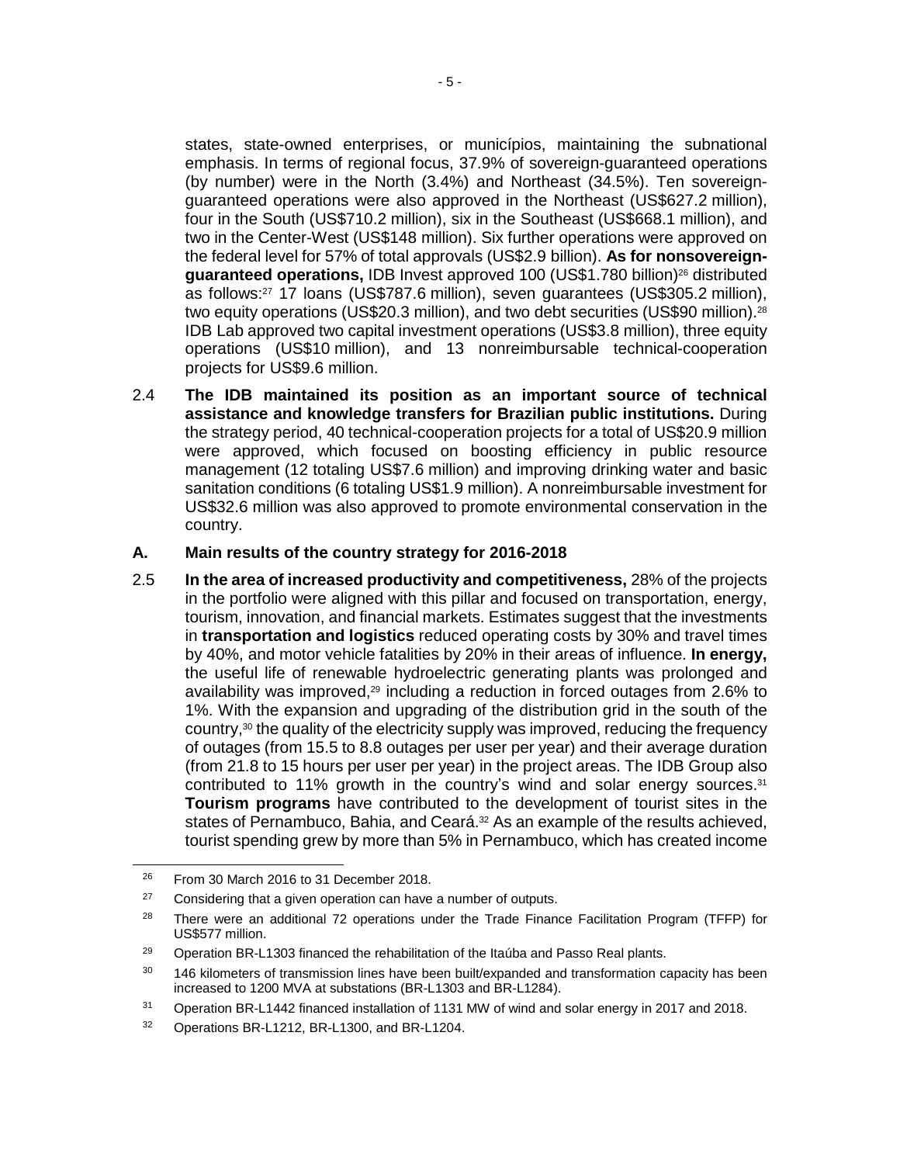states, state-owned enterprises, or municípios, maintaining the subnational emphasis. In terms of regional focus, 37.9% of sovereign-guaranteed operations (by number) were in the North (3.4%) and Northeast (34.5%). Ten sovereignguaranteed operations were also approved in the Northeast (US\$627.2 million), four in the South (US\$710.2 million), six in the Southeast (US\$668.1 million), and two in the Center-West (US\$148 million). Six further operations were approved on the federal level for 57% of total approvals (US\$2.9 billion). **As for nonsovereignguaranteed operations,** IDB Invest approved 100 (US\$1.780 billion)<sup>26</sup> distributed as follows:<sup>27</sup> 17 loans (US\$787.6 million), seven guarantees (US\$305.2 million), two equity operations (US\$20.3 million), and two debt securities (US\$90 million).<sup>28</sup> IDB Lab approved two capital investment operations (US\$3.8 million), three equity operations (US\$10 million), and 13 nonreimbursable technical-cooperation projects for US\$9.6 million.

2.4 **The IDB maintained its position as an important source of technical assistance and knowledge transfers for Brazilian public institutions.** During the strategy period, 40 technical-cooperation projects for a total of US\$20.9 million were approved, which focused on boosting efficiency in public resource management (12 totaling US\$7.6 million) and improving drinking water and basic sanitation conditions (6 totaling US\$1.9 million). A nonreimbursable investment for US\$32.6 million was also approved to promote environmental conservation in the country.

### **A. Main results of the country strategy for 2016-2018**

2.5 **In the area of increased productivity and competitiveness,** 28% of the projects in the portfolio were aligned with this pillar and focused on transportation, energy, tourism, innovation, and financial markets. Estimates suggest that the investments in **transportation and logistics** reduced operating costs by 30% and travel times by 40%, and motor vehicle fatalities by 20% in their areas of influence. **In energy,** the useful life of renewable hydroelectric generating plants was prolonged and availability was improved,<sup>29</sup> including a reduction in forced outages from 2.6% to 1%. With the expansion and upgrading of the distribution grid in the south of the country, $30$  the quality of the electricity supply was improved, reducing the frequency of outages (from 15.5 to 8.8 outages per user per year) and their average duration (from 21.8 to 15 hours per user per year) in the project areas. The IDB Group also contributed to 11% growth in the country's wind and solar energy sources.<sup>31</sup> **Tourism programs** have contributed to the development of tourist sites in the states of Pernambuco, Bahia, and Ceará.<sup>32</sup> As an example of the results achieved, tourist spending grew by more than 5% in Pernambuco, which has created income

<sup>&</sup>lt;sup>26</sup> From 30 March 2016 to 31 December 2018.

 $27$  Considering that a given operation can have a number of outputs.

<sup>&</sup>lt;sup>28</sup> There were an additional 72 operations under the Trade Finance Facilitation Program (TFFP) for US\$577 million.

<sup>&</sup>lt;sup>29</sup> Operation BR-L1303 financed the rehabilitation of the Itaúba and Passo Real plants.

<sup>&</sup>lt;sup>30</sup> 146 kilometers of transmission lines have been built/expanded and transformation capacity has been increased to 1200 MVA at substations (BR-L1303 and BR-L1284).

<sup>31</sup> Operation BR-L1442 financed installation of 1131 MW of wind and solar energy in 2017 and 2018.

<sup>32</sup> Operations BR-L1212, BR-L1300, and BR-L1204.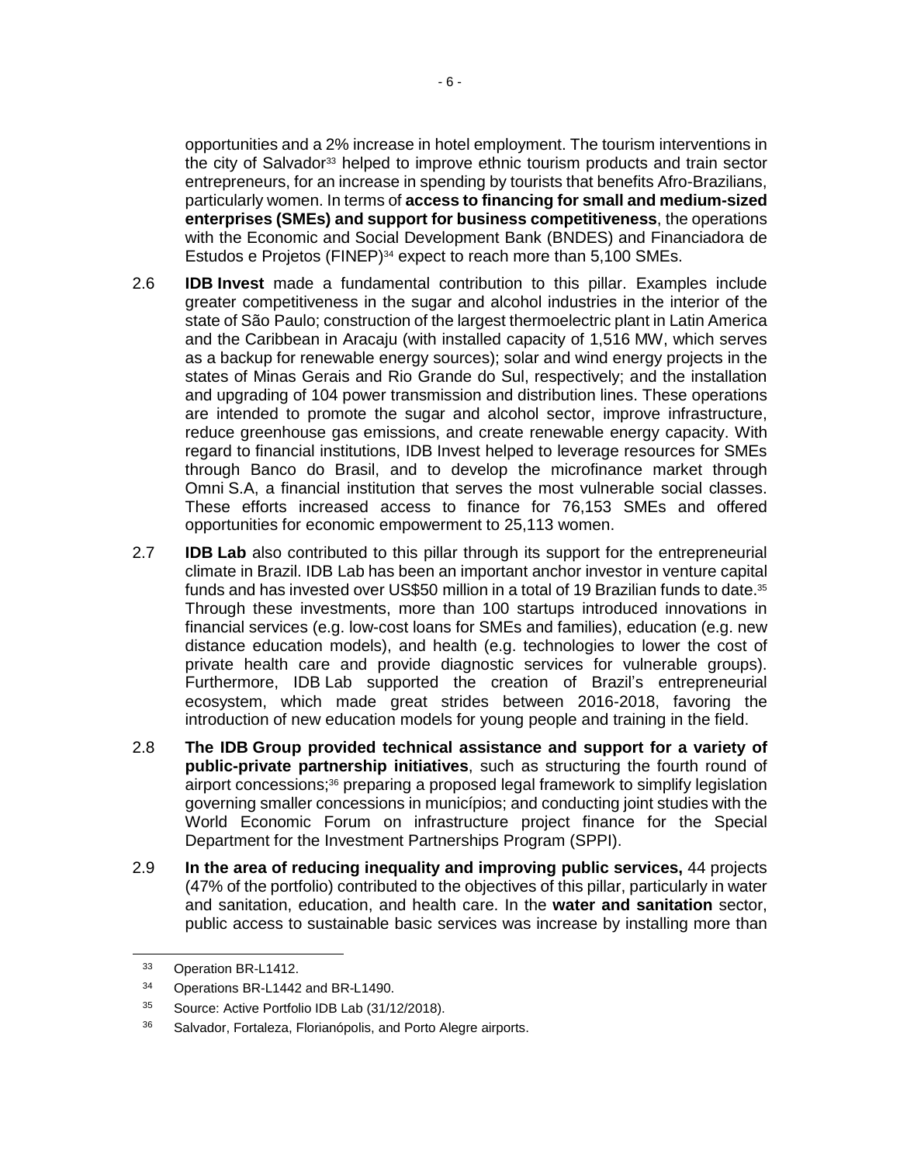opportunities and a 2% increase in hotel employment. The tourism interventions in the city of Salvador<sup>33</sup> helped to improve ethnic tourism products and train sector entrepreneurs, for an increase in spending by tourists that benefits Afro-Brazilians, particularly women. In terms of **access to financing for small and medium-sized enterprises (SMEs) and support for business competitiveness**, the operations with the Economic and Social Development Bank (BNDES) and Financiadora de Estudos e Projetos (FINEP)<sup>34</sup> expect to reach more than 5,100 SMEs.

- 2.6 **IDB Invest** made a fundamental contribution to this pillar. Examples include greater competitiveness in the sugar and alcohol industries in the interior of the state of São Paulo; construction of the largest thermoelectric plant in Latin America and the Caribbean in Aracaju (with installed capacity of 1,516 MW, which serves as a backup for renewable energy sources); solar and wind energy projects in the states of Minas Gerais and Rio Grande do Sul, respectively; and the installation and upgrading of 104 power transmission and distribution lines. These operations are intended to promote the sugar and alcohol sector, improve infrastructure, reduce greenhouse gas emissions, and create renewable energy capacity. With regard to financial institutions, IDB Invest helped to leverage resources for SMEs through Banco do Brasil, and to develop the microfinance market through Omni S.A, a financial institution that serves the most vulnerable social classes. These efforts increased access to finance for 76,153 SMEs and offered opportunities for economic empowerment to 25,113 women.
- 2.7 **IDB Lab** also contributed to this pillar through its support for the entrepreneurial climate in Brazil. IDB Lab has been an important anchor investor in venture capital funds and has invested over US\$50 million in a total of 19 Brazilian funds to date.<sup>35</sup> Through these investments, more than 100 startups introduced innovations in financial services (e.g. low-cost loans for SMEs and families), education (e.g. new distance education models), and health (e.g. technologies to lower the cost of private health care and provide diagnostic services for vulnerable groups). Furthermore, IDB Lab supported the creation of Brazil's entrepreneurial ecosystem, which made great strides between 2016-2018, favoring the introduction of new education models for young people and training in the field.
- 2.8 **The IDB Group provided technical assistance and support for a variety of public-private partnership initiatives**, such as structuring the fourth round of airport concessions;<sup>36</sup> preparing a proposed legal framework to simplify legislation governing smaller concessions in municípios; and conducting joint studies with the World Economic Forum on infrastructure project finance for the Special Department for the Investment Partnerships Program (SPPI).
- 2.9 **In the area of reducing inequality and improving public services,** 44 projects (47% of the portfolio) contributed to the objectives of this pillar, particularly in water and sanitation, education, and health care. In the **water and sanitation** sector, public access to sustainable basic services was increase by installing more than

 $\overline{a}$ 

<sup>33</sup> Operation BR-L1412.

<sup>34</sup> Operations BR-L1442 and BR-L1490.

<sup>35</sup> Source: Active Portfolio IDB Lab (31/12/2018).

<sup>36</sup> Salvador, Fortaleza, Florianópolis, and Porto Alegre airports.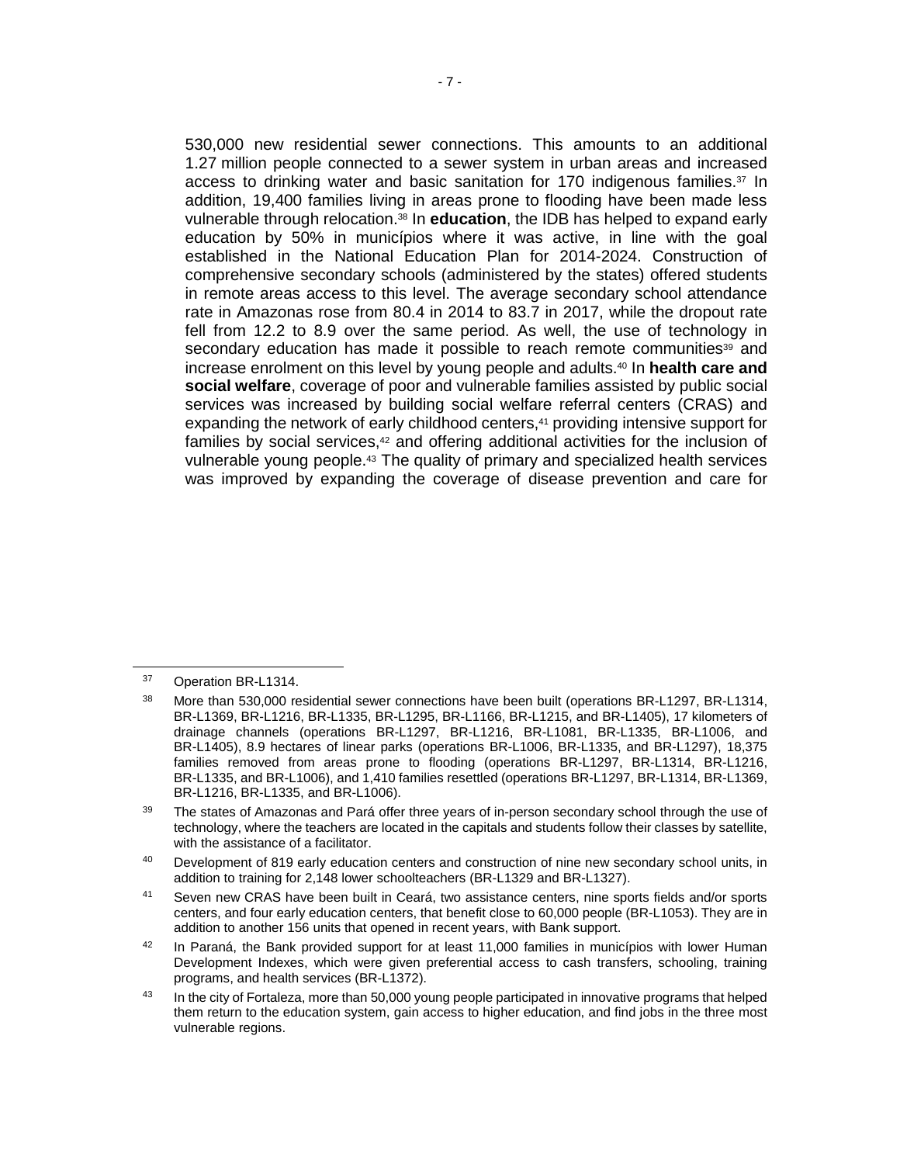530,000 new residential sewer connections. This amounts to an additional 1.27 million people connected to a sewer system in urban areas and increased access to drinking water and basic sanitation for 170 indigenous families. $37 \text{ In}$ addition, 19,400 families living in areas prone to flooding have been made less vulnerable through relocation.<sup>38</sup> In **education**, the IDB has helped to expand early education by 50% in municípios where it was active, in line with the goal established in the National Education Plan for 2014-2024. Construction of comprehensive secondary schools (administered by the states) offered students in remote areas access to this level. The average secondary school attendance rate in Amazonas rose from 80.4 in 2014 to 83.7 in 2017, while the dropout rate fell from 12.2 to 8.9 over the same period. As well, the use of technology in secondary education has made it possible to reach remote communities<sup>39</sup> and increase enrolment on this level by young people and adults.<sup>40</sup> In **health care and social welfare**, coverage of poor and vulnerable families assisted by public social services was increased by building social welfare referral centers (CRAS) and expanding the network of early childhood centers,<sup>41</sup> providing intensive support for families by social services, $42$  and offering additional activities for the inclusion of vulnerable young people. <sup>43</sup> The quality of primary and specialized health services was improved by expanding the coverage of disease prevention and care for

<sup>37</sup> Operation BR-L1314.

<sup>&</sup>lt;sup>38</sup> More than 530,000 residential sewer connections have been built (operations BR-L1297, BR-L1314, BR-L1369, BR-L1216, BR-L1335, BR-L1295, BR-L1166, BR-L1215, and BR-L1405), 17 kilometers of drainage channels (operations BR-L1297, BR-L1216, BR-L1081, BR-L1335, BR-L1006, and BR-L1405), 8.9 hectares of linear parks (operations BR-L1006, BR-L1335, and BR-L1297), 18,375 families removed from areas prone to flooding (operations BR-L1297, BR-L1314, BR-L1216, BR-L1335, and BR-L1006), and 1,410 families resettled (operations BR-L1297, BR-L1314, BR-L1369, BR-L1216, BR-L1335, and BR-L1006).

<sup>&</sup>lt;sup>39</sup> The states of Amazonas and Pará offer three years of in-person secondary school through the use of technology, where the teachers are located in the capitals and students follow their classes by satellite, with the assistance of a facilitator.

<sup>40</sup> Development of 819 early education centers and construction of nine new secondary school units, in addition to training for 2,148 lower schoolteachers (BR-L1329 and BR-L1327).

<sup>41</sup> Seven new CRAS have been built in Ceará, two assistance centers, nine sports fields and/or sports centers, and four early education centers, that benefit close to 60,000 people (BR-L1053). They are in addition to another 156 units that opened in recent years, with Bank support.

<sup>&</sup>lt;sup>42</sup> In Paraná, the Bank provided support for at least 11,000 families in municípios with lower Human Development Indexes, which were given preferential access to cash transfers, schooling, training programs, and health services (BR-L1372).

<sup>&</sup>lt;sup>43</sup> In the city of Fortaleza, more than 50,000 young people participated in innovative programs that helped them return to the education system, gain access to higher education, and find jobs in the three most vulnerable regions.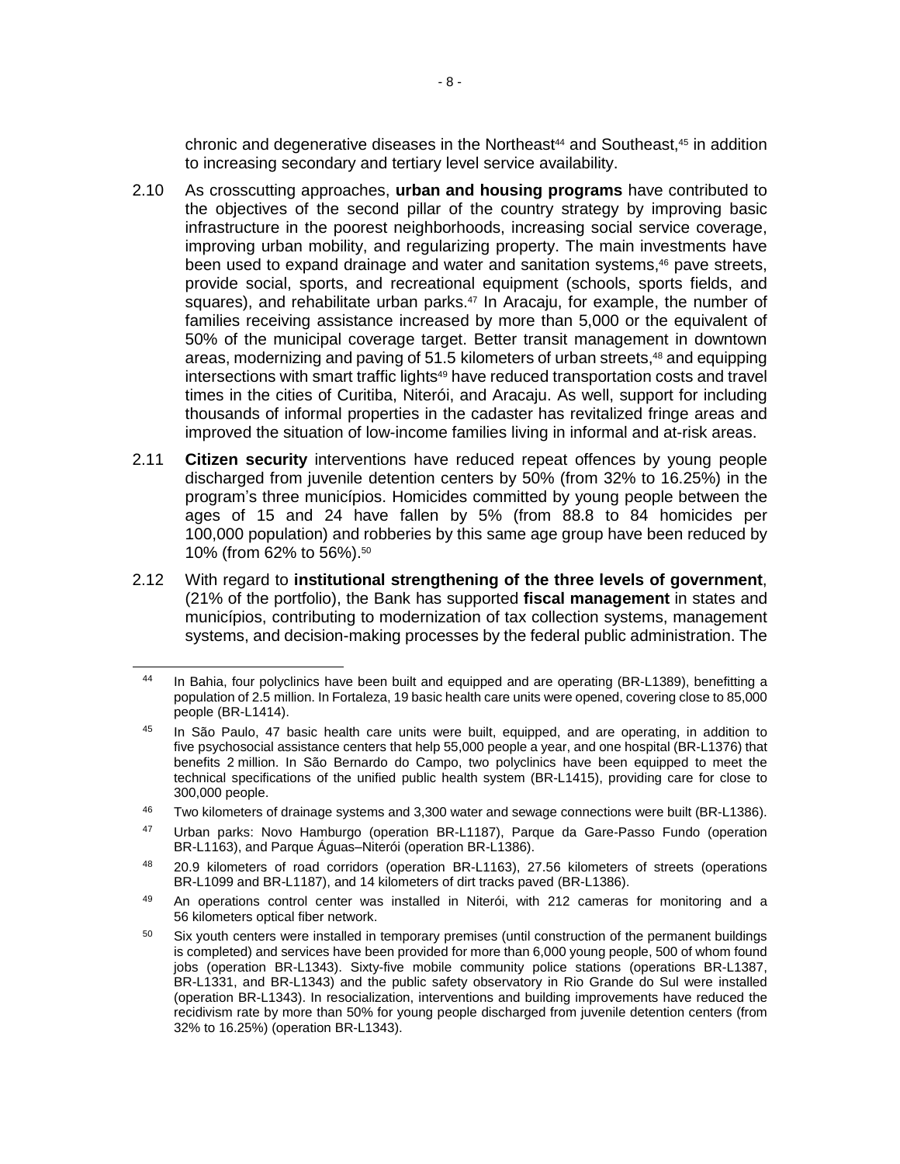chronic and degenerative diseases in the Northeast $44$  and Southeast, $45$  in addition to increasing secondary and tertiary level service availability.

- 2.10 As crosscutting approaches, **urban and housing programs** have contributed to the objectives of the second pillar of the country strategy by improving basic infrastructure in the poorest neighborhoods, increasing social service coverage, improving urban mobility, and regularizing property. The main investments have been used to expand drainage and water and sanitation systems, <sup>46</sup> pave streets, provide social, sports, and recreational equipment (schools, sports fields, and squares), and rehabilitate urban parks. $47$  In Aracaju, for example, the number of families receiving assistance increased by more than 5,000 or the equivalent of 50% of the municipal coverage target. Better transit management in downtown areas, modernizing and paving of 51.5 kilometers of urban streets,<sup>48</sup> and equipping intersections with smart traffic lights<sup>49</sup> have reduced transportation costs and travel times in the cities of Curitiba, Niterói, and Aracaju. As well, support for including thousands of informal properties in the cadaster has revitalized fringe areas and improved the situation of low-income families living in informal and at-risk areas.
- 2.11 **Citizen security** interventions have reduced repeat offences by young people discharged from juvenile detention centers by 50% (from 32% to 16.25%) in the program's three municípios. Homicides committed by young people between the ages of 15 and 24 have fallen by 5% (from 88.8 to 84 homicides per 100,000 population) and robberies by this same age group have been reduced by 10% (from 62% to 56%).<sup>50</sup>
- 2.12 With regard to **institutional strengthening of the three levels of government**, (21% of the portfolio), the Bank has supported **fiscal management** in states and municípios, contributing to modernization of tax collection systems, management systems, and decision-making processes by the federal public administration. The

In Bahia, four polyclinics have been built and equipped and are operating (BR-L1389), benefitting a population of 2.5 million. In Fortaleza, 19 basic health care units were opened, covering close to 85,000 people (BR-L1414).

<sup>&</sup>lt;sup>45</sup> In São Paulo, 47 basic health care units were built, equipped, and are operating, in addition to five psychosocial assistance centers that help 55,000 people a year, and one hospital (BR-L1376) that benefits 2 million. In São Bernardo do Campo, two polyclinics have been equipped to meet the technical specifications of the unified public health system (BR-L1415), providing care for close to 300,000 people.

<sup>&</sup>lt;sup>46</sup> Two kilometers of drainage systems and 3,300 water and sewage connections were built (BR-L1386).

<sup>47</sup> Urban parks: Novo Hamburgo (operation BR-L1187), Parque da Gare-Passo Fundo (operation BR-L1163), and Parque Águas–Niterói (operation BR-L1386).

<sup>48</sup> 20.9 kilometers of road corridors (operation BR-L1163), 27.56 kilometers of streets (operations BR-L1099 and BR-L1187), and 14 kilometers of dirt tracks paved (BR-L1386).

<sup>49</sup> An operations control center was installed in Niterói, with 212 cameras for monitoring and a 56 kilometers optical fiber network.

<sup>&</sup>lt;sup>50</sup> Six youth centers were installed in temporary premises (until construction of the permanent buildings is completed) and services have been provided for more than 6,000 young people, 500 of whom found jobs (operation BR-L1343). Sixty-five mobile community police stations (operations BR-L1387, BR-L1331, and BR-L1343) and the public safety observatory in Rio Grande do Sul were installed (operation BR-L1343). In resocialization, interventions and building improvements have reduced the recidivism rate by more than 50% for young people discharged from juvenile detention centers (from 32% to 16.25%) (operation BR-L1343).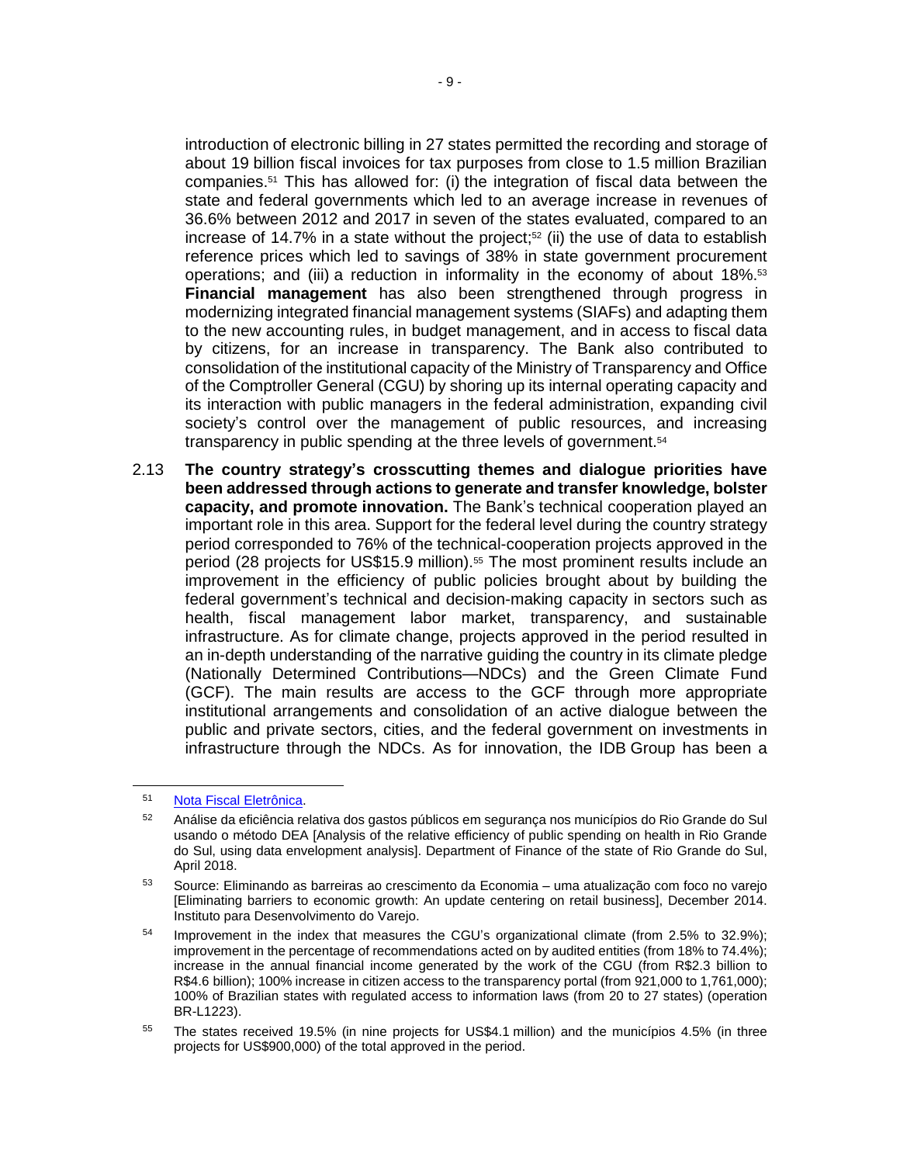introduction of electronic billing in 27 states permitted the recording and storage of about 19 billion fiscal invoices for tax purposes from close to 1.5 million Brazilian companies.<sup>51</sup> This has allowed for: (i) the integration of fiscal data between the state and federal governments which led to an average increase in revenues of 36.6% between 2012 and 2017 in seven of the states evaluated, compared to an increase of 14.7% in a state without the project; $52$  (ii) the use of data to establish reference prices which led to savings of 38% in state government procurement operations; and (iii) a reduction in informality in the economy of about  $18\%$ .<sup>53</sup> **Financial management** has also been strengthened through progress in modernizing integrated financial management systems (SIAFs) and adapting them to the new accounting rules, in budget management, and in access to fiscal data by citizens, for an increase in transparency. The Bank also contributed to consolidation of the institutional capacity of the Ministry of Transparency and Office of the Comptroller General (CGU) by shoring up its internal operating capacity and its interaction with public managers in the federal administration, expanding civil society's control over the management of public resources, and increasing transparency in public spending at the three levels of government.<sup>54</sup>

2.13 **The country strategy's crosscutting themes and dialogue priorities have been addressed through actions to generate and transfer knowledge, bolster capacity, and promote innovation.** The Bank's technical cooperation played an important role in this area. Support for the federal level during the country strategy period corresponded to 76% of the technical-cooperation projects approved in the period (28 projects for US\$15.9 million).<sup>55</sup> The most prominent results include an improvement in the efficiency of public policies brought about by building the federal government's technical and decision-making capacity in sectors such as health, fiscal management labor market, transparency, and sustainable infrastructure. As for climate change, projects approved in the period resulted in an in-depth understanding of the narrative guiding the country in its climate pledge (Nationally Determined Contributions—NDCs) and the Green Climate Fund (GCF). The main results are access to the GCF through more appropriate institutional arrangements and consolidation of an active dialogue between the public and private sectors, cities, and the federal government on investments in infrastructure through the NDCs. As for innovation, the IDB Group has been a

 $\overline{a}$ 

<sup>51</sup> Nota Fiscal [Eletrônica.](http://www.nfe.fazenda.gov.br/portal/infoestatisticas.aspx)

<sup>52</sup> Análise da eficiência relativa dos gastos públicos em segurança nos municípios do Rio Grande do Sul usando o método DEA [Analysis of the relative efficiency of public spending on health in Rio Grande do Sul, using data envelopment analysis]. [Department](https://tesouro.fazenda.rs.gov.br/upload/1528758942_Texto_discussao_TE_09_ADELAR_et_al_DEA_gastos_saude.pdf) of Finance of the state of Rio Grande do Sul, April [2018.](https://tesouro.fazenda.rs.gov.br/upload/1528758942_Texto_discussao_TE_09_ADELAR_et_al_DEA_gastos_saude.pdf)

<sup>53</sup> Source: Eliminando as barreiras ao crescimento da Economia – uma atualização com foco no varejo [Eliminating barriers to economic growth: An update centering on retail business], December 2014. Instituto para Desenvolvimento do Varejo.

<sup>&</sup>lt;sup>54</sup> Improvement in the index that measures the CGU's organizational climate (from 2.5% to 32.9%); improvement in the percentage of recommendations acted on by audited entities (from 18% to 74.4%); increase in the annual financial income generated by the work of the CGU (from R\$2.3 billion to R\$4.6 billion); 100% increase in citizen access to the transparency portal (from 921,000 to 1,761,000); 100% of Brazilian states with regulated access to information laws (from 20 to 27 states) (operation BR-L1223).

<sup>55</sup> The states received 19.5% (in nine projects for US\$4.1 million) and the municípios 4.5% (in three projects for US\$900,000) of the total approved in the period.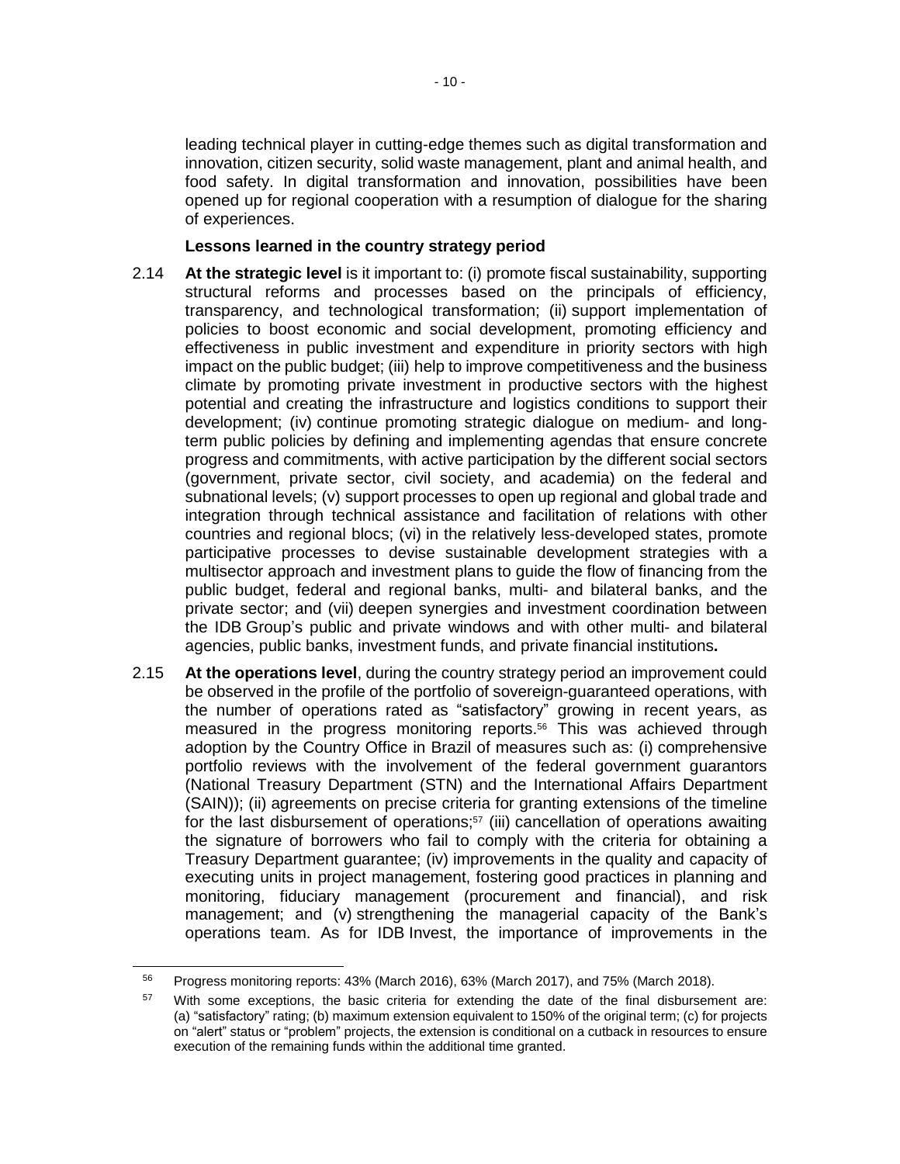leading technical player in cutting-edge themes such as digital transformation and innovation, citizen security, solid waste management, plant and animal health, and food safety. In digital transformation and innovation, possibilities have been opened up for regional cooperation with a resumption of dialogue for the sharing of experiences.

#### **Lessons learned in the country strategy period**

- 2.14 **At the strategic level** is it important to: (i) promote fiscal sustainability, supporting structural reforms and processes based on the principals of efficiency, transparency, and technological transformation; (ii) support implementation of policies to boost economic and social development, promoting efficiency and effectiveness in public investment and expenditure in priority sectors with high impact on the public budget; (iii) help to improve competitiveness and the business climate by promoting private investment in productive sectors with the highest potential and creating the infrastructure and logistics conditions to support their development; (iv) continue promoting strategic dialogue on medium- and longterm public policies by defining and implementing agendas that ensure concrete progress and commitments, with active participation by the different social sectors (government, private sector, civil society, and academia) on the federal and subnational levels; (v) support processes to open up regional and global trade and integration through technical assistance and facilitation of relations with other countries and regional blocs; (vi) in the relatively less-developed states, promote participative processes to devise sustainable development strategies with a multisector approach and investment plans to guide the flow of financing from the public budget, federal and regional banks, multi- and bilateral banks, and the private sector; and (vii) deepen synergies and investment coordination between the IDB Group's public and private windows and with other multi- and bilateral agencies, public banks, investment funds, and private financial institutions**.**
- 2.15 **At the operations level**, during the country strategy period an improvement could be observed in the profile of the portfolio of sovereign-guaranteed operations, with the number of operations rated as "satisfactory" growing in recent years, as measured in the progress monitoring reports.<sup>56</sup> This was achieved through adoption by the Country Office in Brazil of measures such as: (i) comprehensive portfolio reviews with the involvement of the federal government guarantors (National Treasury Department (STN) and the International Affairs Department (SAIN)); (ii) agreements on precise criteria for granting extensions of the timeline for the last disbursement of operations;<sup>57</sup> (iii) cancellation of operations awaiting the signature of borrowers who fail to comply with the criteria for obtaining a Treasury Department guarantee; (iv) improvements in the quality and capacity of executing units in project management, fostering good practices in planning and monitoring, fiduciary management (procurement and financial), and risk management; and (v) strengthening the managerial capacity of the Bank's operations team. As for IDB Invest, the importance of improvements in the

<sup>56</sup> Progress monitoring reports: 43% (March 2016), 63% (March 2017), and 75% (March 2018).

With some exceptions, the basic criteria for extending the date of the final disbursement are: (a) "satisfactory" rating; (b) maximum extension equivalent to 150% of the original term; (c) for projects on "alert" status or "problem" projects, the extension is conditional on a cutback in resources to ensure execution of the remaining funds within the additional time granted.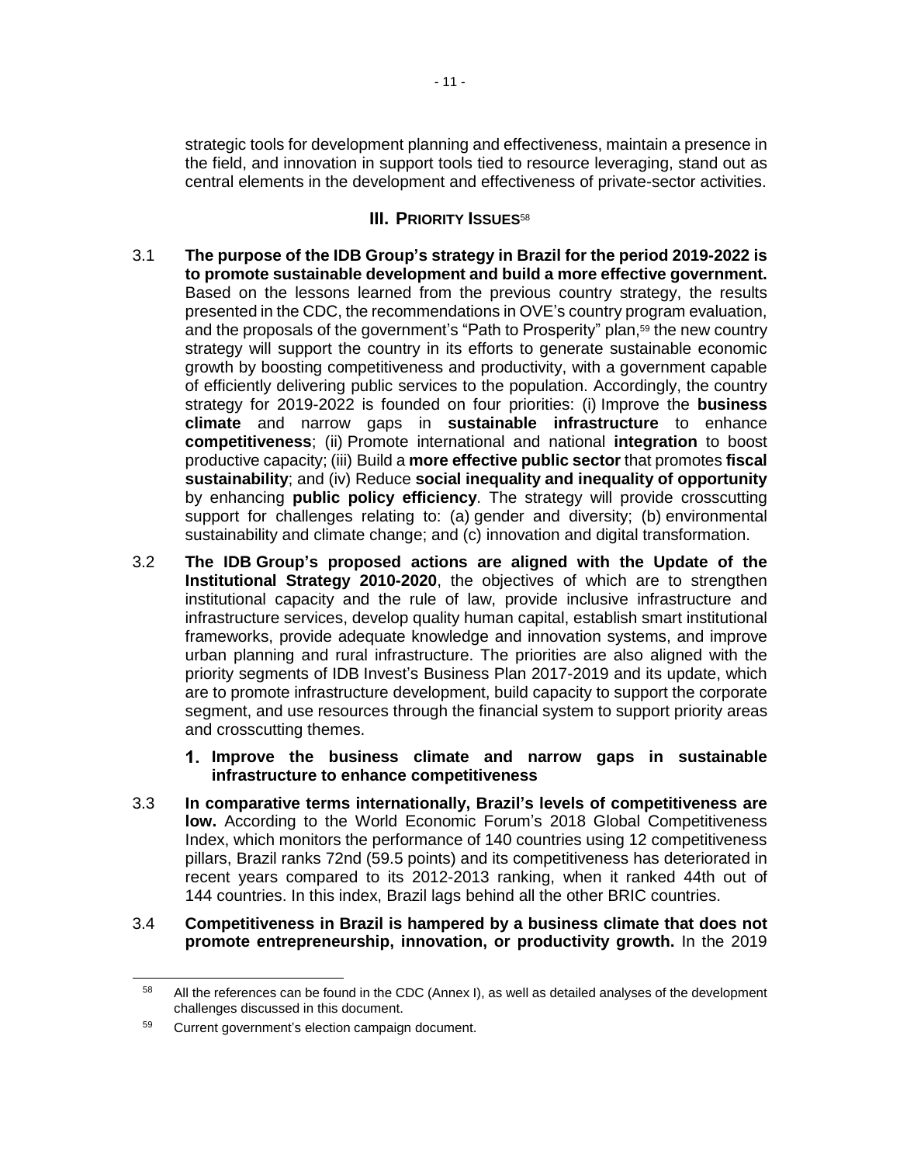strategic tools for development planning and effectiveness, maintain a presence in the field, and innovation in support tools tied to resource leveraging, stand out as central elements in the development and effectiveness of private-sector activities.

## **III. PRIORITY ISSUES**<sup>58</sup>

- 3.1 **The purpose of the IDB Group's strategy in Brazil for the period 2019-2022 is to promote sustainable development and build a more effective government.** Based on the lessons learned from the previous country strategy, the results presented in the CDC, the recommendations in OVE's country program evaluation, and the proposals of the government's "Path to Prosperity" plan,<sup>59</sup> the new country strategy will support the country in its efforts to generate sustainable economic growth by boosting competitiveness and productivity, with a government capable of efficiently delivering public services to the population. Accordingly, the country strategy for 2019-2022 is founded on four priorities: (i) Improve the **business climate** and narrow gaps in **sustainable infrastructure** to enhance **competitiveness**; (ii) Promote international and national **integration** to boost productive capacity; (iii) Build a **more effective public sector** that promotes **fiscal sustainability**; and (iv) Reduce **social inequality and inequality of opportunity** by enhancing **public policy efficiency**. The strategy will provide crosscutting support for challenges relating to: (a) gender and diversity; (b) environmental sustainability and climate change; and (c) innovation and digital transformation.
- 3.2 **The IDB Group's proposed actions are aligned with the Update of the Institutional Strategy 2010-2020**, the objectives of which are to strengthen institutional capacity and the rule of law, provide inclusive infrastructure and infrastructure services, develop quality human capital, establish smart institutional frameworks, provide adequate knowledge and innovation systems, and improve urban planning and rural infrastructure. The priorities are also aligned with the priority segments of IDB Invest's Business Plan 2017-2019 and its update, which are to promote infrastructure development, build capacity to support the corporate segment, and use resources through the financial system to support priority areas and crosscutting themes.
	- **Improve the business climate and narrow gaps in sustainable infrastructure to enhance competitiveness**
- 3.3 **In comparative terms internationally, Brazil's levels of competitiveness are low.** According to the World Economic Forum's 2018 Global Competitiveness Index, which monitors the performance of 140 countries using 12 competitiveness pillars, Brazil ranks 72nd (59.5 points) and its competitiveness has deteriorated in recent years compared to its 2012-2013 ranking, when it ranked 44th out of 144 countries. In this index, Brazil lags behind all the other BRIC countries.
- 3.4 **Competitiveness in Brazil is hampered by a business climate that does not promote entrepreneurship, innovation, or productivity growth.** In the 2019

<sup>&</sup>lt;sup>58</sup> All the references can be found in the CDC (Annex I), as well as detailed analyses of the development challenges discussed in this document.

<sup>59</sup> Current government's election campaign document.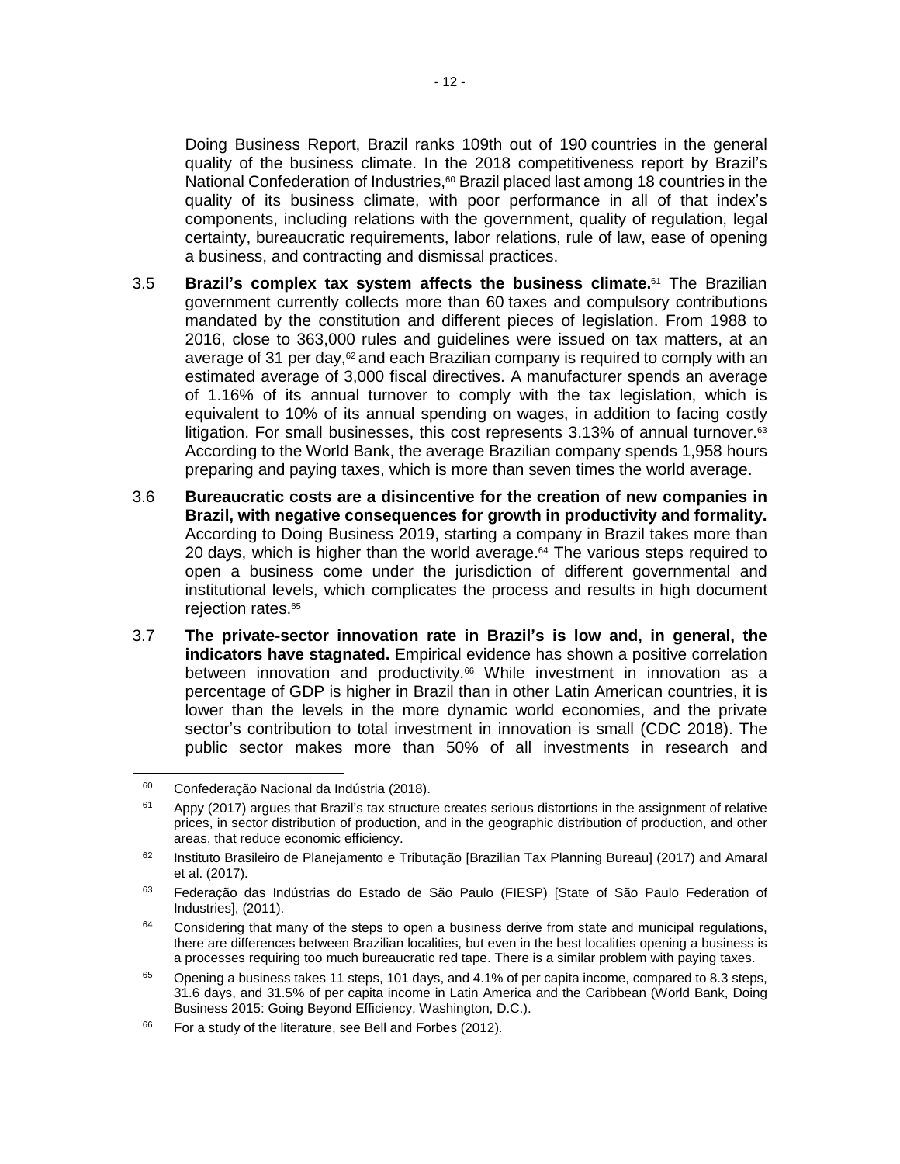Doing Business Report, Brazil ranks 109th out of 190 countries in the general quality of the business climate. In the 2018 competitiveness report by Brazil's National Confederation of Industries,<sup>60</sup> Brazil placed last among 18 countries in the quality of its business climate, with poor performance in all of that index's components, including relations with the government, quality of regulation, legal certainty, bureaucratic requirements, labor relations, rule of law, ease of opening a business, and contracting and dismissal practices.

- 3.5 **Brazil's complex tax system affects the business climate.** <sup>61</sup> The Brazilian government currently collects more than 60 taxes and compulsory contributions mandated by the constitution and different pieces of legislation. From 1988 to 2016, close to 363,000 rules and guidelines were issued on tax matters, at an average of 31 per day,<sup>62</sup> and each Brazilian company is required to comply with an estimated average of 3,000 fiscal directives. A manufacturer spends an average of 1.16% of its annual turnover to comply with the tax legislation, which is equivalent to 10% of its annual spending on wages, in addition to facing costly litigation. For small businesses, this cost represents  $3.13\%$  of annual turnover. $63$ According to the World Bank, the average Brazilian company spends 1,958 hours preparing and paying taxes, which is more than seven times the world average.
- 3.6 **Bureaucratic costs are a disincentive for the creation of new companies in Brazil, with negative consequences for growth in productivity and formality.** According to Doing Business 2019, starting a company in Brazil takes more than 20 days, which is higher than the world average. $64$  The various steps required to open a business come under the jurisdiction of different governmental and institutional levels, which complicates the process and results in high document rejection rates.<sup>65</sup>
- 3.7 **The private-sector innovation rate in Brazil's is low and, in general, the indicators have stagnated.** Empirical evidence has shown a positive correlation between innovation and productivity. <sup>66</sup> While investment in innovation as a percentage of GDP is higher in Brazil than in other Latin American countries, it is lower than the levels in the more dynamic world economies, and the private sector's contribution to total investment in innovation is small (CDC 2018). The public sector makes more than 50% of all investments in research and

<sup>60</sup> Confederação Nacional da Indústria (2018).

 $61$  Appy (2017) argues that Brazil's tax structure creates serious distortions in the assignment of relative prices, in sector distribution of production, and in the geographic distribution of production, and other areas, that reduce economic efficiency.

<sup>&</sup>lt;sup>62</sup> Instituto Brasileiro de Planejamento e Tributação [Brazilian Tax Planning Bureau] (2017) and Amaral et al. (2017).

<sup>&</sup>lt;sup>63</sup> Federação das Indústrias do Estado de São Paulo (FIESP) [State of São Paulo Federation of Industries], (2011).

 $64$  Considering that many of the steps to open a business derive from state and municipal regulations, there are differences between Brazilian localities, but even in the best localities opening a business is a processes requiring too much bureaucratic red tape. There is a similar problem with paying taxes.

 $65$  Opening a business takes 11 steps, 101 days, and 4.1% of per capita income, compared to 8.3 steps, 31.6 days, and 31.5% of per capita income in Latin America and the Caribbean (World Bank, Doing Business 2015: Going Beyond Efficiency, Washington, D.C.).

<sup>&</sup>lt;sup>66</sup> For a study of the literature, see Bell and Forbes (2012).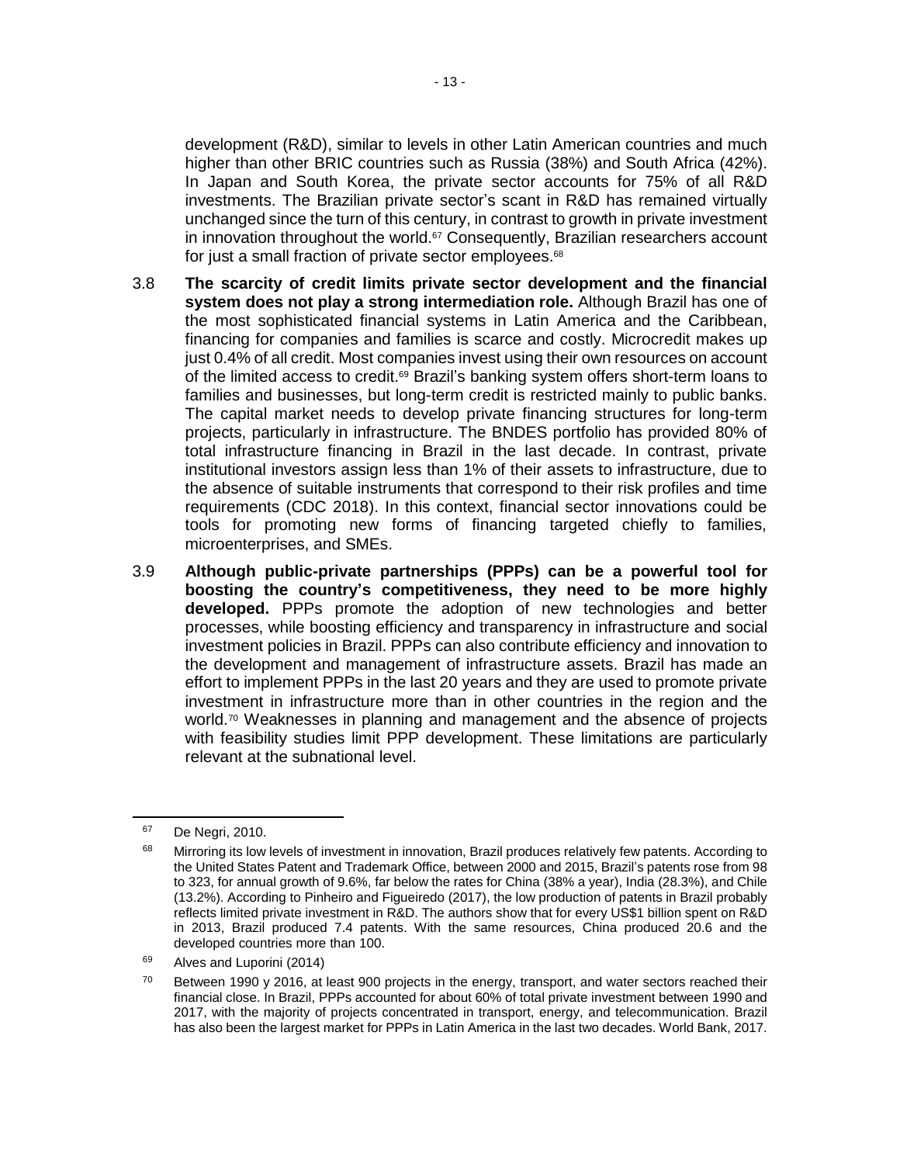development (R&D), similar to levels in other Latin American countries and much higher than other BRIC countries such as Russia (38%) and South Africa (42%). In Japan and South Korea, the private sector accounts for 75% of all R&D investments. The Brazilian private sector's scant in R&D has remained virtually unchanged since the turn of this century, in contrast to growth in private investment in innovation throughout the world. $57$  Consequently, Brazilian researchers account for just a small fraction of private sector employees.<sup>68</sup>

- 3.8 **The scarcity of credit limits private sector development and the financial system does not play a strong intermediation role.** Although Brazil has one of the most sophisticated financial systems in Latin America and the Caribbean, financing for companies and families is scarce and costly. Microcredit makes up just 0.4% of all credit. Most companies invest using their own resources on account of the limited access to credit.<sup>69</sup> Brazil's banking system offers short-term loans to families and businesses, but long-term credit is restricted mainly to public banks. The capital market needs to develop private financing structures for long-term projects, particularly in infrastructure. The BNDES portfolio has provided 80% of total infrastructure financing in Brazil in the last decade. In contrast, private institutional investors assign less than 1% of their assets to infrastructure, due to the absence of suitable instruments that correspond to their risk profiles and time requirements (CDC 2018). In this context, financial sector innovations could be tools for promoting new forms of financing targeted chiefly to families, microenterprises, and SMEs.
- 3.9 **Although public-private partnerships (PPPs) can be a powerful tool for boosting the country's competitiveness, they need to be more highly developed.** PPPs promote the adoption of new technologies and better processes, while boosting efficiency and transparency in infrastructure and social investment policies in Brazil. PPPs can also contribute efficiency and innovation to the development and management of infrastructure assets. Brazil has made an effort to implement PPPs in the last 20 years and they are used to promote private investment in infrastructure more than in other countries in the region and the world.<sup>70</sup> Weaknesses in planning and management and the absence of projects with feasibility studies limit PPP development. These limitations are particularly relevant at the subnational level.

 $\overline{a}$ 

<sup>67</sup> De Negri, 2010.

<sup>68</sup> Mirroring its low levels of investment in innovation, Brazil produces relatively few patents. According to the United States Patent and Trademark Office, between 2000 and 2015, Brazil's patents rose from 98 to 323, for annual growth of 9.6%, far below the rates for China (38% a year), India (28.3%), and Chile (13.2%). According to Pinheiro and Figueiredo (2017), the low production of patents in Brazil probably reflects limited private investment in R&D. The authors show that for every US\$1 billion spent on R&D in 2013, Brazil produced 7.4 patents. With the same resources, China produced 20.6 and the developed countries more than 100.

<sup>&</sup>lt;sup>69</sup> Alves and Luporini (2014)

 $70$  Between 1990 v 2016, at least 900 projects in the energy, transport, and water sectors reached their financial close. In Brazil, PPPs accounted for about 60% of total private investment between 1990 and 2017, with the majority of projects concentrated in transport, energy, and telecommunication. Brazil has also been the largest market for PPPs in Latin America in the last two decades. World Bank, 2017.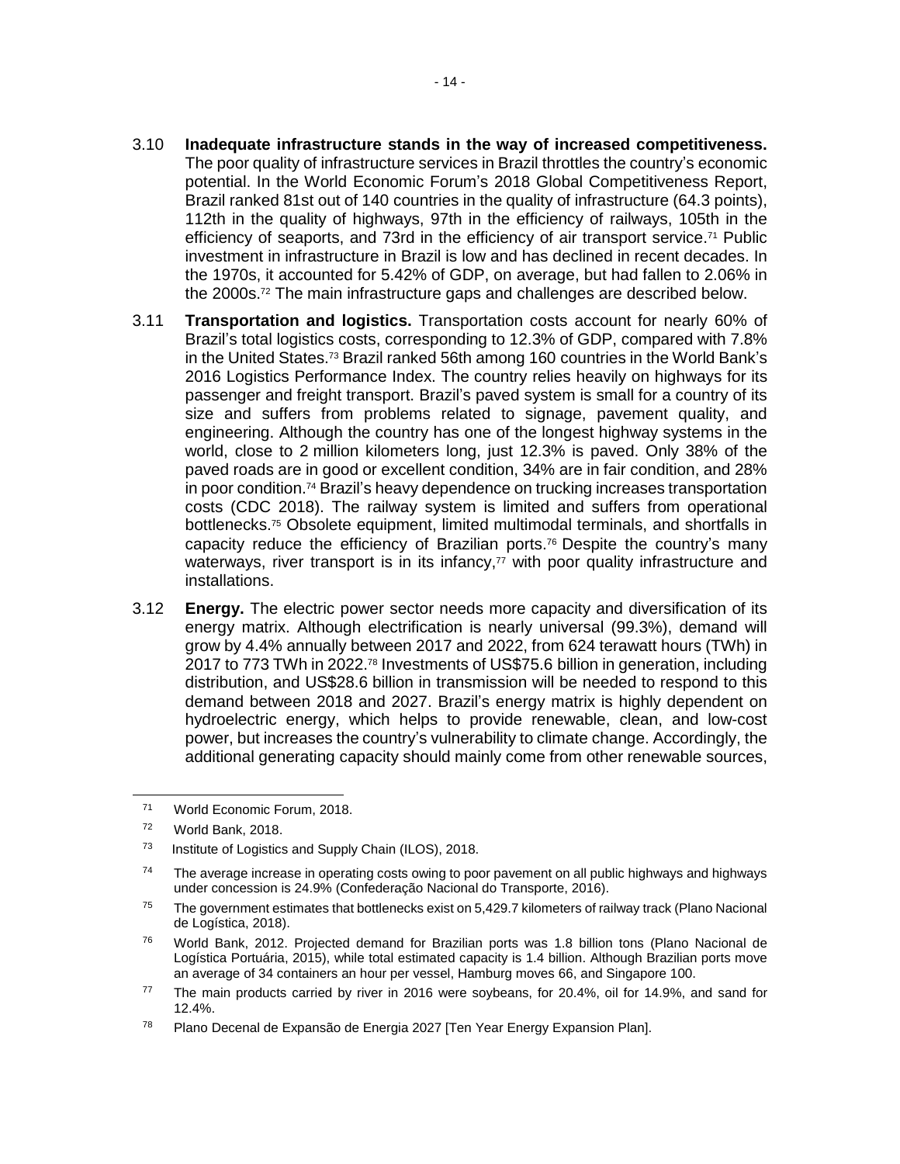- 3.10 **Inadequate infrastructure stands in the way of increased competitiveness.** The poor quality of infrastructure services in Brazil throttles the country's economic potential. In the World Economic Forum's 2018 Global Competitiveness Report, Brazil ranked 81st out of 140 countries in the quality of infrastructure (64.3 points), 112th in the quality of highways, 97th in the efficiency of railways, 105th in the efficiency of seaports, and 73rd in the efficiency of air transport service.<sup>71</sup> Public investment in infrastructure in Brazil is low and has declined in recent decades. In the 1970s, it accounted for 5.42% of GDP, on average, but had fallen to 2.06% in the 2000s.<sup>72</sup> The main infrastructure gaps and challenges are described below.
- 3.11 **Transportation and logistics.** Transportation costs account for nearly 60% of Brazil's total logistics costs, corresponding to 12.3% of GDP, compared with 7.8% in the United States.<sup>73</sup> Brazil ranked 56th among 160 countries in the World Bank's 2016 Logistics Performance Index. The country relies heavily on highways for its passenger and freight transport. Brazil's paved system is small for a country of its size and suffers from problems related to signage, pavement quality, and engineering. Although the country has one of the longest highway systems in the world, close to 2 million kilometers long, just 12.3% is paved. Only 38% of the paved roads are in good or excellent condition, 34% are in fair condition, and 28% in poor condition.<sup>74</sup> Brazil's heavy dependence on trucking increases transportation costs (CDC 2018). The railway system is limited and suffers from operational bottlenecks.<sup>75</sup> Obsolete equipment, limited multimodal terminals, and shortfalls in capacity reduce the efficiency of Brazilian ports.<sup>76</sup> Despite the country's many waterways, river transport is in its infancy,<sup>77</sup> with poor quality infrastructure and installations.
- 3.12 **Energy.** The electric power sector needs more capacity and diversification of its energy matrix. Although electrification is nearly universal (99.3%), demand will grow by 4.4% annually between 2017 and 2022, from 624 terawatt hours (TWh) in 2017 to 773 TWh in 2022.<sup>78</sup> Investments of US\$75.6 billion in generation, including distribution, and US\$28.6 billion in transmission will be needed to respond to this demand between 2018 and 2027. Brazil's energy matrix is highly dependent on hydroelectric energy, which helps to provide renewable, clean, and low-cost power, but increases the country's vulnerability to climate change. Accordingly, the additional generating capacity should mainly come from other renewable sources,

 $\overline{a}$ 

<sup>71</sup> World Economic Forum, 2018.

<sup>72</sup> World Bank, 2018.

<sup>73</sup> Institute of Logistics and Supply Chain (ILOS), 2018.

 $74$  The average increase in operating costs owing to poor pavement on all public highways and highways under concession is 24.9% (Confederação Nacional do Transporte, 2016).

 $75$  The government estimates that bottlenecks exist on 5.429.7 kilometers of railway track (Plano Nacional de Logística, 2018).

<sup>&</sup>lt;sup>76</sup> World Bank, 2012. Projected demand for Brazilian ports was 1.8 billion tons (Plano Nacional de Logística Portuária, 2015), while total estimated capacity is 1.4 billion. Although Brazilian ports move an average of 34 containers an hour per vessel, Hamburg moves 66, and Singapore 100.

<sup>77</sup> The main products carried by river in 2016 were soybeans, for 20.4%, oil for 14.9%, and sand for 12.4%.

<sup>78</sup> Plano Decenal de Expansão de Energia 2027 [Ten Year Energy Expansion Plan].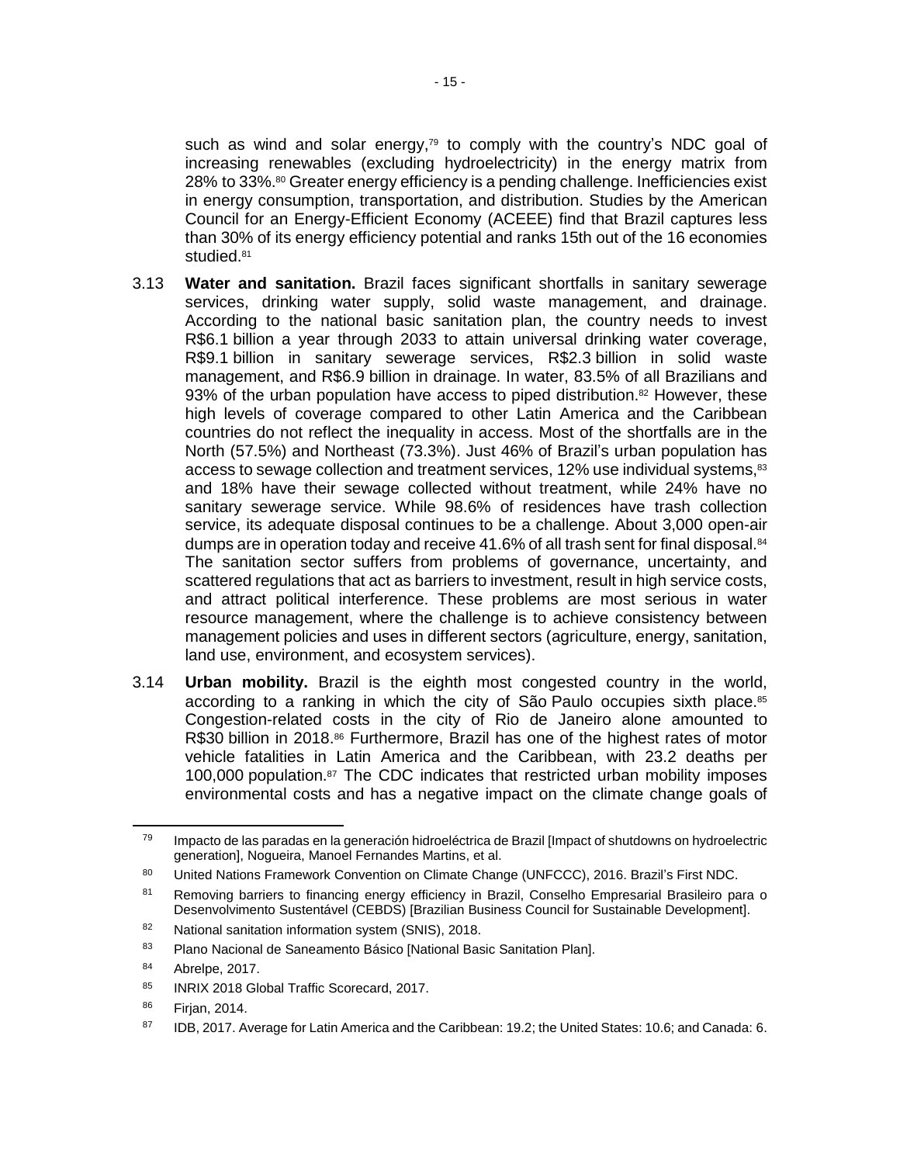such as wind and solar energy,<sup>79</sup> to comply with the country's NDC goal of increasing renewables (excluding hydroelectricity) in the energy matrix from 28% to 33%.<sup>80</sup> Greater energy efficiency is a pending challenge. Inefficiencies exist in energy consumption, transportation, and distribution. Studies by the American Council for an Energy-Efficient Economy (ACEEE) find that Brazil captures less than 30% of its energy efficiency potential and ranks 15th out of the 16 economies studied.<sup>81</sup>

- 3.13 **Water and sanitation.** Brazil faces significant shortfalls in sanitary sewerage services, drinking water supply, solid waste management, and drainage. According to the national basic sanitation plan, the country needs to invest R\$6.1 billion a year through 2033 to attain universal drinking water coverage, R\$9.1 billion in sanitary sewerage services, R\$2.3 billion in solid waste management, and R\$6.9 billion in drainage. In water, 83.5% of all Brazilians and 93% of the urban population have access to piped distribution. $82$  However, these high levels of coverage compared to other Latin America and the Caribbean countries do not reflect the inequality in access. Most of the shortfalls are in the North (57.5%) and Northeast (73.3%). Just 46% of Brazil's urban population has access to sewage collection and treatment services, 12% use individual systems,<sup>83</sup> and 18% have their sewage collected without treatment, while 24% have no sanitary sewerage service. While 98.6% of residences have trash collection service, its adequate disposal continues to be a challenge. About 3,000 open-air dumps are in operation today and receive 41.6% of all trash sent for final disposal.<sup>84</sup> The sanitation sector suffers from problems of governance, uncertainty, and scattered regulations that act as barriers to investment, result in high service costs, and attract political interference. These problems are most serious in water resource management, where the challenge is to achieve consistency between management policies and uses in different sectors (agriculture, energy, sanitation, land use, environment, and ecosystem services).
- 3.14 **Urban mobility.** Brazil is the eighth most congested country in the world, according to a ranking in which the city of São Paulo occupies sixth place.<sup>85</sup> Congestion-related costs in the city of Rio de Janeiro alone amounted to R\$30 billion in 2018.<sup>86</sup> Furthermore, Brazil has one of the highest rates of motor vehicle fatalities in Latin America and the Caribbean, with 23.2 deaths per 100,000 population.<sup>87</sup> The CDC indicates that restricted urban mobility imposes environmental costs and has a negative impact on the climate change goals of

<sup>&</sup>lt;sup>79</sup> Impacto de las paradas en la generación hidroeléctrica de Brazil [Impact of shutdowns on hydroelectric generation], Nogueira, Manoel Fernandes Martins, et al.

<sup>80</sup> United Nations Framework Convention on Climate Change (UNFCCC), 2016. Brazil's First NDC.

<sup>81</sup> Removing barriers to financing energy efficiency in Brazil, Conselho Empresarial Brasileiro para o Desenvolvimento Sustentável (CEBDS) [Brazilian Business Council for Sustainable Development].

<sup>82</sup> National sanitation information system (SNIS), 2018.

<sup>83</sup> Plano Nacional de Saneamento Básico [National Basic Sanitation Plan].

<sup>84</sup> Abrelpe, 2017.

<sup>85</sup> INRIX 2018 Global Traffic Scorecard, 2017.

<sup>86</sup> Firjan, 2014.

<sup>87</sup> IDB, 2017. Average for Latin America and the Caribbean: 19.2; the United States: 10.6; and Canada: 6.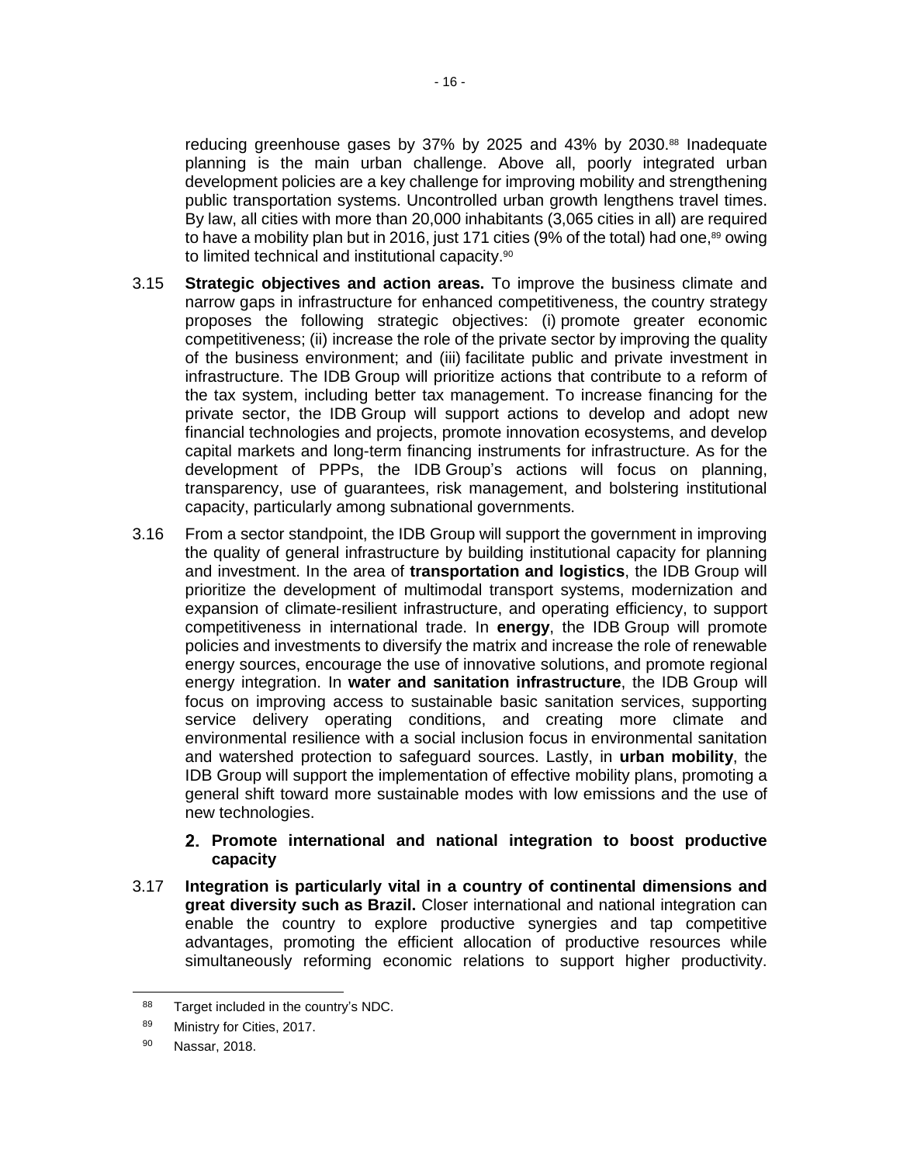reducing greenhouse gases by 37% by 2025 and 43% by 2030.88 Inadequate planning is the main urban challenge. Above all, poorly integrated urban development policies are a key challenge for improving mobility and strengthening public transportation systems. Uncontrolled urban growth lengthens travel times. By law, all cities with more than 20,000 inhabitants (3,065 cities in all) are required to have a mobility plan but in 2016, just 171 cities (9% of the total) had one, $89$  owing to limited technical and institutional capacity.<sup>90</sup>

- 3.15 **Strategic objectives and action areas.** To improve the business climate and narrow gaps in infrastructure for enhanced competitiveness, the country strategy proposes the following strategic objectives: (i) promote greater economic competitiveness; (ii) increase the role of the private sector by improving the quality of the business environment; and (iii) facilitate public and private investment in infrastructure. The IDB Group will prioritize actions that contribute to a reform of the tax system, including better tax management. To increase financing for the private sector, the IDB Group will support actions to develop and adopt new financial technologies and projects, promote innovation ecosystems, and develop capital markets and long-term financing instruments for infrastructure. As for the development of PPPs, the IDB Group's actions will focus on planning, transparency, use of guarantees, risk management, and bolstering institutional capacity, particularly among subnational governments.
- 3.16 From a sector standpoint, the IDB Group will support the government in improving the quality of general infrastructure by building institutional capacity for planning and investment. In the area of **transportation and logistics**, the IDB Group will prioritize the development of multimodal transport systems, modernization and expansion of climate-resilient infrastructure, and operating efficiency, to support competitiveness in international trade. In **energy**, the IDB Group will promote policies and investments to diversify the matrix and increase the role of renewable energy sources, encourage the use of innovative solutions, and promote regional energy integration. In **water and sanitation infrastructure**, the IDB Group will focus on improving access to sustainable basic sanitation services, supporting service delivery operating conditions, and creating more climate and environmental resilience with a social inclusion focus in environmental sanitation and watershed protection to safeguard sources. Lastly, in **urban mobility**, the IDB Group will support the implementation of effective mobility plans, promoting a general shift toward more sustainable modes with low emissions and the use of new technologies.

### **Promote international and national integration to boost productive capacity**

3.17 **Integration is particularly vital in a country of continental dimensions and great diversity such as Brazil.** Closer international and national integration can enable the country to explore productive synergies and tap competitive advantages, promoting the efficient allocation of productive resources while simultaneously reforming economic relations to support higher productivity.

<sup>88</sup> Target included in the country's NDC.

<sup>89</sup> Ministry for Cities, 2017.

<sup>90</sup> Nassar, 2018.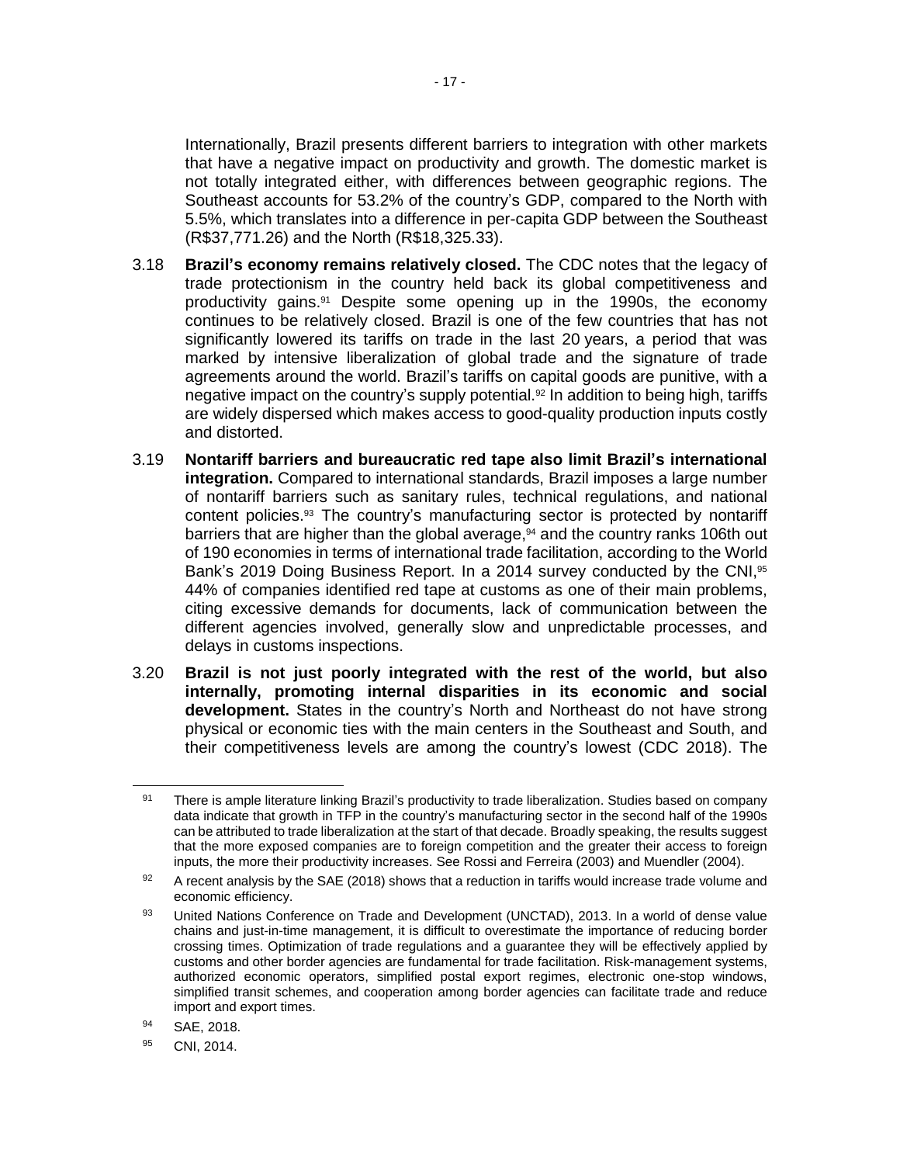Internationally, Brazil presents different barriers to integration with other markets that have a negative impact on productivity and growth. The domestic market is not totally integrated either, with differences between geographic regions. The Southeast accounts for 53.2% of the country's GDP, compared to the North with 5.5%, which translates into a difference in per-capita GDP between the Southeast (R\$37,771.26) and the North (R\$18,325.33).

- 3.18 **Brazil's economy remains relatively closed.** The CDC notes that the legacy of trade protectionism in the country held back its global competitiveness and productivity gains. <sup>91</sup> Despite some opening up in the 1990s, the economy continues to be relatively closed. Brazil is one of the few countries that has not significantly lowered its tariffs on trade in the last 20 years, a period that was marked by intensive liberalization of global trade and the signature of trade agreements around the world. Brazil's tariffs on capital goods are punitive, with a negative impact on the country's supply potential.<sup>92</sup> In addition to being high, tariffs are widely dispersed which makes access to good-quality production inputs costly and distorted.
- 3.19 **Nontariff barriers and bureaucratic red tape also limit Brazil's international integration.** Compared to international standards, Brazil imposes a large number of nontariff barriers such as sanitary rules, technical regulations, and national content policies.<sup>93</sup> The country's manufacturing sector is protected by nontariff barriers that are higher than the global average,<sup>94</sup> and the country ranks 106th out of 190 economies in terms of international trade facilitation, according to the World Bank's 2019 Doing Business Report. In a 2014 survey conducted by the CNI,<sup>95</sup> 44% of companies identified red tape at customs as one of their main problems, citing excessive demands for documents, lack of communication between the different agencies involved, generally slow and unpredictable processes, and delays in customs inspections.
- 3.20 **Brazil is not just poorly integrated with the rest of the world, but also internally, promoting internal disparities in its economic and social development.** States in the country's North and Northeast do not have strong physical or economic ties with the main centers in the Southeast and South, and their competitiveness levels are among the country's lowest (CDC 2018). The

 $\overline{a}$ 

<sup>91</sup> There is ample literature linking Brazil's productivity to trade liberalization. Studies based on company data indicate that growth in TFP in the country's manufacturing sector in the second half of the 1990s can be attributed to trade liberalization at the start of that decade. Broadly speaking, the results suggest that the more exposed companies are to foreign competition and the greater their access to foreign inputs, the more their productivity increases. See Rossi and Ferreira (2003) and Muendler (2004).

 $92$  A recent analysis by the SAE (2018) shows that a reduction in tariffs would increase trade volume and economic efficiency.

<sup>93</sup> United Nations Conference on Trade and Development (UNCTAD), 2013. In a world of dense value chains and just-in-time management, it is difficult to overestimate the importance of reducing border crossing times. Optimization of trade regulations and a guarantee they will be effectively applied by customs and other border agencies are fundamental for trade facilitation. Risk-management systems, authorized economic operators, simplified postal export regimes, electronic one-stop windows, simplified transit schemes, and cooperation among border agencies can facilitate trade and reduce import and export times.

<sup>94</sup> SAE, 2018.

<sup>95</sup> CNI, 2014.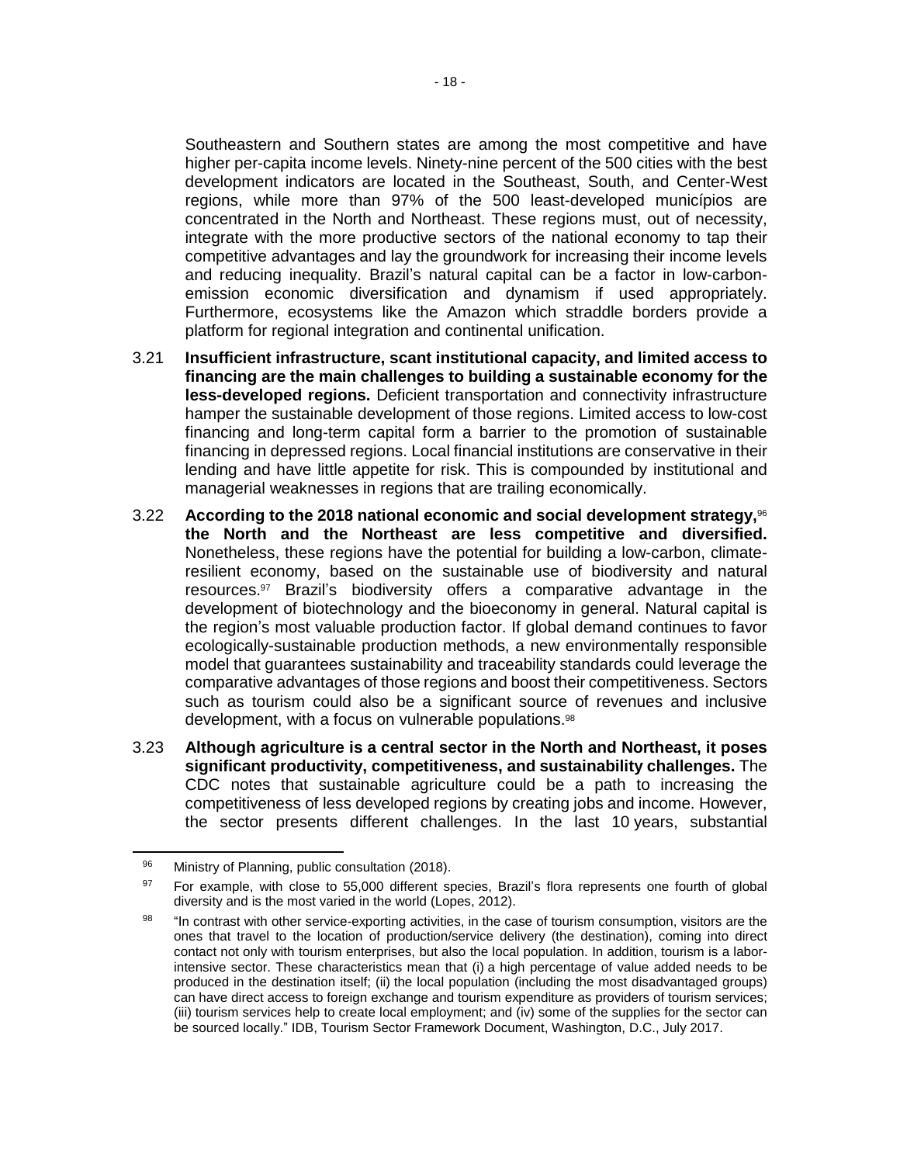Southeastern and Southern states are among the most competitive and have higher per-capita income levels. Ninety-nine percent of the 500 cities with the best development indicators are located in the Southeast, South, and Center-West regions, while more than 97% of the 500 least-developed municípios are concentrated in the North and Northeast. These regions must, out of necessity, integrate with the more productive sectors of the national economy to tap their competitive advantages and lay the groundwork for increasing their income levels and reducing inequality. Brazil's natural capital can be a factor in low-carbonemission economic diversification and dynamism if used appropriately. Furthermore, ecosystems like the Amazon which straddle borders provide a platform for regional integration and continental unification.

- 3.21 **Insufficient infrastructure, scant institutional capacity, and limited access to financing are the main challenges to building a sustainable economy for the less-developed regions.** Deficient transportation and connectivity infrastructure hamper the sustainable development of those regions. Limited access to low-cost financing and long-term capital form a barrier to the promotion of sustainable financing in depressed regions. Local financial institutions are conservative in their lending and have little appetite for risk. This is compounded by institutional and managerial weaknesses in regions that are trailing economically.
- 3.22 **According to the 2018 national economic and social development strategy,**<sup>96</sup> **the North and the Northeast are less competitive and diversified.** Nonetheless, these regions have the potential for building a low-carbon, climateresilient economy, based on the sustainable use of biodiversity and natural resources.<sup>97</sup> Brazil's biodiversity offers a comparative advantage in the development of biotechnology and the bioeconomy in general. Natural capital is the region's most valuable production factor. If global demand continues to favor ecologically-sustainable production methods, a new environmentally responsible model that guarantees sustainability and traceability standards could leverage the comparative advantages of those regions and boost their competitiveness. Sectors such as tourism could also be a significant source of revenues and inclusive development, with a focus on vulnerable populations.<sup>98</sup>
- 3.23 **Although agriculture is a central sector in the North and Northeast, it poses significant productivity, competitiveness, and sustainability challenges.** The CDC notes that sustainable agriculture could be a path to increasing the competitiveness of less developed regions by creating jobs and income. However, the sector presents different challenges. In the last 10 years, substantial

<sup>96</sup> Ministry of Planning, public consultation (2018).

<sup>&</sup>lt;sup>97</sup> For example, with close to 55,000 different species, Brazil's flora represents one fourth of global diversity and is the most varied in the world (Lopes, 2012).

<sup>98 &</sup>quot;In contrast with other service-exporting activities, in the case of tourism consumption, visitors are the ones that travel to the location of production/service delivery (the destination), coming into direct contact not only with tourism enterprises, but also the local population. In addition, tourism is a laborintensive sector. These characteristics mean that (i) a high percentage of value added needs to be produced in the destination itself; (ii) the local population (including the most disadvantaged groups) can have direct access to foreign exchange and tourism expenditure as providers of tourism services; (iii) tourism services help to create local employment; and (iv) some of the supplies for the sector can be sourced locally." IDB, Tourism Sector Framework Document, Washington, D.C., July 2017.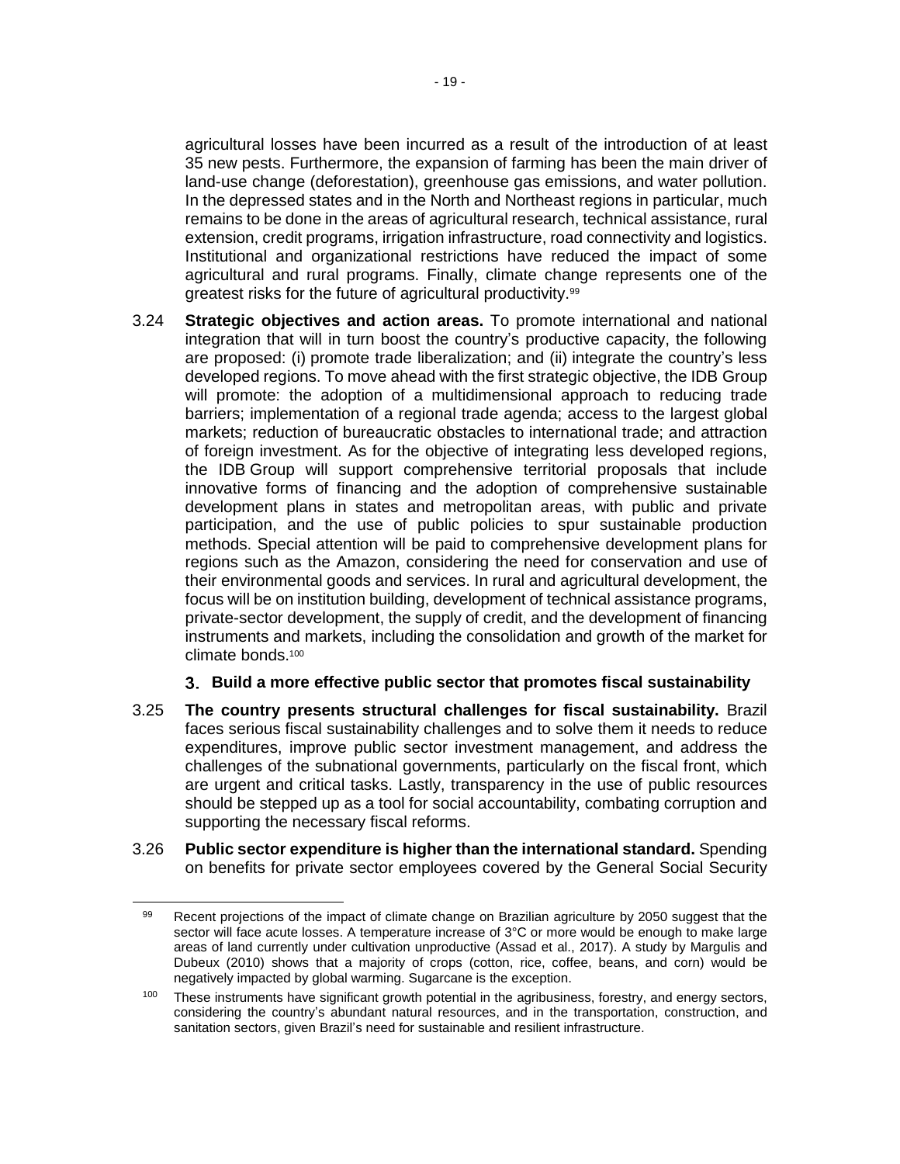agricultural losses have been incurred as a result of the introduction of at least 35 new pests. Furthermore, the expansion of farming has been the main driver of land-use change (deforestation), greenhouse gas emissions, and water pollution. In the depressed states and in the North and Northeast regions in particular, much remains to be done in the areas of agricultural research, technical assistance, rural extension, credit programs, irrigation infrastructure, road connectivity and logistics. Institutional and organizational restrictions have reduced the impact of some agricultural and rural programs. Finally, climate change represents one of the greatest risks for the future of agricultural productivity.<sup>99</sup>

3.24 **Strategic objectives and action areas.** To promote international and national integration that will in turn boost the country's productive capacity, the following are proposed: (i) promote trade liberalization; and (ii) integrate the country's less developed regions. To move ahead with the first strategic objective, the IDB Group will promote: the adoption of a multidimensional approach to reducing trade barriers; implementation of a regional trade agenda; access to the largest global markets; reduction of bureaucratic obstacles to international trade; and attraction of foreign investment. As for the objective of integrating less developed regions, the IDB Group will support comprehensive territorial proposals that include innovative forms of financing and the adoption of comprehensive sustainable development plans in states and metropolitan areas, with public and private participation, and the use of public policies to spur sustainable production methods. Special attention will be paid to comprehensive development plans for regions such as the Amazon, considering the need for conservation and use of their environmental goods and services. In rural and agricultural development, the focus will be on institution building, development of technical assistance programs, private-sector development, the supply of credit, and the development of financing instruments and markets, including the consolidation and growth of the market for climate bonds.<sup>100</sup>

## **Build a more effective public sector that promotes fiscal sustainability**

- 3.25 **The country presents structural challenges for fiscal sustainability.** Brazil faces serious fiscal sustainability challenges and to solve them it needs to reduce expenditures, improve public sector investment management, and address the challenges of the subnational governments, particularly on the fiscal front, which are urgent and critical tasks. Lastly, transparency in the use of public resources should be stepped up as a tool for social accountability, combating corruption and supporting the necessary fiscal reforms.
- 3.26 **Public sector expenditure is higher than the international standard.** Spending on benefits for private sector employees covered by the General Social Security

 $\overline{a}$ 

<sup>99</sup> Recent projections of the impact of climate change on Brazilian agriculture by 2050 suggest that the sector will face acute losses. A temperature increase of 3°C or more would be enough to make large areas of land currently under cultivation unproductive (Assad et al., 2017). A study by Margulis and Dubeux (2010) shows that a majority of crops (cotton, rice, coffee, beans, and corn) would be negatively impacted by global warming. Sugarcane is the exception.

 $100$  These instruments have significant growth potential in the agribusiness, forestry, and energy sectors, considering the country's abundant natural resources, and in the transportation, construction, and sanitation sectors, given Brazil's need for sustainable and resilient infrastructure.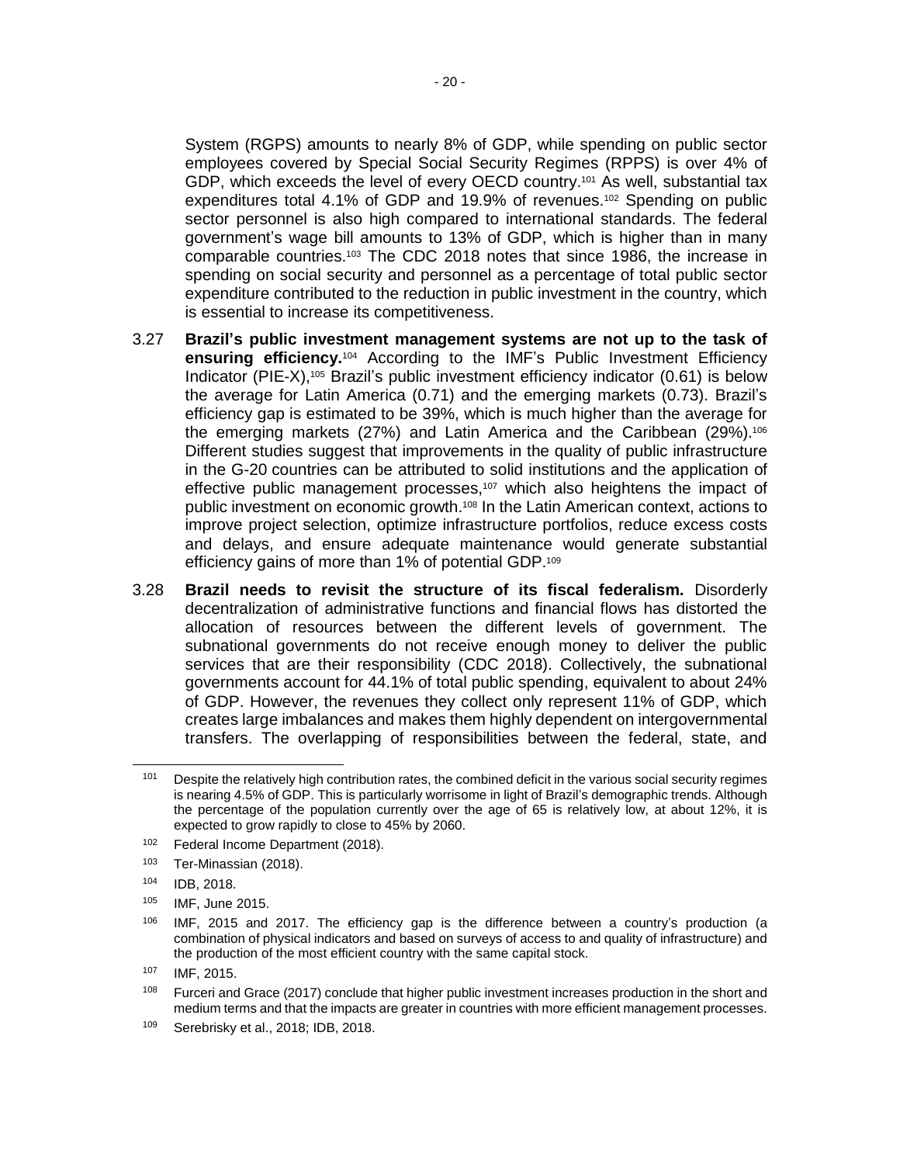System (RGPS) amounts to nearly 8% of GDP, while spending on public sector employees covered by Special Social Security Regimes (RPPS) is over 4% of GDP, which exceeds the level of every OECD country.<sup>101</sup> As well, substantial tax expenditures total 4.1% of GDP and 19.9% of revenues.<sup>102</sup> Spending on public sector personnel is also high compared to international standards. The federal government's wage bill amounts to 13% of GDP, which is higher than in many comparable countries.<sup>103</sup> The CDC 2018 notes that since 1986, the increase in spending on social security and personnel as a percentage of total public sector expenditure contributed to the reduction in public investment in the country, which is essential to increase its competitiveness.

- 3.27 **Brazil's public investment management systems are not up to the task of ensuring efficiency.**<sup>104</sup> According to the IMF's Public Investment Efficiency Indicator (PIE-X),<sup>105</sup> Brazil's public investment efficiency indicator (0.61) is below the average for Latin America (0.71) and the emerging markets (0.73). Brazil's efficiency gap is estimated to be 39%, which is much higher than the average for the emerging markets (27%) and Latin America and the Caribbean (29%).<sup>106</sup> Different studies suggest that improvements in the quality of public infrastructure in the G-20 countries can be attributed to solid institutions and the application of effective public management processes,<sup>107</sup> which also heightens the impact of public investment on economic growth.<sup>108</sup> In the Latin American context, actions to improve project selection, optimize infrastructure portfolios, reduce excess costs and delays, and ensure adequate maintenance would generate substantial efficiency gains of more than 1% of potential GDP.<sup>109</sup>
- 3.28 **Brazil needs to revisit the structure of its fiscal federalism.** Disorderly decentralization of administrative functions and financial flows has distorted the allocation of resources between the different levels of government. The subnational governments do not receive enough money to deliver the public services that are their responsibility (CDC 2018). Collectively, the subnational governments account for 44.1% of total public spending, equivalent to about 24% of GDP. However, the revenues they collect only represent 11% of GDP, which creates large imbalances and makes them highly dependent on intergovernmental transfers. The overlapping of responsibilities between the federal, state, and

Despite the relatively high contribution rates, the combined deficit in the various social security regimes is nearing 4.5% of GDP. This is particularly worrisome in light of Brazil's demographic trends. Although the percentage of the population currently over the age of 65 is relatively low, at about 12%, it is expected to grow rapidly to close to 45% by 2060.

<sup>102</sup> Federal Income Department (2018).

<sup>103</sup> Ter-Minassian (2018).

<sup>104</sup> IDB, 2018.

<sup>105</sup> IMF, June 2015.

 $106$  IMF, 2015 and 2017. The efficiency gap is the difference between a country's production (a combination of physical indicators and based on surveys of access to and quality of infrastructure) and the production of the most efficient country with the same capital stock.

<sup>107</sup> IMF, 2015.

<sup>&</sup>lt;sup>108</sup> Furceri and Grace (2017) conclude that higher public investment increases production in the short and medium terms and that the impacts are greater in countries with more efficient management processes.

<sup>109</sup> Serebrisky et al., 2018; IDB, 2018.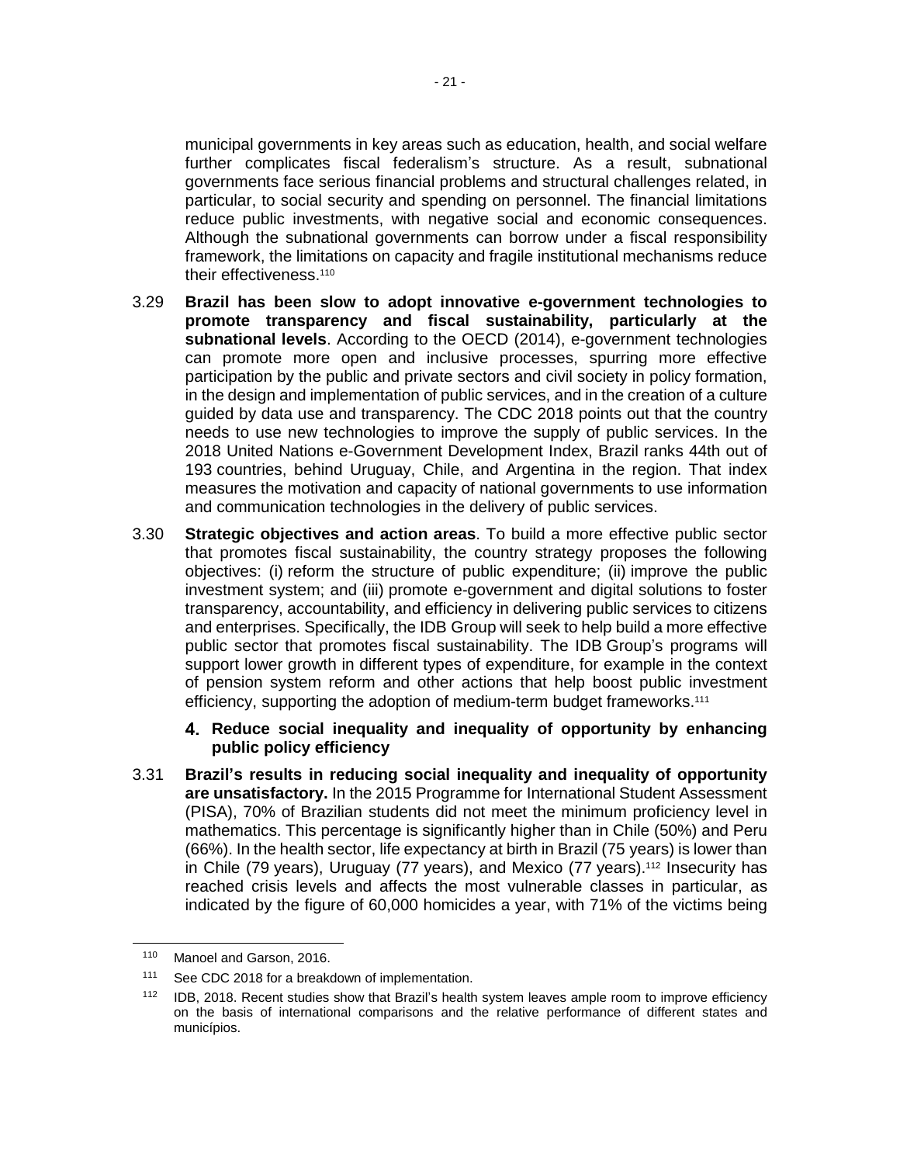municipal governments in key areas such as education, health, and social welfare further complicates fiscal federalism's structure. As a result, subnational governments face serious financial problems and structural challenges related, in particular, to social security and spending on personnel. The financial limitations reduce public investments, with negative social and economic consequences. Although the subnational governments can borrow under a fiscal responsibility framework, the limitations on capacity and fragile institutional mechanisms reduce their effectiveness.<sup>110</sup>

- 3.29 **Brazil has been slow to adopt innovative e-government technologies to promote transparency and fiscal sustainability, particularly at the subnational levels**. According to the OECD (2014), e-government technologies can promote more open and inclusive processes, spurring more effective participation by the public and private sectors and civil society in policy formation, in the design and implementation of public services, and in the creation of a culture guided by data use and transparency. The CDC 2018 points out that the country needs to use new technologies to improve the supply of public services. In the 2018 United Nations e-Government Development Index, Brazil ranks 44th out of 193 countries, behind Uruguay, Chile, and Argentina in the region. That index measures the motivation and capacity of national governments to use information and communication technologies in the delivery of public services.
- 3.30 **Strategic objectives and action areas**. To build a more effective public sector that promotes fiscal sustainability, the country strategy proposes the following objectives: (i) reform the structure of public expenditure; (ii) improve the public investment system; and (iii) promote e-government and digital solutions to foster transparency, accountability, and efficiency in delivering public services to citizens and enterprises. Specifically, the IDB Group will seek to help build a more effective public sector that promotes fiscal sustainability. The IDB Group's programs will support lower growth in different types of expenditure, for example in the context of pension system reform and other actions that help boost public investment efficiency, supporting the adoption of medium-term budget frameworks.<sup>111</sup>
	- **Reduce social inequality and inequality of opportunity by enhancing public policy efficiency**
- 3.31 **Brazil's results in reducing social inequality and inequality of opportunity are unsatisfactory.** In the 2015 Programme for International Student Assessment (PISA), 70% of Brazilian students did not meet the minimum proficiency level in mathematics. This percentage is significantly higher than in Chile (50%) and Peru (66%). In the health sector, life expectancy at birth in Brazil (75 years) is lower than in Chile (79 years), Uruguay (77 years), and Mexico (77 years).<sup>112</sup> Insecurity has reached crisis levels and affects the most vulnerable classes in particular, as indicated by the figure of 60,000 homicides a year, with 71% of the victims being

<sup>110</sup> Manoel and Garson, 2016.

<sup>111</sup> See CDC 2018 for a breakdown of implementation.

<sup>112</sup> IDB, 2018. Recent studies show that Brazil's health system leaves ample room to improve efficiency on the basis of international comparisons and the relative performance of different states and municípios.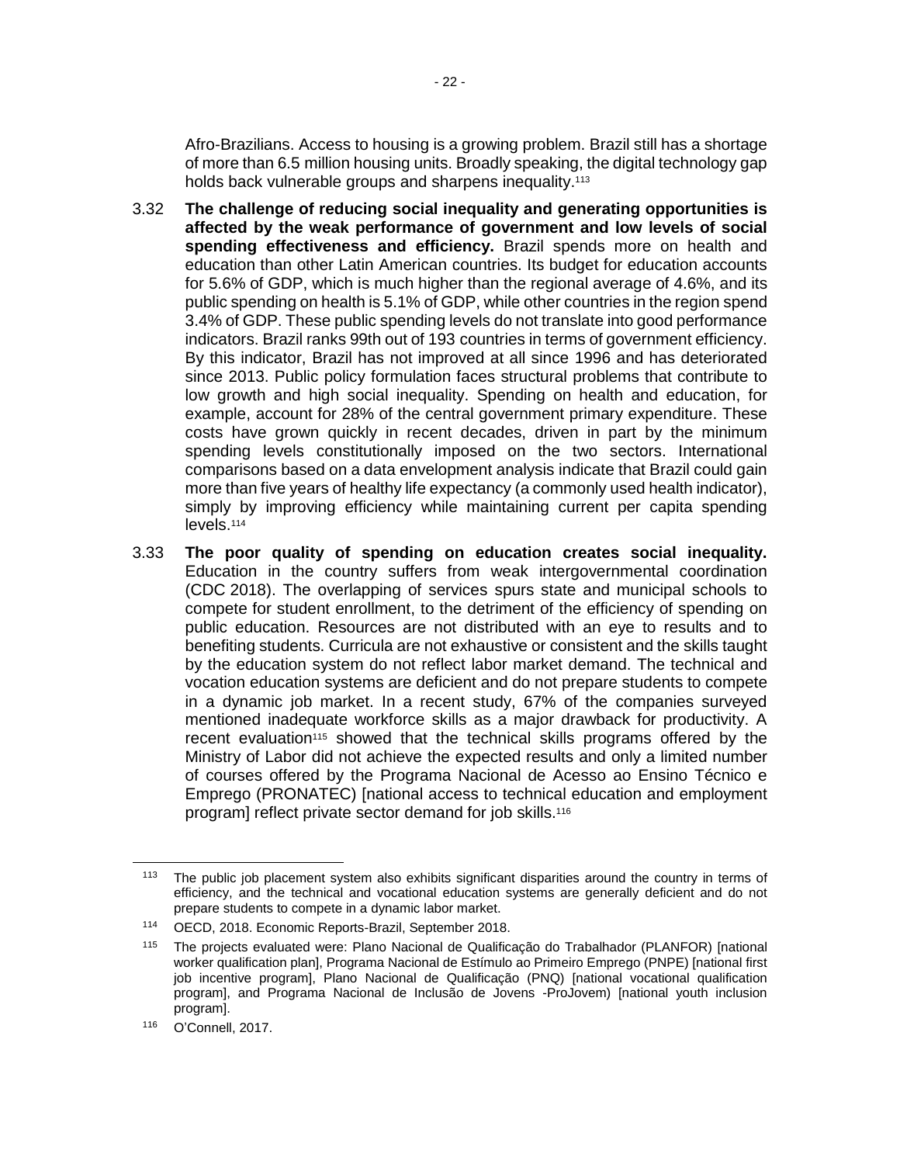Afro-Brazilians. Access to housing is a growing problem. Brazil still has a shortage of more than 6.5 million housing units. Broadly speaking, the digital technology gap holds back vulnerable groups and sharpens inequality.<sup>113</sup>

- 3.32 **The challenge of reducing social inequality and generating opportunities is affected by the weak performance of government and low levels of social spending effectiveness and efficiency.** Brazil spends more on health and education than other Latin American countries. Its budget for education accounts for 5.6% of GDP, which is much higher than the regional average of 4.6%, and its public spending on health is 5.1% of GDP, while other countries in the region spend 3.4% of GDP. These public spending levels do not translate into good performance indicators. Brazil ranks 99th out of 193 countries in terms of government efficiency. By this indicator, Brazil has not improved at all since 1996 and has deteriorated since 2013. Public policy formulation faces structural problems that contribute to low growth and high social inequality. Spending on health and education, for example, account for 28% of the central government primary expenditure. These costs have grown quickly in recent decades, driven in part by the minimum spending levels constitutionally imposed on the two sectors. International comparisons based on a data envelopment analysis indicate that Brazil could gain more than five years of healthy life expectancy (a commonly used health indicator), simply by improving efficiency while maintaining current per capita spending levels.<sup>114</sup>
- 3.33 **The poor quality of spending on education creates social inequality.** Education in the country suffers from weak intergovernmental coordination (CDC 2018). The overlapping of services spurs state and municipal schools to compete for student enrollment, to the detriment of the efficiency of spending on public education. Resources are not distributed with an eye to results and to benefiting students. Curricula are not exhaustive or consistent and the skills taught by the education system do not reflect labor market demand. The technical and vocation education systems are deficient and do not prepare students to compete in a dynamic job market. In a recent study, 67% of the companies surveyed mentioned inadequate workforce skills as a major drawback for productivity. A recent evaluation<sup>115</sup> showed that the technical skills programs offered by the Ministry of Labor did not achieve the expected results and only a limited number of courses offered by the Programa Nacional de Acesso ao Ensino Técnico e Emprego (PRONATEC) [national access to technical education and employment program] reflect private sector demand for job skills.<sup>116</sup>

<sup>&</sup>lt;sup>113</sup> The public job placement system also exhibits significant disparities around the country in terms of efficiency, and the technical and vocational education systems are generally deficient and do not prepare students to compete in a dynamic labor market.

<sup>114</sup> OECD, 2018. Economic Reports-Brazil, September 2018.

<sup>115</sup> The projects evaluated were: Plano Nacional de Qualificação do Trabalhador (PLANFOR) [national worker qualification plan], Programa Nacional de Estímulo ao Primeiro Emprego (PNPE) [national first job incentive program], Plano Nacional de Qualificação (PNQ) [national vocational qualification program], and Programa Nacional de Inclusão de Jovens -ProJovem) [national youth inclusion program].

<sup>116</sup> O'Connell, 2017.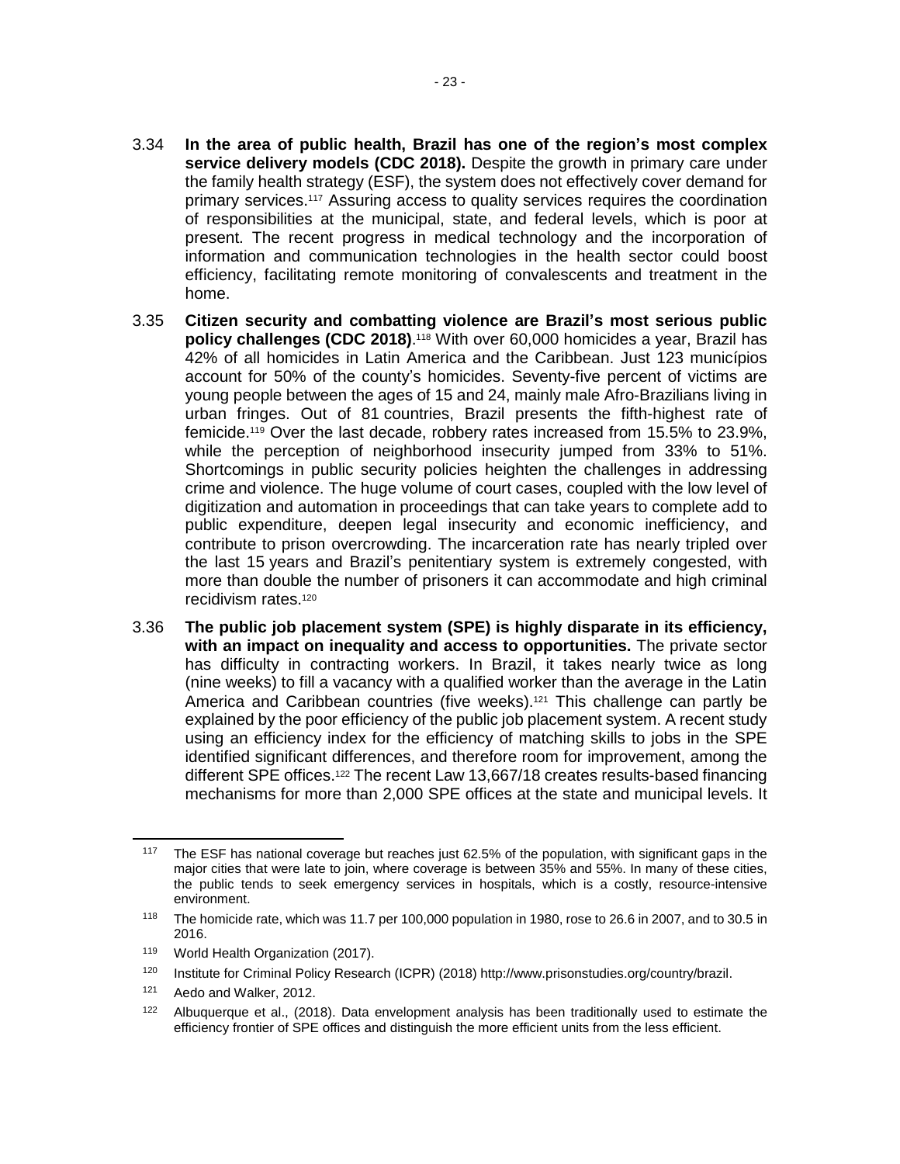- 3.34 **In the area of public health, Brazil has one of the region's most complex service delivery models (CDC 2018).** Despite the growth in primary care under the family health strategy (ESF), the system does not effectively cover demand for primary services.<sup>117</sup> Assuring access to quality services requires the coordination of responsibilities at the municipal, state, and federal levels, which is poor at present. The recent progress in medical technology and the incorporation of information and communication technologies in the health sector could boost efficiency, facilitating remote monitoring of convalescents and treatment in the home.
- 3.35 **Citizen security and combatting violence are Brazil's most serious public policy challenges (CDC 2018)**. <sup>118</sup> With over 60,000 homicides a year, Brazil has 42% of all homicides in Latin America and the Caribbean. Just 123 municípios account for 50% of the county's homicides. Seventy-five percent of victims are young people between the ages of 15 and 24, mainly male Afro-Brazilians living in urban fringes. Out of 81 countries, Brazil presents the fifth-highest rate of femicide.<sup>119</sup> Over the last decade, robbery rates increased from 15.5% to 23.9%, while the perception of neighborhood insecurity jumped from 33% to 51%. Shortcomings in public security policies heighten the challenges in addressing crime and violence. The huge volume of court cases, coupled with the low level of digitization and automation in proceedings that can take years to complete add to public expenditure, deepen legal insecurity and economic inefficiency, and contribute to prison overcrowding. The incarceration rate has nearly tripled over the last 15 years and Brazil's penitentiary system is extremely congested, with more than double the number of prisoners it can accommodate and high criminal recidivism rates.<sup>120</sup>
- 3.36 **The public job placement system (SPE) is highly disparate in its efficiency, with an impact on inequality and access to opportunities.** The private sector has difficulty in contracting workers. In Brazil, it takes nearly twice as long (nine weeks) to fill a vacancy with a qualified worker than the average in the Latin America and Caribbean countries (five weeks).<sup>121</sup> This challenge can partly be explained by the poor efficiency of the public job placement system. A recent study using an efficiency index for the efficiency of matching skills to jobs in the SPE identified significant differences, and therefore room for improvement, among the different SPE offices.<sup>122</sup> The recent Law 13,667/18 creates results-based financing mechanisms for more than 2,000 SPE offices at the state and municipal levels. It

<sup>117</sup> The ESF has national coverage but reaches just 62.5% of the population, with significant gaps in the major cities that were late to join, where coverage is between 35% and 55%. In many of these cities, the public tends to seek emergency services in hospitals, which is a costly, resource-intensive environment.

<sup>118</sup> The homicide rate, which was 11.7 per 100,000 population in 1980, rose to 26.6 in 2007, and to 30.5 in 2016.

<sup>119</sup> World Health Organization (2017).

<sup>120</sup> Institute for Criminal Policy Research (ICPR) (2018) [http://www.prisonstudies.org/country/brazil.](http://www.prisonstudies.org/country/brazil)

<sup>121</sup> Aedo and Walker, 2012.

 $122$  Albuquerque et al., (2018). Data envelopment analysis has been traditionally used to estimate the efficiency frontier of SPE offices and distinguish the more efficient units from the less efficient.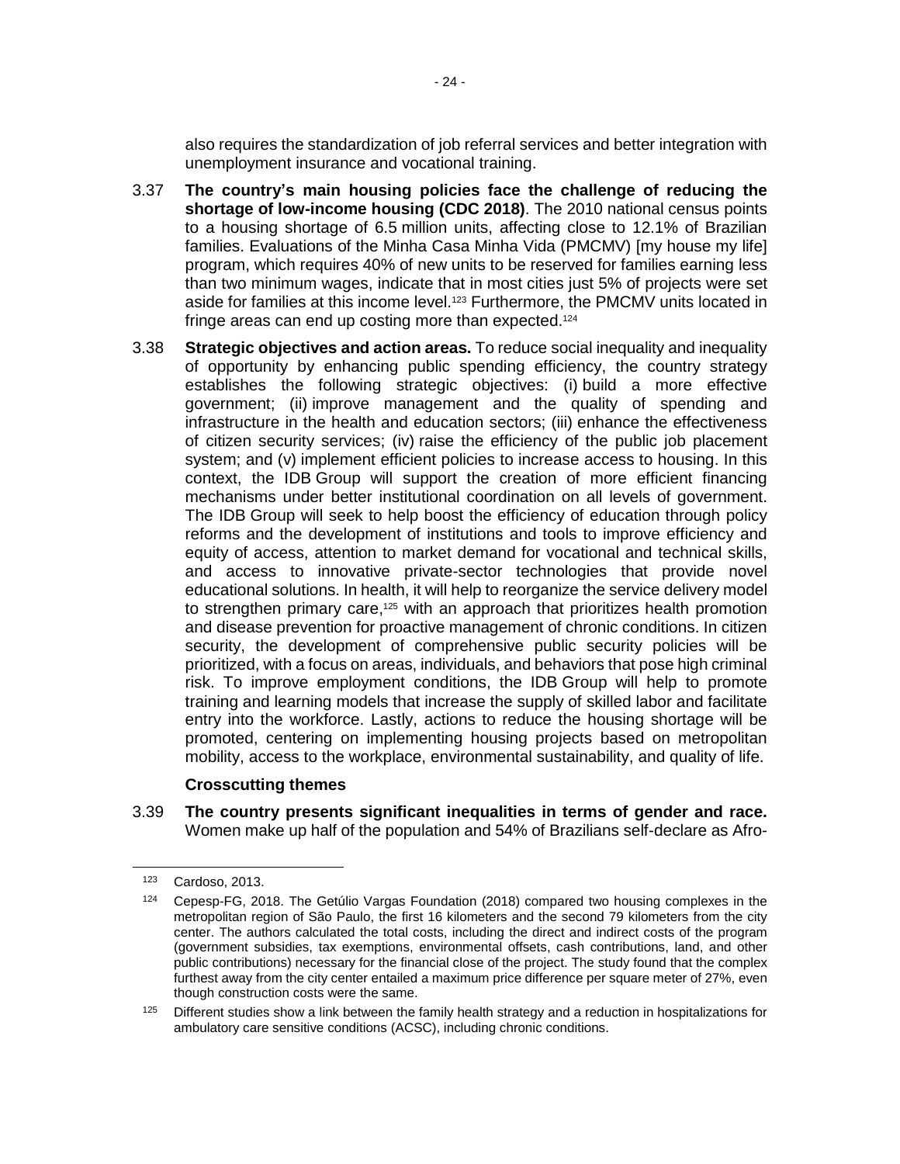also requires the standardization of job referral services and better integration with unemployment insurance and vocational training.

- 3.37 **The country's main housing policies face the challenge of reducing the shortage of low-income housing (CDC 2018)**. The 2010 national census points to a housing shortage of 6.5 million units, affecting close to 12.1% of Brazilian families. Evaluations of the Minha Casa Minha Vida (PMCMV) [my house my life] program, which requires 40% of new units to be reserved for families earning less than two minimum wages, indicate that in most cities just 5% of projects were set aside for families at this income level.<sup>123</sup> Furthermore, the PMCMV units located in fringe areas can end up costing more than expected.<sup>124</sup>
- 3.38 **Strategic objectives and action areas.** To reduce social inequality and inequality of opportunity by enhancing public spending efficiency, the country strategy establishes the following strategic objectives: (i) build a more effective government; (ii) improve management and the quality of spending and infrastructure in the health and education sectors; (iii) enhance the effectiveness of citizen security services; (iv) raise the efficiency of the public job placement system; and (v) implement efficient policies to increase access to housing. In this context, the IDB Group will support the creation of more efficient financing mechanisms under better institutional coordination on all levels of government. The IDB Group will seek to help boost the efficiency of education through policy reforms and the development of institutions and tools to improve efficiency and equity of access, attention to market demand for vocational and technical skills, and access to innovative private-sector technologies that provide novel educational solutions. In health, it will help to reorganize the service delivery model to strengthen primary care, $125$  with an approach that prioritizes health promotion and disease prevention for proactive management of chronic conditions. In citizen security, the development of comprehensive public security policies will be prioritized, with a focus on areas, individuals, and behaviors that pose high criminal risk. To improve employment conditions, the IDB Group will help to promote training and learning models that increase the supply of skilled labor and facilitate entry into the workforce. Lastly, actions to reduce the housing shortage will be promoted, centering on implementing housing projects based on metropolitan mobility, access to the workplace, environmental sustainability, and quality of life.

#### **Crosscutting themes**

3.39 **The country presents significant inequalities in terms of gender and race.** Women make up half of the population and 54% of Brazilians self-declare as Afro-

<sup>123</sup> Cardoso, 2013.

<sup>124</sup> Cepesp-FG, 2018. The Getúlio Vargas Foundation (2018) compared two housing complexes in the metropolitan region of São Paulo, the first 16 kilometers and the second 79 kilometers from the city center. The authors calculated the total costs, including the direct and indirect costs of the program (government subsidies, tax exemptions, environmental offsets, cash contributions, land, and other public contributions) necessary for the financial close of the project. The study found that the complex furthest away from the city center entailed a maximum price difference per square meter of 27%, even though construction costs were the same.

 $125$  Different studies show a link between the family health strategy and a reduction in hospitalizations for ambulatory care sensitive conditions (ACSC), including chronic conditions.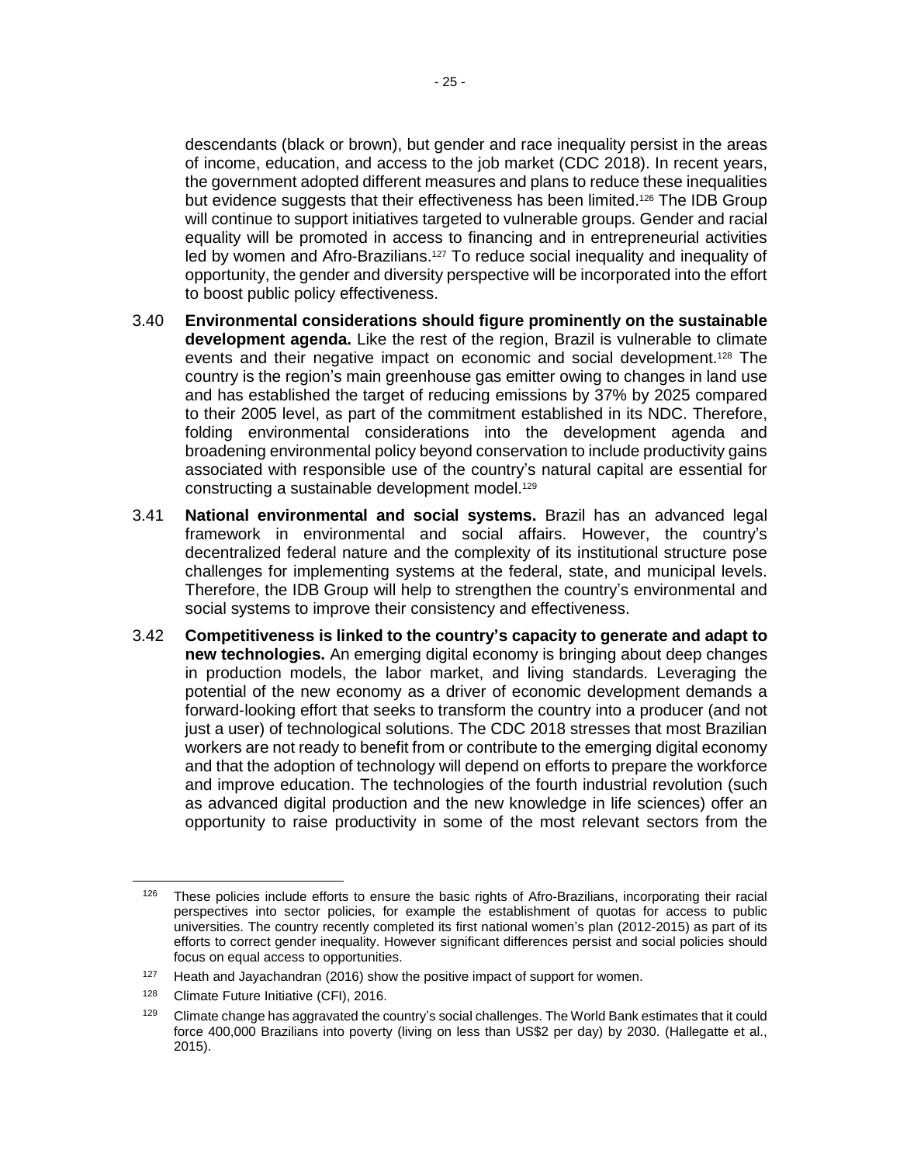descendants (black or brown), but gender and race inequality persist in the areas of income, education, and access to the job market (CDC 2018). In recent years, the government adopted different measures and plans to reduce these inequalities but evidence suggests that their effectiveness has been limited. <sup>126</sup> The IDB Group will continue to support initiatives targeted to vulnerable groups. Gender and racial equality will be promoted in access to financing and in entrepreneurial activities led by women and Afro-Brazilians.<sup>127</sup> To reduce social inequality and inequality of opportunity, the gender and diversity perspective will be incorporated into the effort to boost public policy effectiveness.

- 3.40 **Environmental considerations should figure prominently on the sustainable development agenda.** Like the rest of the region, Brazil is vulnerable to climate events and their negative impact on economic and social development.<sup>128</sup> The country is the region's main greenhouse gas emitter owing to changes in land use and has established the target of reducing emissions by 37% by 2025 compared to their 2005 level, as part of the commitment established in its NDC. Therefore, folding environmental considerations into the development agenda and broadening environmental policy beyond conservation to include productivity gains associated with responsible use of the country's natural capital are essential for constructing a sustainable development model.<sup>129</sup>
- 3.41 **National environmental and social systems.** Brazil has an advanced legal framework in environmental and social affairs. However, the country's decentralized federal nature and the complexity of its institutional structure pose challenges for implementing systems at the federal, state, and municipal levels. Therefore, the IDB Group will help to strengthen the country's environmental and social systems to improve their consistency and effectiveness.
- 3.42 **Competitiveness is linked to the country's capacity to generate and adapt to new technologies.** An emerging digital economy is bringing about deep changes in production models, the labor market, and living standards. Leveraging the potential of the new economy as a driver of economic development demands a forward-looking effort that seeks to transform the country into a producer (and not just a user) of technological solutions. The CDC 2018 stresses that most Brazilian workers are not ready to benefit from or contribute to the emerging digital economy and that the adoption of technology will depend on efforts to prepare the workforce and improve education. The technologies of the fourth industrial revolution (such as advanced digital production and the new knowledge in life sciences) offer an opportunity to raise productivity in some of the most relevant sectors from the

 $126$  These policies include efforts to ensure the basic rights of Afro-Brazilians, incorporating their racial perspectives into sector policies, for example the establishment of quotas for access to public universities. The country recently completed its first national women's plan (2012-2015) as part of its efforts to correct gender inequality. However significant differences persist and social policies should focus on equal access to opportunities.

 $127$  Heath and Jayachandran (2016) show the positive impact of support for women.

<sup>128</sup> Climate Future Initiative (CFI), 2016.

 $129$  Climate change has aggravated the country's social challenges. The World Bank estimates that it could force 400,000 Brazilians into poverty (living on less than US\$2 per day) by 2030. (Hallegatte et al., 2015).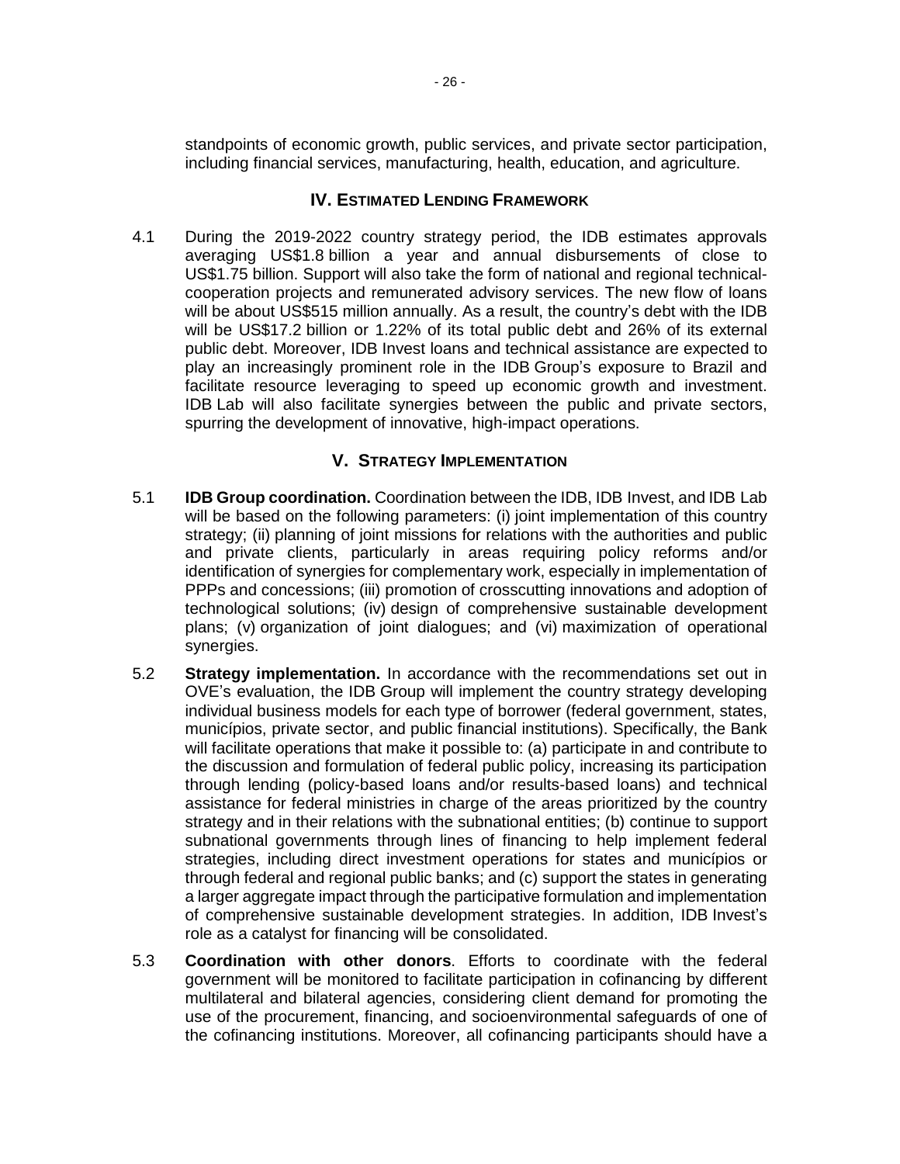standpoints of economic growth, public services, and private sector participation, including financial services, manufacturing, health, education, and agriculture.

## **IV. ESTIMATED LENDING FRAMEWORK**

4.1 During the 2019-2022 country strategy period, the IDB estimates approvals averaging US\$1.8 billion a year and annual disbursements of close to US\$1.75 billion. Support will also take the form of national and regional technicalcooperation projects and remunerated advisory services. The new flow of loans will be about US\$515 million annually. As a result, the country's debt with the IDB will be US\$17.2 billion or 1.22% of its total public debt and 26% of its external public debt. Moreover, IDB Invest loans and technical assistance are expected to play an increasingly prominent role in the IDB Group's exposure to Brazil and facilitate resource leveraging to speed up economic growth and investment. IDB Lab will also facilitate synergies between the public and private sectors, spurring the development of innovative, high-impact operations.

## **V. STRATEGY IMPLEMENTATION**

- 5.1 **IDB Group coordination.** Coordination between the IDB, IDB Invest, and IDB Lab will be based on the following parameters: (i) joint implementation of this country strategy; (ii) planning of joint missions for relations with the authorities and public and private clients, particularly in areas requiring policy reforms and/or identification of synergies for complementary work, especially in implementation of PPPs and concessions; (iii) promotion of crosscutting innovations and adoption of technological solutions; (iv) design of comprehensive sustainable development plans; (v) organization of joint dialogues; and (vi) maximization of operational synergies.
- 5.2 **Strategy implementation.** In accordance with the recommendations set out in OVE's evaluation, the IDB Group will implement the country strategy developing individual business models for each type of borrower (federal government, states, municípios, private sector, and public financial institutions). Specifically, the Bank will facilitate operations that make it possible to: (a) participate in and contribute to the discussion and formulation of federal public policy, increasing its participation through lending (policy-based loans and/or results-based loans) and technical assistance for federal ministries in charge of the areas prioritized by the country strategy and in their relations with the subnational entities; (b) continue to support subnational governments through lines of financing to help implement federal strategies, including direct investment operations for states and municípios or through federal and regional public banks; and (c) support the states in generating a larger aggregate impact through the participative formulation and implementation of comprehensive sustainable development strategies. In addition, IDB Invest's role as a catalyst for financing will be consolidated.
- 5.3 **Coordination with other donors**. Efforts to coordinate with the federal government will be monitored to facilitate participation in cofinancing by different multilateral and bilateral agencies, considering client demand for promoting the use of the procurement, financing, and socioenvironmental safeguards of one of the cofinancing institutions. Moreover, all cofinancing participants should have a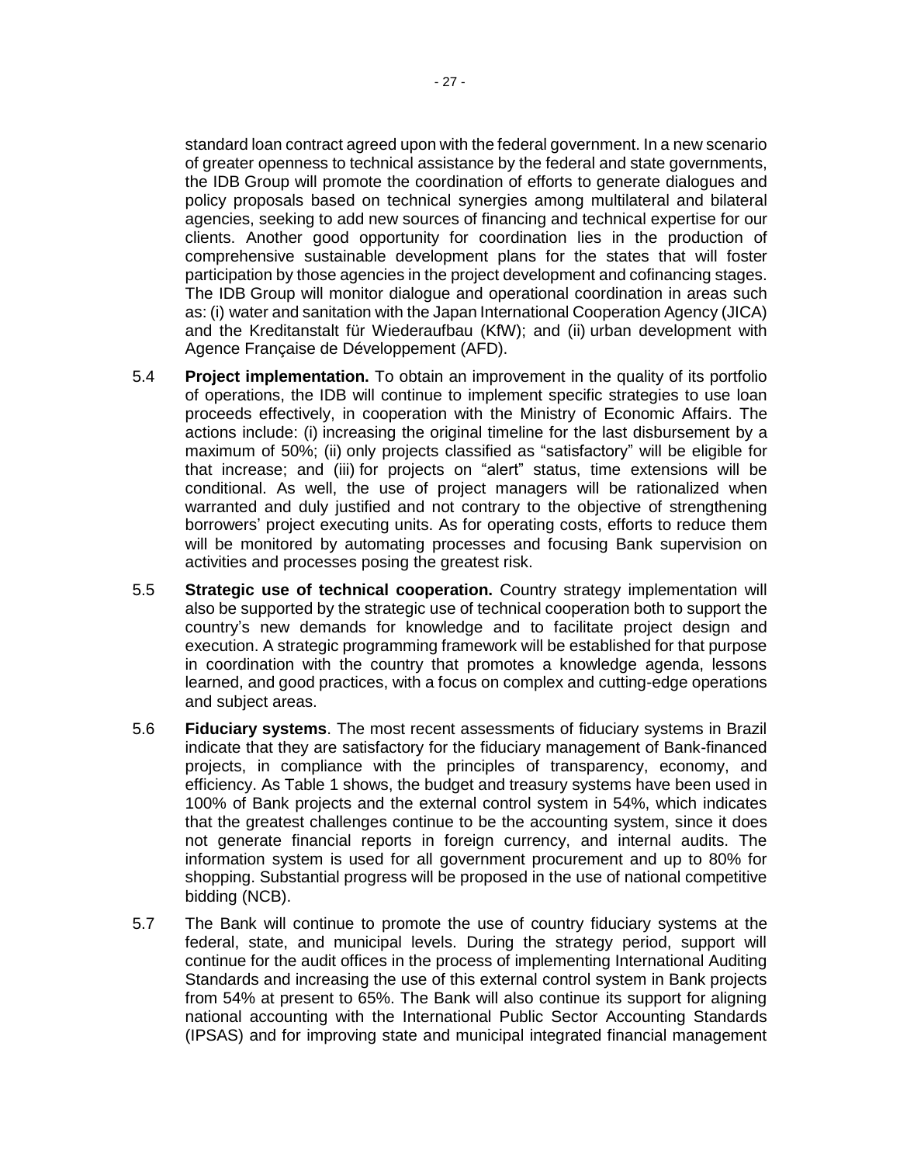standard loan contract agreed upon with the federal government. In a new scenario of greater openness to technical assistance by the federal and state governments, the IDB Group will promote the coordination of efforts to generate dialogues and policy proposals based on technical synergies among multilateral and bilateral agencies, seeking to add new sources of financing and technical expertise for our clients. Another good opportunity for coordination lies in the production of comprehensive sustainable development plans for the states that will foster participation by those agencies in the project development and cofinancing stages. The IDB Group will monitor dialogue and operational coordination in areas such as: (i) water and sanitation with the Japan International Cooperation Agency (JICA) and the Kreditanstalt für Wiederaufbau (KfW); and (ii) urban development with Agence Française de Développement (AFD).

- 5.4 **Project implementation.** To obtain an improvement in the quality of its portfolio of operations, the IDB will continue to implement specific strategies to use loan proceeds effectively, in cooperation with the Ministry of Economic Affairs. The actions include: (i) increasing the original timeline for the last disbursement by a maximum of 50%; (ii) only projects classified as "satisfactory" will be eligible for that increase; and (iii) for projects on "alert" status, time extensions will be conditional. As well, the use of project managers will be rationalized when warranted and duly justified and not contrary to the objective of strengthening borrowers' project executing units. As for operating costs, efforts to reduce them will be monitored by automating processes and focusing Bank supervision on activities and processes posing the greatest risk.
- 5.5 **Strategic use of technical cooperation.** Country strategy implementation will also be supported by the strategic use of technical cooperation both to support the country's new demands for knowledge and to facilitate project design and execution. A strategic programming framework will be established for that purpose in coordination with the country that promotes a knowledge agenda, lessons learned, and good practices, with a focus on complex and cutting-edge operations and subject areas.
- 5.6 **Fiduciary systems**. The most recent assessments of fiduciary systems in Brazil indicate that they are satisfactory for the fiduciary management of Bank-financed projects, in compliance with the principles of transparency, economy, and efficiency. As Table 1 shows, the budget and treasury systems have been used in 100% of Bank projects and the external control system in 54%, which indicates that the greatest challenges continue to be the accounting system, since it does not generate financial reports in foreign currency, and internal audits. The information system is used for all government procurement and up to 80% for shopping. Substantial progress will be proposed in the use of national competitive bidding (NCB).
- 5.7 The Bank will continue to promote the use of country fiduciary systems at the federal, state, and municipal levels. During the strategy period, support will continue for the audit offices in the process of implementing International Auditing Standards and increasing the use of this external control system in Bank projects from 54% at present to 65%. The Bank will also continue its support for aligning national accounting with the International Public Sector Accounting Standards (IPSAS) and for improving state and municipal integrated financial management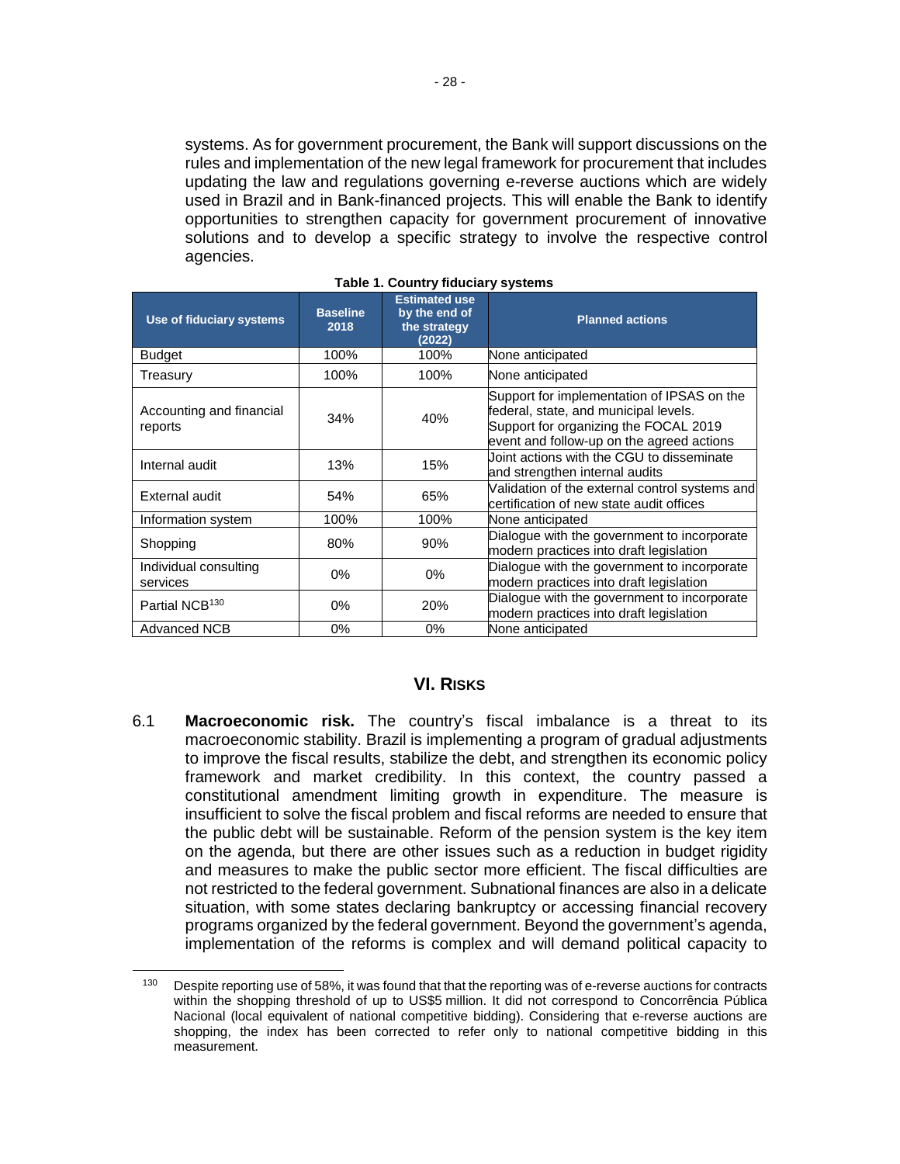systems. As for government procurement, the Bank will support discussions on the rules and implementation of the new legal framework for procurement that includes updating the law and regulations governing e-reverse auctions which are widely used in Brazil and in Bank-financed projects. This will enable the Bank to identify opportunities to strengthen capacity for government procurement of innovative solutions and to develop a specific strategy to involve the respective control agencies.

| Use of fiduciary systems            | <b>Baseline</b><br>2018 | <b>Estimated use</b><br>by the end of<br>the strategy<br>(2022) | <b>Planned actions</b>                                                                                                                                                    |
|-------------------------------------|-------------------------|-----------------------------------------------------------------|---------------------------------------------------------------------------------------------------------------------------------------------------------------------------|
| Budget                              | 100%                    | 100%                                                            | None anticipated                                                                                                                                                          |
| Treasurv                            | 100%                    | 100%                                                            | None anticipated                                                                                                                                                          |
| Accounting and financial<br>reports | 34%                     | 40%                                                             | Support for implementation of IPSAS on the<br>federal, state, and municipal levels.<br>Support for organizing the FOCAL 2019<br>event and follow-up on the agreed actions |
| Internal audit                      | 13%                     | 15%                                                             | Joint actions with the CGU to disseminate<br>and strengthen internal audits                                                                                               |
| External audit                      | 54%                     | 65%                                                             | Validation of the external control systems and<br>certification of new state audit offices                                                                                |
| Information system                  | 100%                    | 100%                                                            | None anticipated                                                                                                                                                          |
| Shopping                            | 80%                     | 90%                                                             | Dialogue with the government to incorporate<br>modern practices into draft legislation                                                                                    |
| Individual consulting<br>services   | $0\%$                   | 0%                                                              | Dialogue with the government to incorporate<br>modern practices into draft legislation                                                                                    |
| Partial NCB <sup>130</sup>          | $0\%$                   | 20%                                                             | Dialogue with the government to incorporate<br>modern practices into draft legislation                                                                                    |
| <b>Advanced NCB</b>                 | 0%                      | 0%                                                              | None anticipated                                                                                                                                                          |

|  |  |  | Table 1. Country fiduciary systems |
|--|--|--|------------------------------------|
|--|--|--|------------------------------------|

#### **VI. RISKS**

6.1 **Macroeconomic risk.** The country's fiscal imbalance is a threat to its macroeconomic stability. Brazil is implementing a program of gradual adjustments to improve the fiscal results, stabilize the debt, and strengthen its economic policy framework and market credibility. In this context, the country passed a constitutional amendment limiting growth in expenditure. The measure is insufficient to solve the fiscal problem and fiscal reforms are needed to ensure that the public debt will be sustainable. Reform of the pension system is the key item on the agenda, but there are other issues such as a reduction in budget rigidity and measures to make the public sector more efficient. The fiscal difficulties are not restricted to the federal government. Subnational finances are also in a delicate situation, with some states declaring bankruptcy or accessing financial recovery programs organized by the federal government. Beyond the government's agenda, implementation of the reforms is complex and will demand political capacity to

<sup>&</sup>lt;sup>130</sup> Despite reporting use of 58%, it was found that that the reporting was of e-reverse auctions for contracts within the shopping threshold of up to US\$5 million. It did not correspond to Concorrência Pública Nacional (local equivalent of national competitive bidding). Considering that e-reverse auctions are shopping, the index has been corrected to refer only to national competitive bidding in this measurement.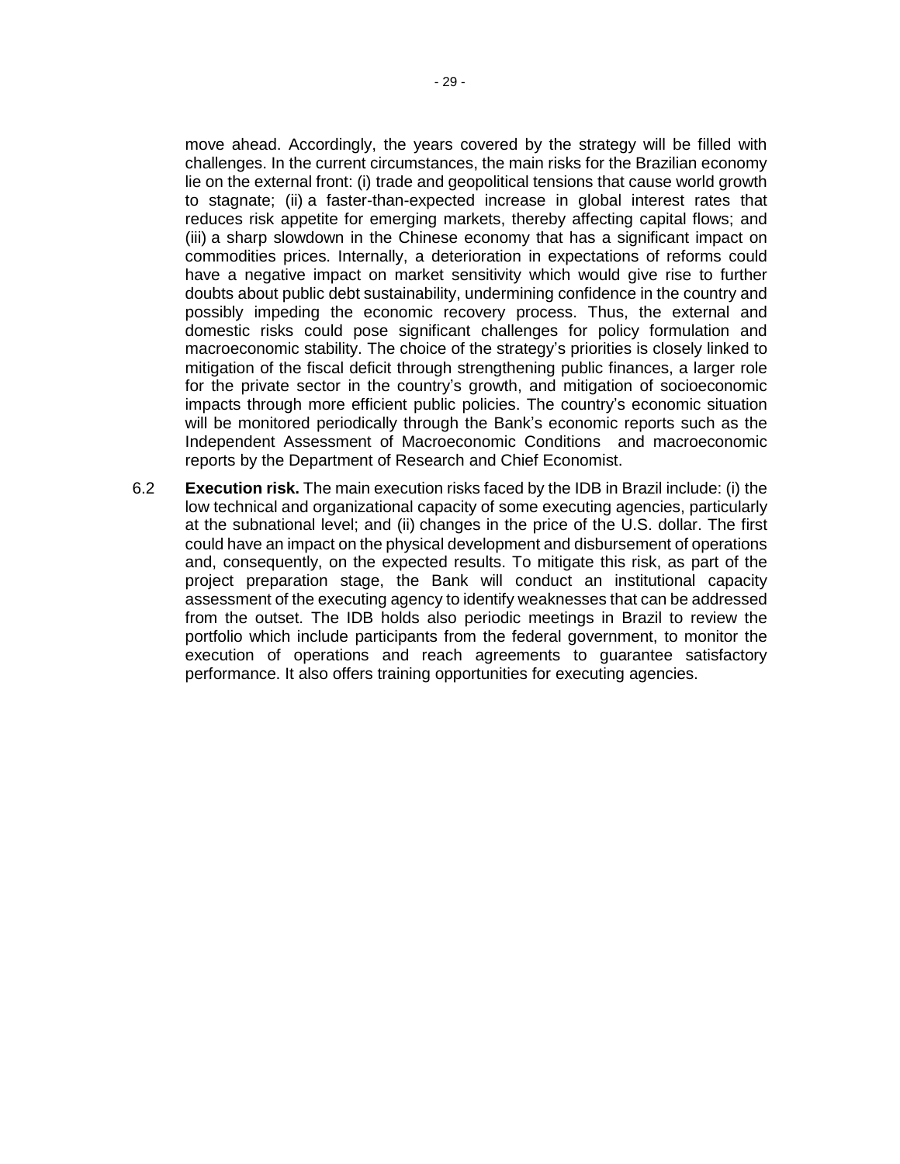move ahead. Accordingly, the years covered by the strategy will be filled with challenges. In the current circumstances, the main risks for the Brazilian economy lie on the external front: (i) trade and geopolitical tensions that cause world growth to stagnate; (ii) a faster-than-expected increase in global interest rates that reduces risk appetite for emerging markets, thereby affecting capital flows; and (iii) a sharp slowdown in the Chinese economy that has a significant impact on commodities prices. Internally, a deterioration in expectations of reforms could have a negative impact on market sensitivity which would give rise to further doubts about public debt sustainability, undermining confidence in the country and possibly impeding the economic recovery process. Thus, the external and domestic risks could pose significant challenges for policy formulation and macroeconomic stability. The choice of the strategy's priorities is closely linked to mitigation of the fiscal deficit through strengthening public finances, a larger role for the private sector in the country's growth, and mitigation of socioeconomic impacts through more efficient public policies. The country's economic situation will be monitored periodically through the Bank's economic reports such as the Independent Assessment of Macroeconomic Conditions and macroeconomic reports by the Department of Research and Chief Economist.

6.2 **Execution risk.** The main execution risks faced by the IDB in Brazil include: (i) the low technical and organizational capacity of some executing agencies, particularly at the subnational level; and (ii) changes in the price of the U.S. dollar. The first could have an impact on the physical development and disbursement of operations and, consequently, on the expected results. To mitigate this risk, as part of the project preparation stage, the Bank will conduct an institutional capacity assessment of the executing agency to identify weaknesses that can be addressed from the outset. The IDB holds also periodic meetings in Brazil to review the portfolio which include participants from the federal government, to monitor the execution of operations and reach agreements to guarantee satisfactory performance. It also offers training opportunities for executing agencies.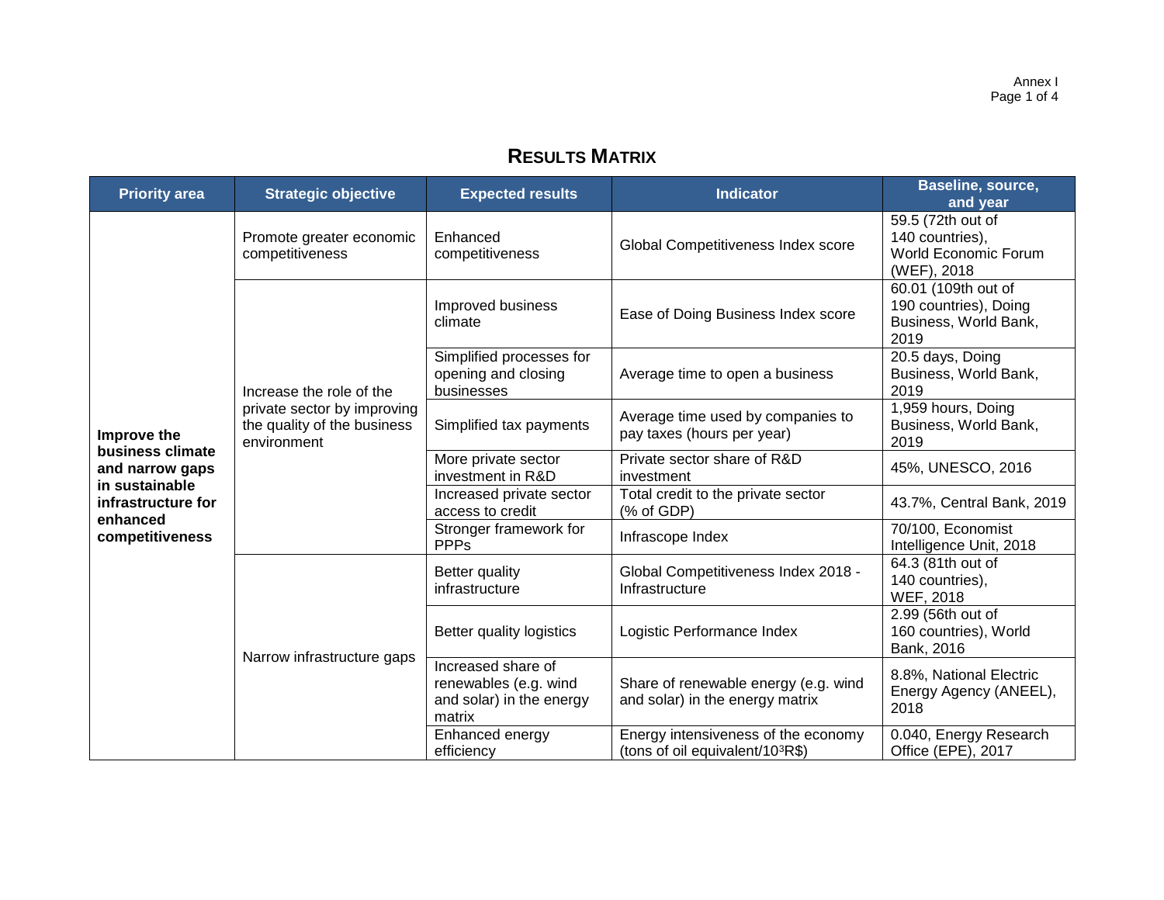# **RESULTS MATRIX**

| <b>Priority area</b>                                  | <b>Strategic objective</b><br><b>Expected results</b><br><b>Indicator</b>                            |                                                                                   | <b>Baseline, source,</b><br>and year                                       |                                                                               |
|-------------------------------------------------------|------------------------------------------------------------------------------------------------------|-----------------------------------------------------------------------------------|----------------------------------------------------------------------------|-------------------------------------------------------------------------------|
|                                                       | Promote greater economic<br>competitiveness                                                          | Enhanced<br>competitiveness                                                       | Global Competitiveness Index score                                         | 59.5 (72th out of<br>140 countries),<br>World Economic Forum<br>(WEF), 2018   |
|                                                       |                                                                                                      | Improved business<br>climate                                                      | Ease of Doing Business Index score                                         | 60.01 (109th out of<br>190 countries), Doing<br>Business, World Bank,<br>2019 |
|                                                       | Increase the role of the                                                                             | Simplified processes for<br>opening and closing<br>businesses                     | Average time to open a business                                            | 20.5 days, Doing<br>Business, World Bank,<br>2019                             |
| Improve the                                           | private sector by improving<br>the quality of the business<br>Simplified tax payments<br>environment |                                                                                   | Average time used by companies to<br>pay taxes (hours per year)            | 1,959 hours, Doing<br>Business, World Bank,<br>2019                           |
| business climate<br>and narrow gaps<br>in sustainable |                                                                                                      | More private sector<br>investment in R&D                                          | Private sector share of R&D<br>investment                                  | 45%, UNESCO, 2016                                                             |
| infrastructure for<br>enhanced                        |                                                                                                      | Increased private sector<br>access to credit                                      | Total credit to the private sector<br>(% of GDP)                           | 43.7%, Central Bank, 2019                                                     |
| competitiveness                                       |                                                                                                      | Stronger framework for<br><b>PPPs</b>                                             | Infrascope Index                                                           | 70/100, Economist<br>Intelligence Unit, 2018                                  |
|                                                       |                                                                                                      | <b>Better quality</b><br>infrastructure                                           | Global Competitiveness Index 2018 -<br>Infrastructure                      | 64.3 (81th out of<br>140 countries),<br><b>WEF, 2018</b>                      |
|                                                       |                                                                                                      | Better quality logistics                                                          | Logistic Performance Index                                                 | 2.99 (56th out of<br>160 countries), World<br>Bank, 2016                      |
|                                                       | Narrow infrastructure gaps                                                                           | Increased share of<br>renewables (e.g. wind<br>and solar) in the energy<br>matrix | Share of renewable energy (e.g. wind<br>and solar) in the energy matrix    | 8.8%, National Electric<br>Energy Agency (ANEEL),<br>2018                     |
|                                                       |                                                                                                      | Enhanced energy<br>efficiency                                                     | Energy intensiveness of the economy<br>(tons of oil equivalent/ $10^3R\$ ) | 0.040, Energy Research<br>Office (EPE), 2017                                  |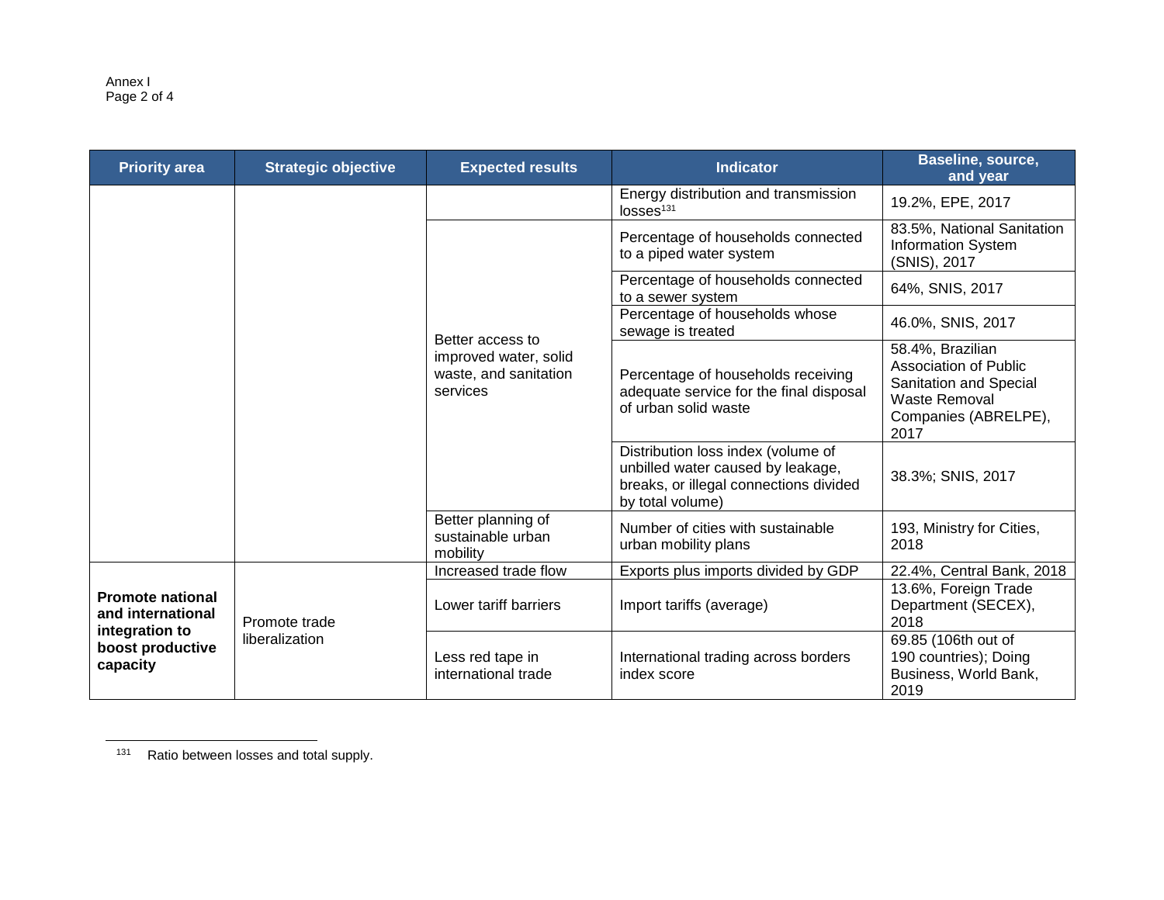Annex I Page 2 of 4

| <b>Priority area</b>                                                                           | <b>Strategic objective</b>      | <b>Expected results</b>                                                        | <b>Indicator</b>                                                                                                                      | Baseline, source,<br>and year                                                                                               |
|------------------------------------------------------------------------------------------------|---------------------------------|--------------------------------------------------------------------------------|---------------------------------------------------------------------------------------------------------------------------------------|-----------------------------------------------------------------------------------------------------------------------------|
|                                                                                                |                                 |                                                                                | Energy distribution and transmission<br>losses <sup>131</sup>                                                                         | 19.2%, EPE, 2017                                                                                                            |
|                                                                                                |                                 |                                                                                | Percentage of households connected<br>to a piped water system                                                                         | 83.5%, National Sanitation<br><b>Information System</b><br>(SNIS), 2017                                                     |
|                                                                                                |                                 |                                                                                | Percentage of households connected<br>to a sewer system                                                                               | 64%, SNIS, 2017                                                                                                             |
|                                                                                                |                                 |                                                                                | Percentage of households whose<br>sewage is treated                                                                                   | 46.0%, SNIS, 2017                                                                                                           |
|                                                                                                |                                 | Better access to<br>improved water, solid<br>waste, and sanitation<br>services | Percentage of households receiving<br>adequate service for the final disposal<br>of urban solid waste                                 | 58.4%, Brazilian<br><b>Association of Public</b><br>Sanitation and Special<br>Waste Removal<br>Companies (ABRELPE),<br>2017 |
|                                                                                                |                                 |                                                                                | Distribution loss index (volume of<br>unbilled water caused by leakage,<br>breaks, or illegal connections divided<br>by total volume) | 38.3%; SNIS, 2017                                                                                                           |
|                                                                                                |                                 | Better planning of<br>sustainable urban<br>mobility                            | Number of cities with sustainable<br>urban mobility plans                                                                             | 193, Ministry for Cities,<br>2018                                                                                           |
|                                                                                                |                                 | Increased trade flow                                                           | Exports plus imports divided by GDP                                                                                                   | 22.4%, Central Bank, 2018                                                                                                   |
| <b>Promote national</b><br>and international<br>integration to<br>boost productive<br>capacity | Promote trade<br>liberalization | Lower tariff barriers                                                          | Import tariffs (average)                                                                                                              | 13.6%, Foreign Trade<br>Department (SECEX),<br>2018                                                                         |
|                                                                                                |                                 | Less red tape in<br>international trade                                        | International trading across borders<br>index score                                                                                   | 69.85 (106th out of<br>190 countries); Doing<br>Business, World Bank,<br>2019                                               |

131 Ratio between losses and total supply.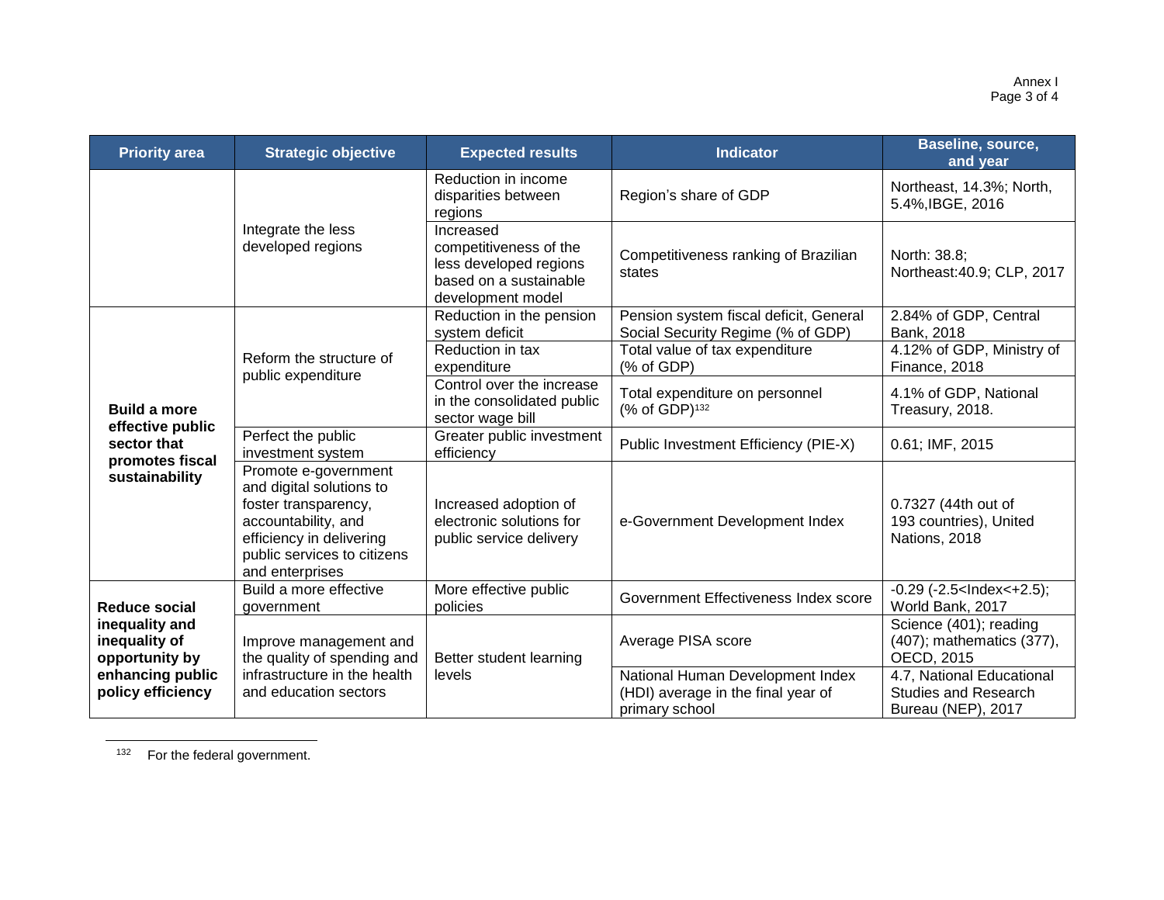| <b>Priority area</b>                                                                       | <b>Strategic objective</b>                                                                                                                                                    | <b>Expected results</b>                                                                                      | <b>Indicator</b>                                                                         | Baseline, source,<br>and year                                                  |
|--------------------------------------------------------------------------------------------|-------------------------------------------------------------------------------------------------------------------------------------------------------------------------------|--------------------------------------------------------------------------------------------------------------|------------------------------------------------------------------------------------------|--------------------------------------------------------------------------------|
|                                                                                            |                                                                                                                                                                               | Reduction in income<br>disparities between<br>regions                                                        | Region's share of GDP                                                                    | Northeast, 14.3%; North,<br>5.4%, IBGE, 2016                                   |
|                                                                                            | Integrate the less<br>developed regions                                                                                                                                       | Increased<br>competitiveness of the<br>less developed regions<br>based on a sustainable<br>development model | Competitiveness ranking of Brazilian<br>states                                           | North: 38.8;<br>Northeast: 40.9; CLP, 2017                                     |
|                                                                                            |                                                                                                                                                                               | Reduction in the pension<br>system deficit                                                                   | Pension system fiscal deficit, General<br>Social Security Regime (% of GDP)              | 2.84% of GDP, Central<br>Bank, 2018                                            |
|                                                                                            | Reform the structure of                                                                                                                                                       | Reduction in tax<br>expenditure                                                                              | Total value of tax expenditure<br>(% of GDP)                                             | 4.12% of GDP, Ministry of<br>Finance, 2018                                     |
| <b>Build a more</b>                                                                        | public expenditure                                                                                                                                                            | Control over the increase<br>in the consolidated public<br>sector wage bill                                  | Total expenditure on personnel<br>(% of GDP) <sup>132</sup>                              | 4.1% of GDP, National<br>Treasury, 2018.                                       |
| effective public<br>sector that<br>promotes fiscal                                         | Perfect the public<br>investment system                                                                                                                                       | Greater public investment<br>efficiency                                                                      | Public Investment Efficiency (PIE-X)                                                     | 0.61; IMF, 2015                                                                |
| sustainability                                                                             | Promote e-government<br>and digital solutions to<br>foster transparency,<br>accountability, and<br>efficiency in delivering<br>public services to citizens<br>and enterprises | Increased adoption of<br>electronic solutions for<br>public service delivery                                 | e-Government Development Index                                                           | 0.7327 (44th out of<br>193 countries), United<br>Nations, 2018                 |
| <b>Reduce social</b>                                                                       | Build a more effective<br>government                                                                                                                                          | More effective public<br>policies                                                                            | Government Effectiveness Index score                                                     | $-0.29$ ( $-2.5$ <lndex <="" <math="">+2.5);<br/>World Bank, 2017</lndex>      |
| inequality and<br>inequality of<br>opportunity by<br>enhancing public<br>policy efficiency | Improve management and<br>the quality of spending and                                                                                                                         | Better student learning                                                                                      | Average PISA score                                                                       | Science (401); reading<br>(407); mathematics (377),<br>OECD, 2015              |
|                                                                                            | infrastructure in the health<br>and education sectors                                                                                                                         | levels                                                                                                       | National Human Development Index<br>(HDI) average in the final year of<br>primary school | 4.7, National Educational<br><b>Studies and Research</b><br>Bureau (NEP), 2017 |

<sup>132</sup> For the federal government.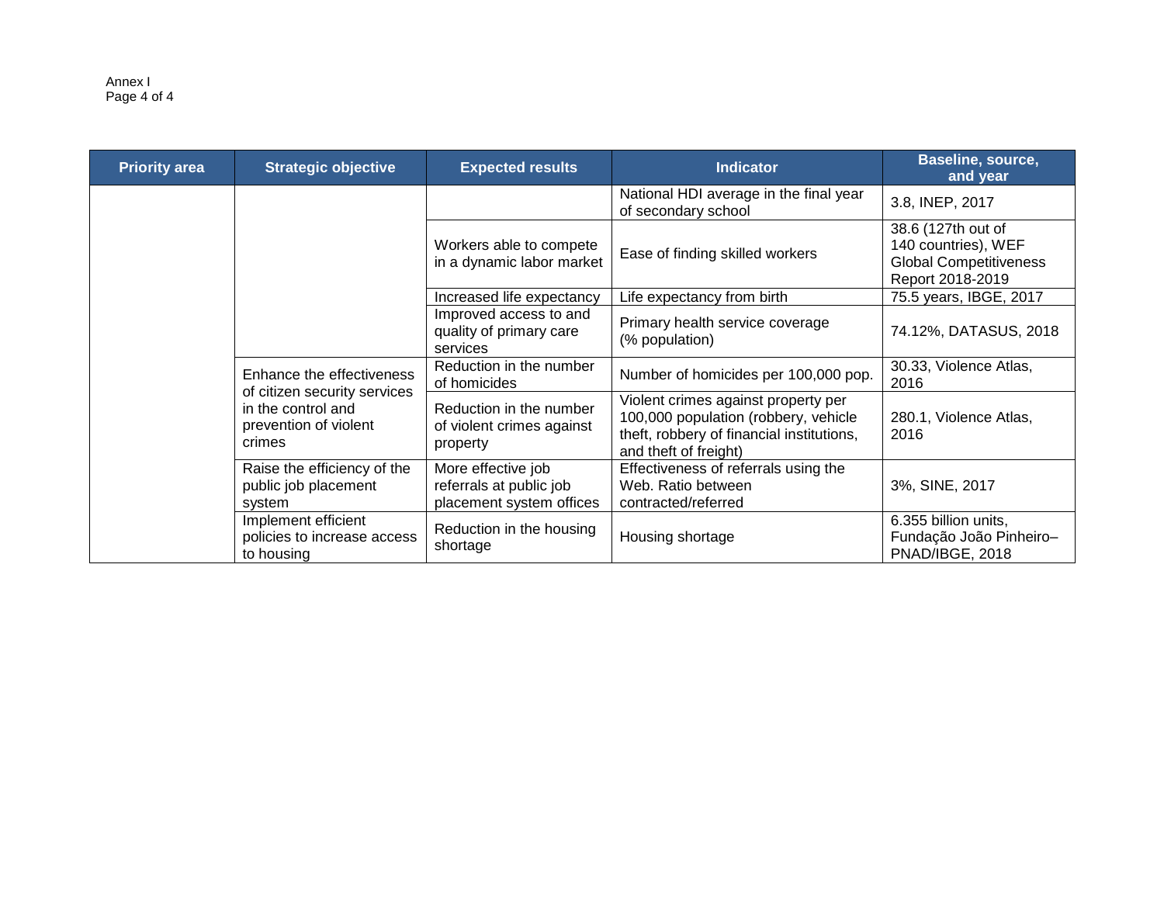#### Annex I Page 4 of 4

| <b>Priority area</b> | <b>Strategic objective</b>                                                                                         | <b>Indicator</b><br><b>Expected results</b>                               |                                                                                                                                                   | Baseline, source,<br>and year                                                                  |
|----------------------|--------------------------------------------------------------------------------------------------------------------|---------------------------------------------------------------------------|---------------------------------------------------------------------------------------------------------------------------------------------------|------------------------------------------------------------------------------------------------|
|                      |                                                                                                                    |                                                                           | National HDI average in the final year<br>of secondary school                                                                                     | 3.8, INEP, 2017                                                                                |
|                      |                                                                                                                    | Workers able to compete<br>in a dynamic labor market                      | Ease of finding skilled workers                                                                                                                   | 38.6 (127th out of<br>140 countries), WEF<br><b>Global Competitiveness</b><br>Report 2018-2019 |
|                      |                                                                                                                    | Increased life expectancy                                                 | Life expectancy from birth                                                                                                                        | 75.5 years, IBGE, 2017                                                                         |
|                      |                                                                                                                    | Improved access to and<br>quality of primary care<br>services             | Primary health service coverage<br>(% population)                                                                                                 | 74.12%, DATASUS, 2018                                                                          |
|                      | Enhance the effectiveness<br>of citizen security services<br>in the control and<br>prevention of violent<br>crimes | Reduction in the number<br>of homicides                                   | Number of homicides per 100,000 pop.                                                                                                              | 30.33, Violence Atlas,<br>2016                                                                 |
|                      |                                                                                                                    | Reduction in the number<br>of violent crimes against<br>property          | Violent crimes against property per<br>100,000 population (robbery, vehicle<br>theft, robbery of financial institutions,<br>and theft of freight) | 280.1, Violence Atlas,<br>2016                                                                 |
|                      | Raise the efficiency of the<br>public job placement<br>system                                                      | More effective job<br>referrals at public job<br>placement system offices | Effectiveness of referrals using the<br>Web. Ratio between<br>contracted/referred                                                                 | 3%, SINE, 2017                                                                                 |
|                      | Implement efficient<br>policies to increase access<br>to housing                                                   | Reduction in the housing<br>shortage                                      | Housing shortage                                                                                                                                  | 6.355 billion units,<br>Fundação João Pinheiro-<br>PNAD/IBGE, 2018                             |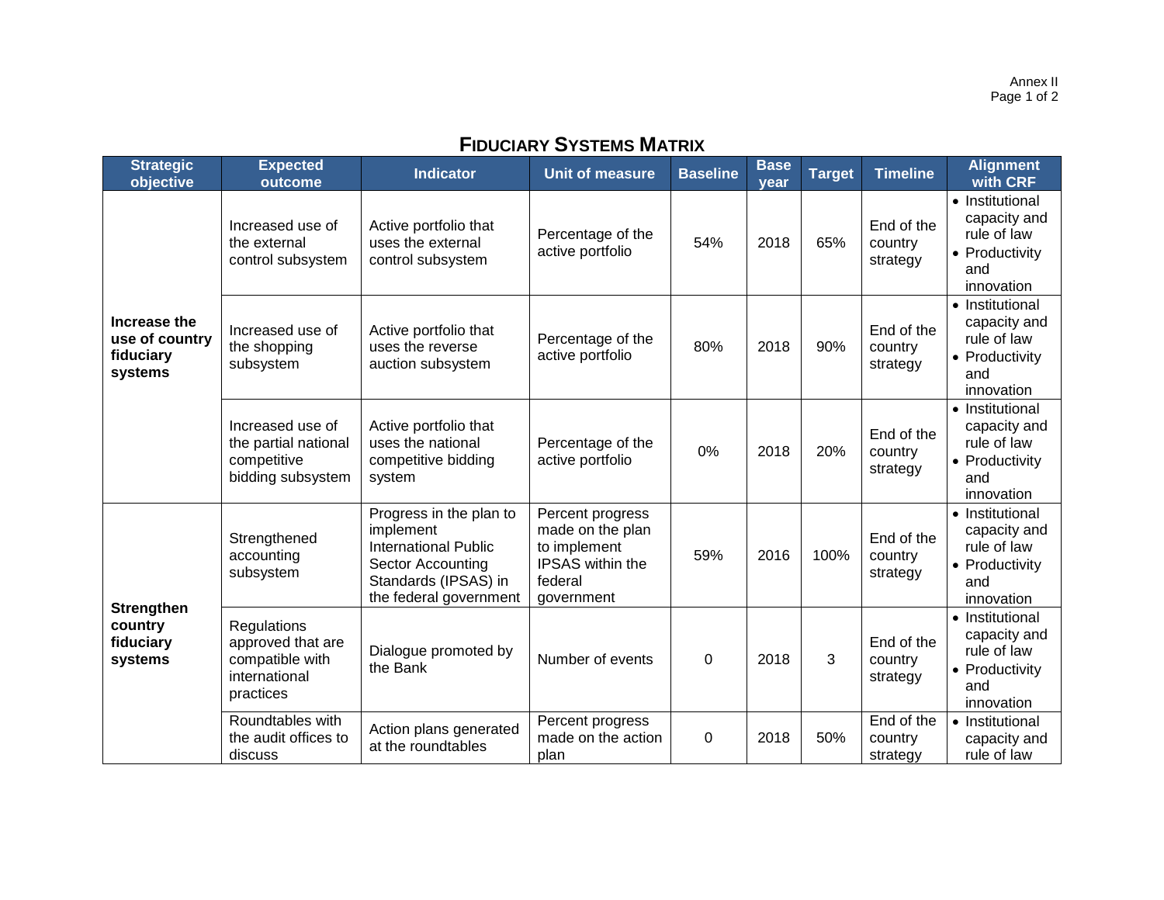Annex II Page 1 of 2

# **FIDUCIARY SYSTEMS MATRIX**

| <b>Strategic</b><br>objective                          | <b>Expected</b><br>outcome                                                        | <b>Indicator</b>                                                                                                                           | <b>Unit of measure</b>                                                                                   | <b>Baseline</b> | <b>Base</b><br>year | <b>Target</b> | <b>Timeline</b>                   | <b>Alignment</b><br>with CRF                                                          |
|--------------------------------------------------------|-----------------------------------------------------------------------------------|--------------------------------------------------------------------------------------------------------------------------------------------|----------------------------------------------------------------------------------------------------------|-----------------|---------------------|---------------|-----------------------------------|---------------------------------------------------------------------------------------|
| Increase the<br>use of country<br>fiduciary<br>systems | Increased use of<br>the external<br>control subsystem                             | Active portfolio that<br>uses the external<br>control subsystem                                                                            | Percentage of the<br>active portfolio                                                                    | 54%             | 2018                | 65%           | End of the<br>country<br>strategy | • Institutional<br>capacity and<br>rule of law<br>• Productivity<br>and<br>innovation |
|                                                        | Increased use of<br>the shopping<br>subsystem                                     | Active portfolio that<br>uses the reverse<br>auction subsystem                                                                             | Percentage of the<br>active portfolio                                                                    | 80%             | 2018                | 90%           | End of the<br>country<br>strategy | • Institutional<br>capacity and<br>rule of law<br>• Productivity<br>and<br>innovation |
|                                                        | Increased use of<br>the partial national<br>competitive<br>bidding subsystem      | Active portfolio that<br>uses the national<br>competitive bidding<br>system                                                                | Percentage of the<br>active portfolio                                                                    | 0%              | 2018                | 20%           | End of the<br>country<br>strategy | • Institutional<br>capacity and<br>rule of law<br>• Productivity<br>and<br>innovation |
|                                                        | Strengthened<br>accounting<br>subsystem                                           | Progress in the plan to<br>implement<br><b>International Public</b><br>Sector Accounting<br>Standards (IPSAS) in<br>the federal government | Percent progress<br>made on the plan<br>to implement<br><b>IPSAS</b> within the<br>federal<br>government | 59%             | 2016                | 100%          | End of the<br>country<br>strategy | • Institutional<br>capacity and<br>rule of law<br>• Productivity<br>and<br>innovation |
| <b>Strengthen</b><br>country<br>fiduciary<br>systems   | Regulations<br>approved that are<br>compatible with<br>international<br>practices | Dialogue promoted by<br>the Bank                                                                                                           | Number of events                                                                                         | $\mathbf 0$     | 2018                | 3             | End of the<br>country<br>strategy | • Institutional<br>capacity and<br>rule of law<br>• Productivity<br>and<br>innovation |
|                                                        | Roundtables with<br>the audit offices to<br>discuss                               | Action plans generated<br>at the roundtables                                                                                               | Percent progress<br>made on the action<br>plan                                                           | 0               | 2018                | 50%           | End of the<br>country<br>strategy | • Institutional<br>capacity and<br>rule of law                                        |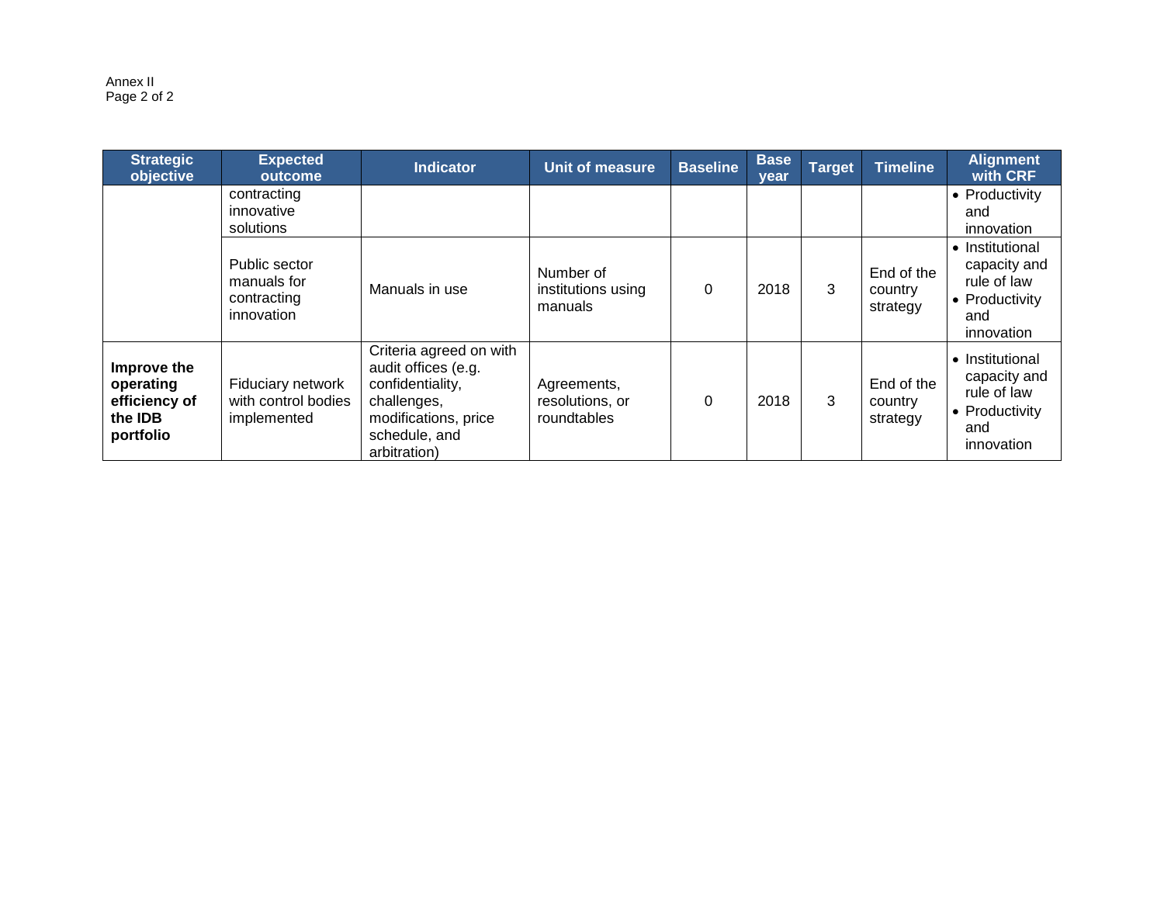Annex II Page 2 of 2

| <b>Strategic</b><br>objective                                            | <b>Expected</b><br>outcome                                | <b>Indicator</b>                                                                                                                           | Unit of measure                               | <b>Baseline</b> | <b>Base</b><br>vear | Target | Timeline                          | <b>Alignment</b><br>with CRF                                                          |
|--------------------------------------------------------------------------|-----------------------------------------------------------|--------------------------------------------------------------------------------------------------------------------------------------------|-----------------------------------------------|-----------------|---------------------|--------|-----------------------------------|---------------------------------------------------------------------------------------|
|                                                                          | contracting<br>innovative<br>solutions                    |                                                                                                                                            |                                               |                 |                     |        |                                   | • Productivity<br>and<br>innovation                                                   |
|                                                                          | Public sector<br>manuals for<br>contracting<br>innovation | Manuals in use                                                                                                                             | Number of<br>institutions using<br>manuals    | 0               | 2018                | 3      | End of the<br>country<br>strategy | • Institutional<br>capacity and<br>rule of law<br>• Productivity<br>and<br>innovation |
| Improve the<br>operating<br>efficiency of<br>the <b>IDB</b><br>portfolio | Fiduciary network<br>with control bodies<br>implemented   | Criteria agreed on with<br>audit offices (e.g.<br>confidentiality,<br>challenges,<br>modifications, price<br>schedule, and<br>arbitration) | Agreements,<br>resolutions, or<br>roundtables | 0               | 2018                | 3      | End of the<br>country<br>strategy | • Institutional<br>capacity and<br>rule of law<br>• Productivity<br>and<br>innovation |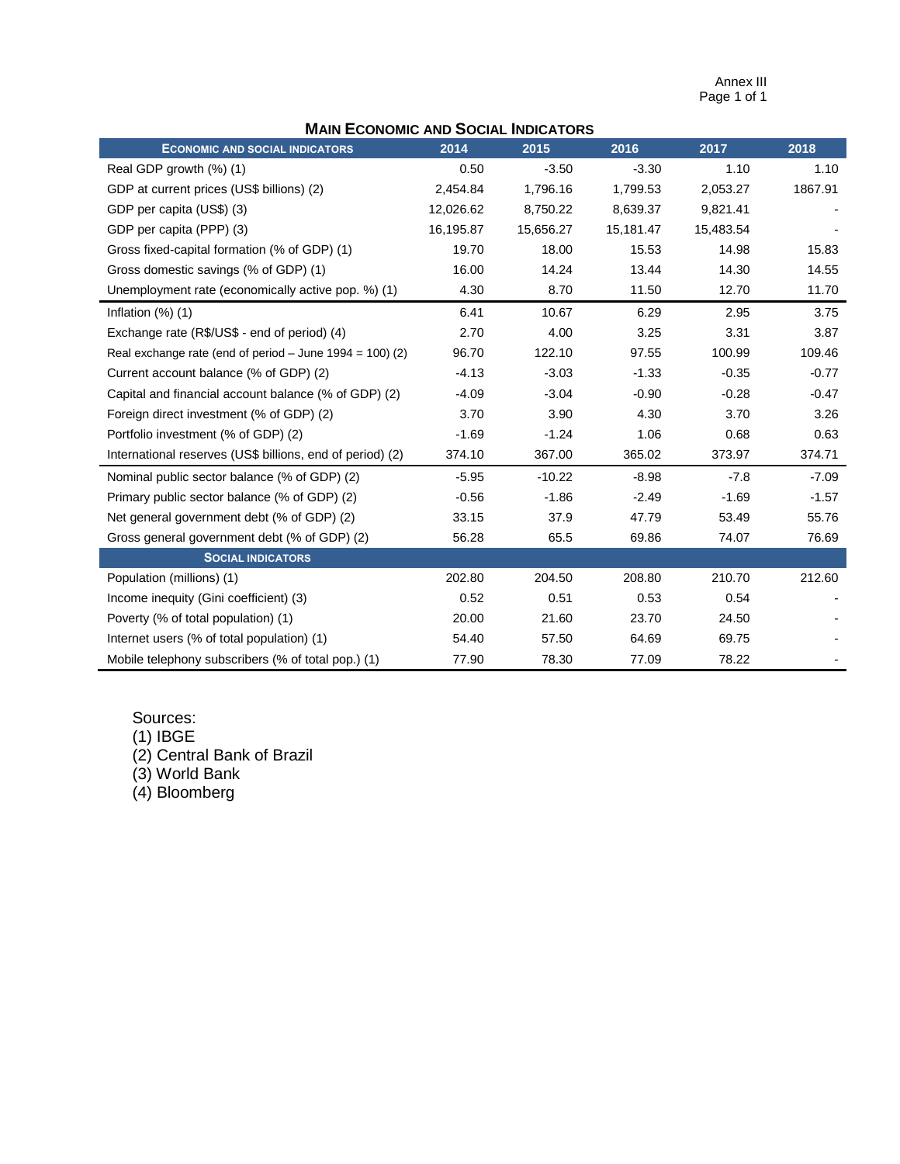Annex III Page 1 of 1

| <b>MAIN ECONOMIC AND SOCIAL INDICATORS</b> |  |  |
|--------------------------------------------|--|--|
|--------------------------------------------|--|--|

| <b>ECONOMIC AND SOCIAL INDICATORS</b>                      | 2014      | 2015      | 2016      | 2017      | 2018    |
|------------------------------------------------------------|-----------|-----------|-----------|-----------|---------|
| Real GDP growth (%) (1)                                    | 0.50      | $-3.50$   | $-3.30$   | 1.10      | 1.10    |
| GDP at current prices (US\$ billions) (2)                  | 2,454.84  | 1,796.16  | 1,799.53  | 2,053.27  | 1867.91 |
| GDP per capita (US\$) (3)                                  | 12,026.62 | 8,750.22  | 8,639.37  | 9,821.41  |         |
| GDP per capita (PPP) (3)                                   | 16,195.87 | 15,656.27 | 15,181.47 | 15,483.54 |         |
| Gross fixed-capital formation (% of GDP) (1)               | 19.70     | 18.00     | 15.53     | 14.98     | 15.83   |
| Gross domestic savings (% of GDP) (1)                      | 16.00     | 14.24     | 13.44     | 14.30     | 14.55   |
| Unemployment rate (economically active pop. %) (1)         | 4.30      | 8.70      | 11.50     | 12.70     | 11.70   |
| Inflation $(\%)$ $(1)$                                     | 6.41      | 10.67     | 6.29      | 2.95      | 3.75    |
| Exchange rate (R\$/US\$ - end of period) (4)               | 2.70      | 4.00      | 3.25      | 3.31      | 3.87    |
| Real exchange rate (end of period $-$ June 1994 = 100) (2) | 96.70     | 122.10    | 97.55     | 100.99    | 109.46  |
| Current account balance (% of GDP) (2)                     | $-4.13$   | $-3.03$   | $-1.33$   | $-0.35$   | $-0.77$ |
| Capital and financial account balance (% of GDP) (2)       | $-4.09$   | $-3.04$   | $-0.90$   | $-0.28$   | $-0.47$ |
| Foreign direct investment (% of GDP) (2)                   | 3.70      | 3.90      | 4.30      | 3.70      | 3.26    |
| Portfolio investment (% of GDP) (2)                        | $-1.69$   | $-1.24$   | 1.06      | 0.68      | 0.63    |
| International reserves (US\$ billions, end of period) (2)  | 374.10    | 367.00    | 365.02    | 373.97    | 374.71  |
| Nominal public sector balance (% of GDP) (2)               | $-5.95$   | $-10.22$  | $-8.98$   | $-7.8$    | $-7.09$ |
| Primary public sector balance (% of GDP) (2)               | $-0.56$   | $-1.86$   | $-2.49$   | $-1.69$   | $-1.57$ |
| Net general government debt (% of GDP) (2)                 | 33.15     | 37.9      | 47.79     | 53.49     | 55.76   |
| Gross general government debt (% of GDP) (2)               | 56.28     | 65.5      | 69.86     | 74.07     | 76.69   |
| <b>SOCIAL INDICATORS</b>                                   |           |           |           |           |         |
| Population (millions) (1)                                  | 202.80    | 204.50    | 208.80    | 210.70    | 212.60  |
| Income inequity (Gini coefficient) (3)                     | 0.52      | 0.51      | 0.53      | 0.54      |         |
| Poverty (% of total population) (1)                        | 20.00     | 21.60     | 23.70     | 24.50     |         |
| Internet users (% of total population) (1)                 | 54.40     | 57.50     | 64.69     | 69.75     |         |
| Mobile telephony subscribers (% of total pop.) (1)         | 77.90     | 78.30     | 77.09     | 78.22     |         |

# Sources:

(1) IBGE

(2) Central Bank of Brazil

(3) World Bank

(4) Bloomberg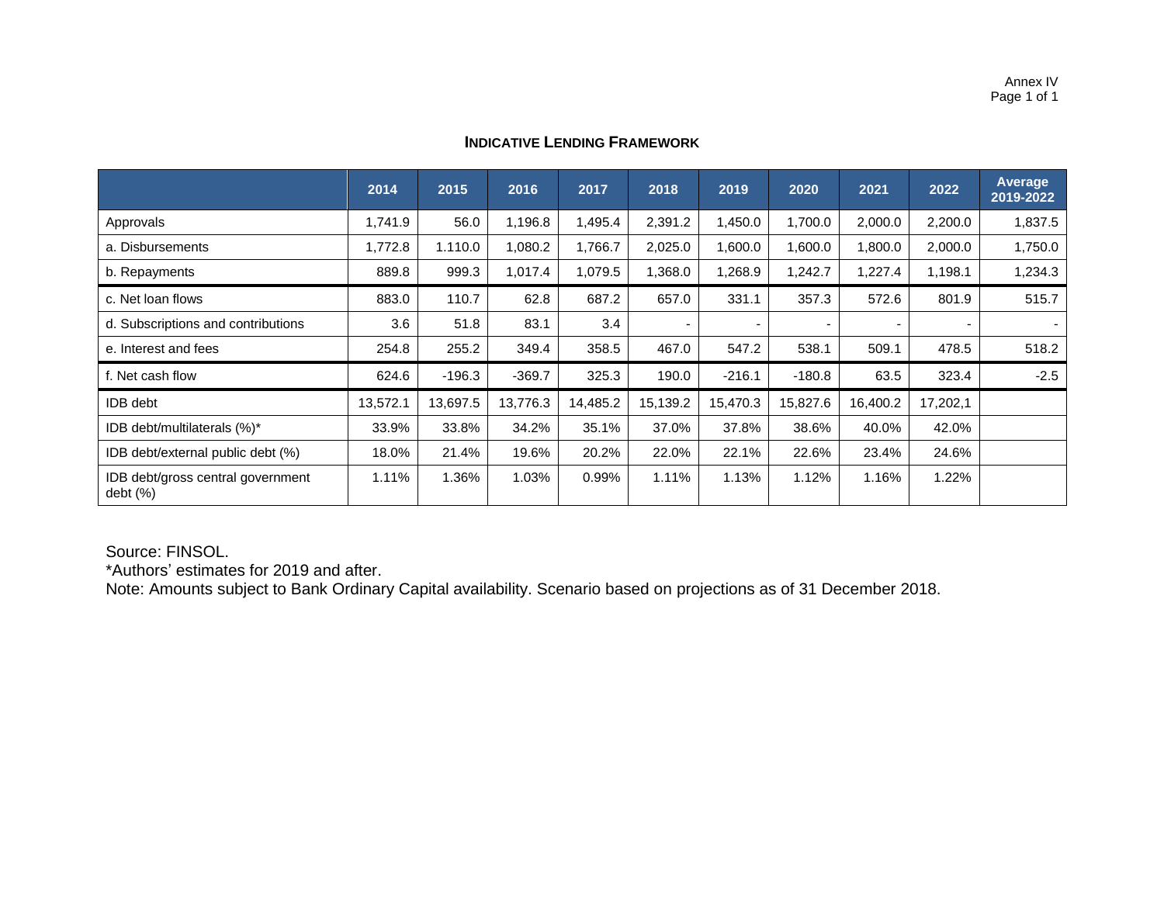## **INDICATIVE LENDING FRAMEWORK**

|                                              | 2014     | 2015     | 2016     | 2017     | 2018     | 2019           | 2020                     | 2021                     | 2022     | Average<br>2019-2022 |
|----------------------------------------------|----------|----------|----------|----------|----------|----------------|--------------------------|--------------------------|----------|----------------------|
| Approvals                                    | 1,741.9  | 56.0     | 1,196.8  | 1,495.4  | 2,391.2  | 1,450.0        | 1,700.0                  | 2,000.0                  | 2,200.0  | 1,837.5              |
| a. Disbursements                             | 1,772.8  | 1.110.0  | 1,080.2  | 1,766.7  | 2,025.0  | 1,600.0        | 1,600.0                  | 1,800.0                  | 2,000.0  | 1,750.0              |
| b. Repayments                                | 889.8    | 999.3    | 1,017.4  | 1,079.5  | 1,368.0  | 1,268.9        | 1,242.7                  | 1,227.4                  | 1,198.1  | 1,234.3              |
| c. Net loan flows                            | 883.0    | 110.7    | 62.8     | 687.2    | 657.0    | 331.1          | 357.3                    | 572.6                    | 801.9    | 515.7                |
| d. Subscriptions and contributions           | 3.6      | 51.8     | 83.1     | 3.4      |          | $\blacksquare$ | $\overline{\phantom{a}}$ | $\overline{\phantom{0}}$ |          |                      |
| e. Interest and fees                         | 254.8    | 255.2    | 349.4    | 358.5    | 467.0    | 547.2          | 538.1                    | 509.1                    | 478.5    | 518.2                |
| f. Net cash flow                             | 624.6    | $-196.3$ | $-369.7$ | 325.3    | 190.0    | $-216.1$       | $-180.8$                 | 63.5                     | 323.4    | $-2.5$               |
| <b>IDB</b> debt                              | 13,572.1 | 13,697.5 | 13,776.3 | 14,485.2 | 15,139.2 | 15,470.3       | 15,827.6                 | 16,400.2                 | 17,202,1 |                      |
| IDB debt/multilaterals (%)*                  | 33.9%    | 33.8%    | 34.2%    | 35.1%    | 37.0%    | 37.8%          | 38.6%                    | 40.0%                    | 42.0%    |                      |
| IDB debt/external public debt (%)            | 18.0%    | 21.4%    | 19.6%    | 20.2%    | 22.0%    | 22.1%          | 22.6%                    | 23.4%                    | 24.6%    |                      |
| IDB debt/gross central government<br>debt(%) | 1.11%    | 1.36%    | 1.03%    | 0.99%    | 1.11%    | 1.13%          | 1.12%                    | 1.16%                    | 1.22%    |                      |

Source: FINSOL.

\*Authors' estimates for 2019 and after.

Note: Amounts subject to Bank Ordinary Capital availability. Scenario based on projections as of 31 December 2018.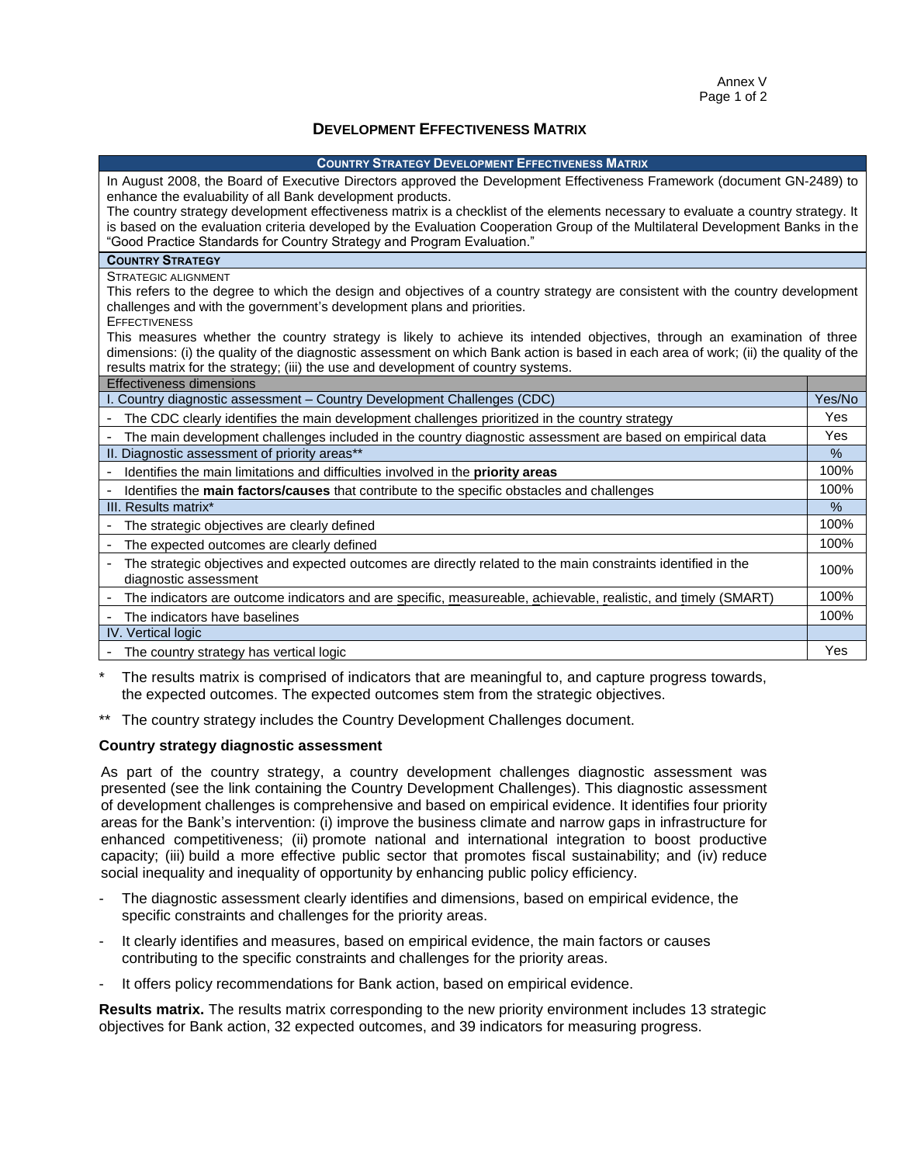#### **DEVELOPMENT EFFECTIVENESS MATRIX**

#### **COUNTRY STRATEGY DEVELOPMENT EFFECTIVENESS MATRIX**

| In August 2008, the Board of Executive Directors approved the Development Effectiveness Framework (document GN-2489) to<br>enhance the evaluability of all Bank development products.                                                                                                                                                                  |               |  |  |
|--------------------------------------------------------------------------------------------------------------------------------------------------------------------------------------------------------------------------------------------------------------------------------------------------------------------------------------------------------|---------------|--|--|
| The country strategy development effectiveness matrix is a checklist of the elements necessary to evaluate a country strategy. It                                                                                                                                                                                                                      |               |  |  |
| is based on the evaluation criteria developed by the Evaluation Cooperation Group of the Multilateral Development Banks in the<br>"Good Practice Standards for Country Strategy and Program Evaluation."                                                                                                                                               |               |  |  |
| <b>COUNTRY STRATEGY</b>                                                                                                                                                                                                                                                                                                                                |               |  |  |
| STRATEGIC ALIGNMENT                                                                                                                                                                                                                                                                                                                                    |               |  |  |
| This refers to the degree to which the design and objectives of a country strategy are consistent with the country development                                                                                                                                                                                                                         |               |  |  |
| challenges and with the government's development plans and priorities.                                                                                                                                                                                                                                                                                 |               |  |  |
| <b>EFFECTIVENESS</b>                                                                                                                                                                                                                                                                                                                                   |               |  |  |
| This measures whether the country strategy is likely to achieve its intended objectives, through an examination of three<br>dimensions: (i) the quality of the diagnostic assessment on which Bank action is based in each area of work; (ii) the quality of the<br>results matrix for the strategy; (iii) the use and development of country systems. |               |  |  |
| Effectiveness dimensions                                                                                                                                                                                                                                                                                                                               |               |  |  |
| I. Country diagnostic assessment - Country Development Challenges (CDC)                                                                                                                                                                                                                                                                                | Yes/No        |  |  |
| The CDC clearly identifies the main development challenges prioritized in the country strategy                                                                                                                                                                                                                                                         | <b>Yes</b>    |  |  |
| The main development challenges included in the country diagnostic assessment are based on empirical data                                                                                                                                                                                                                                              | Yes           |  |  |
| II. Diagnostic assessment of priority areas**                                                                                                                                                                                                                                                                                                          | $\frac{0}{0}$ |  |  |
| - Identifies the main limitations and difficulties involved in the priority areas                                                                                                                                                                                                                                                                      | 100%          |  |  |
| Identifies the main factors/causes that contribute to the specific obstacles and challenges                                                                                                                                                                                                                                                            | 100%          |  |  |
| III. Results matrix*                                                                                                                                                                                                                                                                                                                                   | %             |  |  |
| The strategic objectives are clearly defined                                                                                                                                                                                                                                                                                                           | 100%          |  |  |
| The expected outcomes are clearly defined                                                                                                                                                                                                                                                                                                              | 100%          |  |  |
| The strategic objectives and expected outcomes are directly related to the main constraints identified in the<br>diagnostic assessment                                                                                                                                                                                                                 | 100%          |  |  |
| The indicators are outcome indicators and are specific, measureable, achievable, realistic, and timely (SMART)<br>$\overline{\phantom{a}}$                                                                                                                                                                                                             | 100%          |  |  |
| - The indicators have baselines                                                                                                                                                                                                                                                                                                                        | 100%          |  |  |
| <b>IV.</b> Vertical logic                                                                                                                                                                                                                                                                                                                              |               |  |  |
| The country strategy has vertical logic                                                                                                                                                                                                                                                                                                                | Yes           |  |  |

The results matrix is comprised of indicators that are meaningful to, and capture progress towards, the expected outcomes. The expected outcomes stem from the strategic objectives.

\*\* The country strategy includes the Country Development Challenges document.

#### **Country strategy diagnostic assessment**

As part of the country strategy, a country development challenges diagnostic assessment was presented (see the link containing the Country Development Challenges). This diagnostic assessment of development challenges is comprehensive and based on empirical evidence. It identifies four priority areas for the Bank's intervention: (i) improve the business climate and narrow gaps in infrastructure for enhanced competitiveness; (ii) promote national and international integration to boost productive capacity; (iii) build a more effective public sector that promotes fiscal sustainability; and (iv) reduce social inequality and inequality of opportunity by enhancing public policy efficiency.

- The diagnostic assessment clearly identifies and dimensions, based on empirical evidence, the specific constraints and challenges for the priority areas.
- It clearly identifies and measures, based on empirical evidence, the main factors or causes contributing to the specific constraints and challenges for the priority areas.
- It offers policy recommendations for Bank action, based on empirical evidence.

**Results matrix.** The results matrix corresponding to the new priority environment includes 13 strategic objectives for Bank action, 32 expected outcomes, and 39 indicators for measuring progress.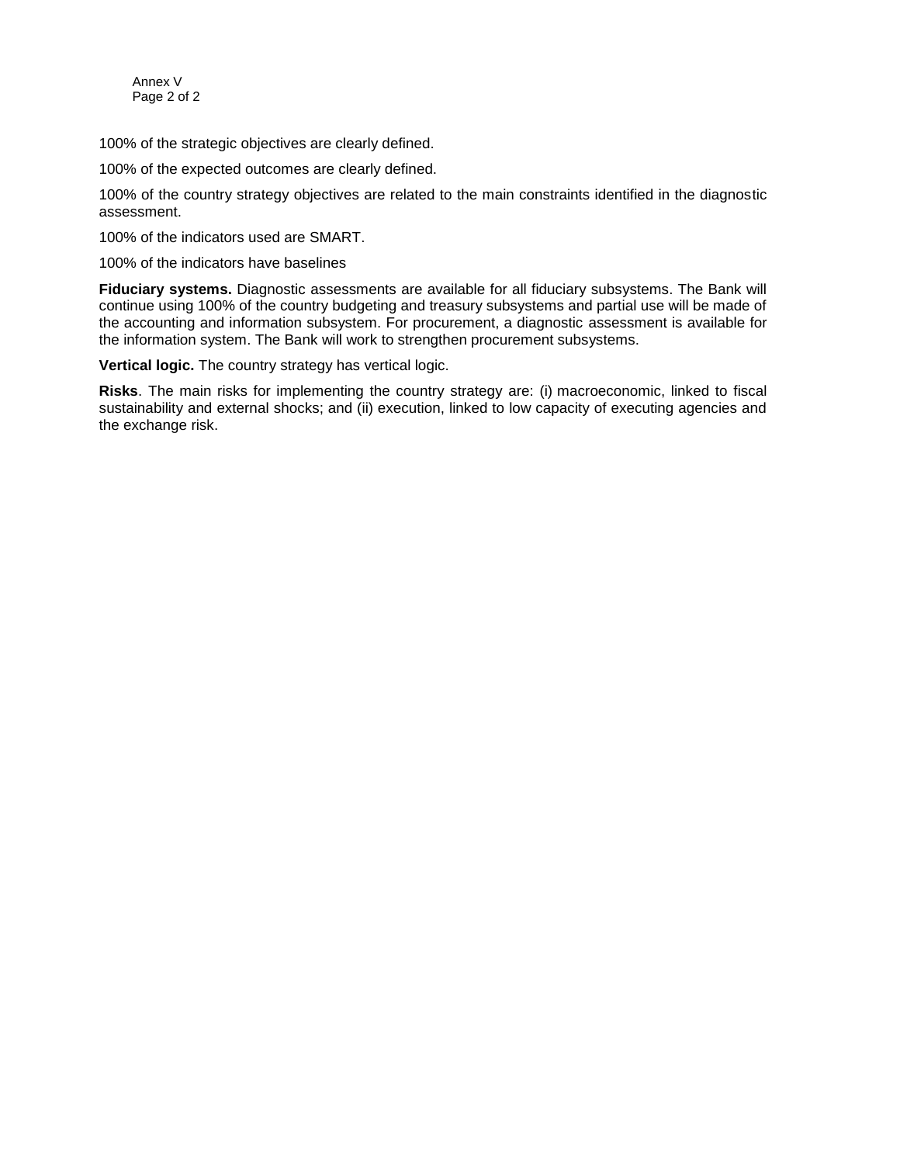Annex V Page 2 of 2

100% of the strategic objectives are clearly defined.

100% of the expected outcomes are clearly defined.

100% of the country strategy objectives are related to the main constraints identified in the diagnostic assessment.

100% of the indicators used are SMART.

100% of the indicators have baselines

**Fiduciary systems.** Diagnostic assessments are available for all fiduciary subsystems. The Bank will continue using 100% of the country budgeting and treasury subsystems and partial use will be made of the accounting and information subsystem. For procurement, a diagnostic assessment is available for the information system. The Bank will work to strengthen procurement subsystems.

**Vertical logic.** The country strategy has vertical logic.

**Risks**. The main risks for implementing the country strategy are: (i) macroeconomic, linked to fiscal sustainability and external shocks; and (ii) execution, linked to low capacity of executing agencies and the exchange risk.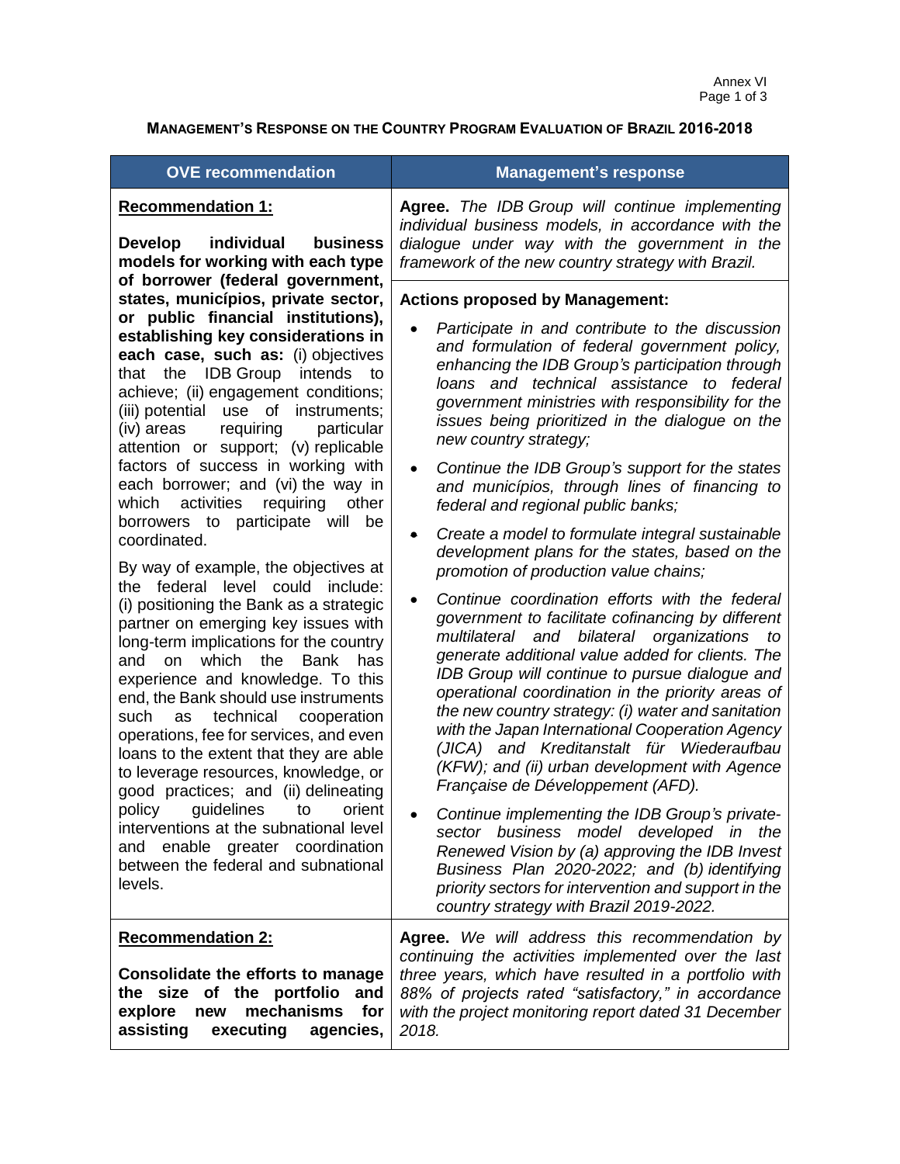## **MANAGEMENT'S RESPONSE ON THE COUNTRY PROGRAM EVALUATION OF BRAZIL 2016-2018**

| <b>OVE recommendation</b>                                                                                                                                                                                                                                                                                                                                                                                                                                                                                                                                                                                                                                                                                                                                                                                                                                                                                                                                                                                                                                                                                                                                                                                                                                                   | <b>Management's response</b>                                                                                                                                                                                                                                                                                                                                                                                                                                                                                                                                                                                                                                                                                                                                                                                                                                                                                                                                                                                                                                                                                                                                                                                                                                                                                                                                                                                                                                                                                                                                    |  |
|-----------------------------------------------------------------------------------------------------------------------------------------------------------------------------------------------------------------------------------------------------------------------------------------------------------------------------------------------------------------------------------------------------------------------------------------------------------------------------------------------------------------------------------------------------------------------------------------------------------------------------------------------------------------------------------------------------------------------------------------------------------------------------------------------------------------------------------------------------------------------------------------------------------------------------------------------------------------------------------------------------------------------------------------------------------------------------------------------------------------------------------------------------------------------------------------------------------------------------------------------------------------------------|-----------------------------------------------------------------------------------------------------------------------------------------------------------------------------------------------------------------------------------------------------------------------------------------------------------------------------------------------------------------------------------------------------------------------------------------------------------------------------------------------------------------------------------------------------------------------------------------------------------------------------------------------------------------------------------------------------------------------------------------------------------------------------------------------------------------------------------------------------------------------------------------------------------------------------------------------------------------------------------------------------------------------------------------------------------------------------------------------------------------------------------------------------------------------------------------------------------------------------------------------------------------------------------------------------------------------------------------------------------------------------------------------------------------------------------------------------------------------------------------------------------------------------------------------------------------|--|
| <b>Recommendation 1:</b><br>individual<br><b>business</b><br>Develop<br>models for working with each type                                                                                                                                                                                                                                                                                                                                                                                                                                                                                                                                                                                                                                                                                                                                                                                                                                                                                                                                                                                                                                                                                                                                                                   | Agree. The IDB Group will continue implementing<br>individual business models, in accordance with the<br>dialogue under way with the government in the<br>framework of the new country strategy with Brazil.                                                                                                                                                                                                                                                                                                                                                                                                                                                                                                                                                                                                                                                                                                                                                                                                                                                                                                                                                                                                                                                                                                                                                                                                                                                                                                                                                    |  |
| of borrower (federal government,<br>states, municípios, private sector,<br>or public financial institutions),<br>establishing key considerations in<br>each case, such as: (i) objectives<br>that the IDB Group intends<br>to<br>achieve; (ii) engagement conditions;<br>(iii) potential use of instruments;<br>(iv) areas<br>requiring<br>particular<br>attention or support; (v) replicable<br>factors of success in working with<br>each borrower; and (vi) the way in<br>which activities requiring<br>other<br>borrowers to participate will be<br>coordinated.<br>By way of example, the objectives at<br>the federal level could include:<br>(i) positioning the Bank as a strategic<br>partner on emerging key issues with<br>long-term implications for the country<br>which the Bank<br>has<br>and<br>on<br>experience and knowledge. To this<br>end, the Bank should use instruments<br>technical<br>cooperation<br>such<br>as<br>operations, fee for services, and even<br>loans to the extent that they are able<br>to leverage resources, knowledge, or<br>good practices; and (ii) delineating<br>policy guidelines to orient<br>interventions at the subnational level<br>and enable greater coordination<br>between the federal and subnational<br>levels. | <b>Actions proposed by Management:</b><br>Participate in and contribute to the discussion<br>and formulation of federal government policy,<br>enhancing the IDB Group's participation through<br>loans and technical assistance to federal<br>government ministries with responsibility for the<br>issues being prioritized in the dialogue on the<br>new country strategy;<br>Continue the IDB Group's support for the states<br>$\bullet$<br>and municípios, through lines of financing to<br>federal and regional public banks;<br>Create a model to formulate integral sustainable<br>$\bullet$<br>development plans for the states, based on the<br>promotion of production value chains;<br>Continue coordination efforts with the federal<br>government to facilitate cofinancing by different<br>multilateral and bilateral organizations<br>to<br>generate additional value added for clients. The<br>IDB Group will continue to pursue dialogue and<br>operational coordination in the priority areas of<br>the new country strategy: (i) water and sanitation<br>with the Japan International Cooperation Agency<br>(JICA) and Kreditanstalt für Wiederaufbau<br>(KFW); and (ii) urban development with Agence<br>Française de Développement (AFD).<br>Continue implementing the IDB Group's private-<br>sector business model developed in the<br>Renewed Vision by (a) approving the IDB Invest<br>Business Plan 2020-2022; and (b) identifying<br>priority sectors for intervention and support in the<br>country strategy with Brazil 2019-2022. |  |
| <b>Recommendation 2:</b><br>Consolidate the efforts to manage<br>the size of the portfolio<br>and<br>mechanisms<br>explore<br>for<br>new<br>assisting<br>executing<br>agencies,                                                                                                                                                                                                                                                                                                                                                                                                                                                                                                                                                                                                                                                                                                                                                                                                                                                                                                                                                                                                                                                                                             | Agree. We will address this recommendation by<br>continuing the activities implemented over the last<br>three years, which have resulted in a portfolio with<br>88% of projects rated "satisfactory," in accordance<br>with the project monitoring report dated 31 December<br>2018.                                                                                                                                                                                                                                                                                                                                                                                                                                                                                                                                                                                                                                                                                                                                                                                                                                                                                                                                                                                                                                                                                                                                                                                                                                                                            |  |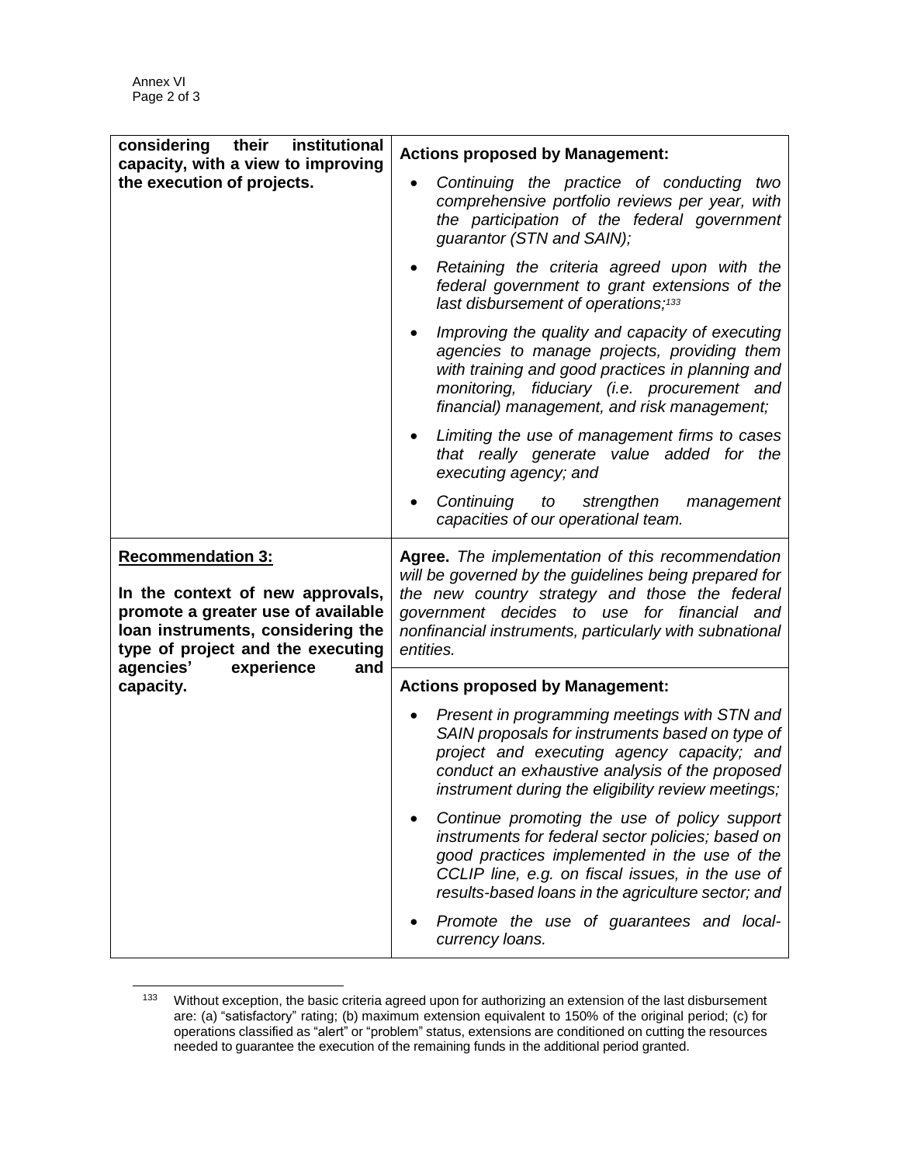$\overline{a}$ 

| institutional<br>considering their                                                                                                                                           | <b>Actions proposed by Management:</b>                                                                                                                                                                                                                                             |
|------------------------------------------------------------------------------------------------------------------------------------------------------------------------------|------------------------------------------------------------------------------------------------------------------------------------------------------------------------------------------------------------------------------------------------------------------------------------|
| capacity, with a view to improving<br>the execution of projects.                                                                                                             | Continuing the practice of conducting two<br>comprehensive portfolio reviews per year, with<br>the participation of the federal government<br>guarantor (STN and SAIN);                                                                                                            |
|                                                                                                                                                                              | Retaining the criteria agreed upon with the<br>federal government to grant extensions of the<br>last disbursement of operations; <sup>133</sup>                                                                                                                                    |
|                                                                                                                                                                              | Improving the quality and capacity of executing<br>agencies to manage projects, providing them<br>with training and good practices in planning and<br>monitoring, fiduciary (i.e. procurement and<br>financial) management, and risk management;                                   |
|                                                                                                                                                                              | Limiting the use of management firms to cases<br>$\bullet$<br>that really generate value added for the<br>executing agency; and                                                                                                                                                    |
|                                                                                                                                                                              | Continuing to strengthen management<br>capacities of our operational team.                                                                                                                                                                                                         |
|                                                                                                                                                                              |                                                                                                                                                                                                                                                                                    |
| <b>Recommendation 3:</b><br>In the context of new approvals,<br>promote a greater use of available<br>loan instruments, considering the<br>type of project and the executing | Agree. The implementation of this recommendation<br>will be governed by the guidelines being prepared for<br>the new country strategy and those the federal<br>government decides to use for financial and<br>nonfinancial instruments, particularly with subnational<br>entities. |
| agencies'<br>experience<br>and<br>capacity.                                                                                                                                  | <b>Actions proposed by Management:</b>                                                                                                                                                                                                                                             |
|                                                                                                                                                                              | Present in programming meetings with STN and<br>SAIN proposals for instruments based on type of<br>project and executing agency capacity; and<br>conduct an exhaustive analysis of the proposed<br>instrument during the eligibility review meetings;                              |
|                                                                                                                                                                              | Continue promoting the use of policy support<br>instruments for federal sector policies; based on<br>good practices implemented in the use of the<br>CCLIP line, e.g. on fiscal issues, in the use of<br>results-based loans in the agriculture sector; and                        |

<sup>&</sup>lt;sup>133</sup> Without exception, the basic criteria agreed upon for authorizing an extension of the last disbursement are: (a) "satisfactory" rating; (b) maximum extension equivalent to 150% of the original period; (c) for operations classified as "alert" or "problem" status, extensions are conditioned on cutting the resources needed to guarantee the execution of the remaining funds in the additional period granted.